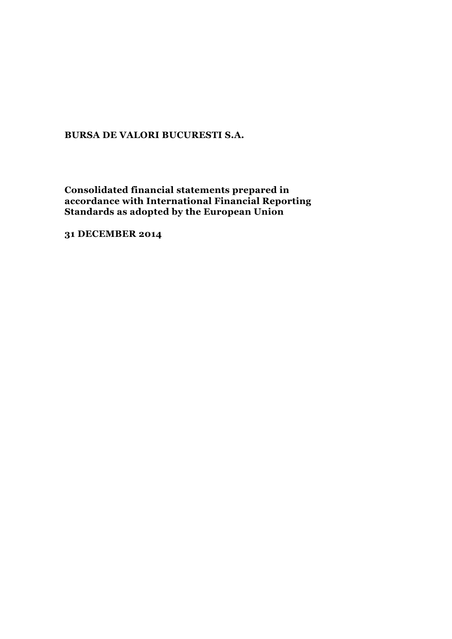**Consolidated financial statements prepared in accordance with International Financial Reporting Standards as adopted by the European Union**

**31 DECEMBER 2014**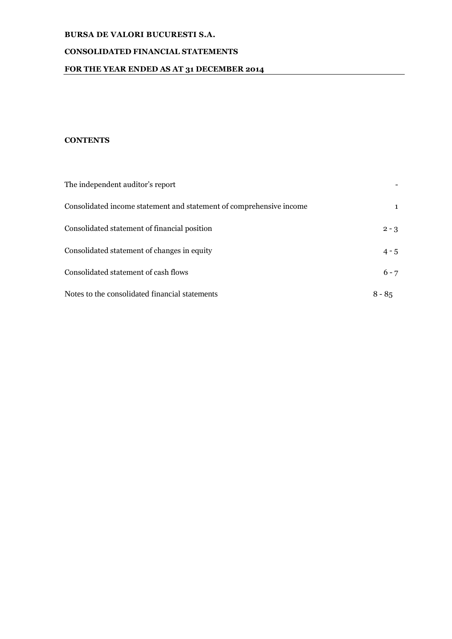# **CONSOLIDATED FINANCIAL STATEMENTS**

# **FOR THE YEAR ENDED AS AT 31 DECEMBER 2014**

# **CONTENTS**

| The independent auditor's report                                    |              |
|---------------------------------------------------------------------|--------------|
| Consolidated income statement and statement of comprehensive income | $\mathbf{1}$ |
| Consolidated statement of financial position                        | $2 - 3$      |
| Consolidated statement of changes in equity                         | $4 - 5$      |
| Consolidated statement of cash flows                                | $6 - 7$      |
| Notes to the consolidated financial statements                      | $8 - 85$     |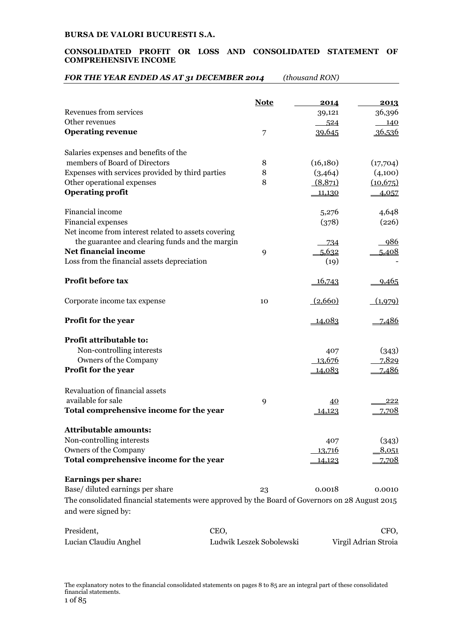### **CONSOLIDATED PROFIT OR LOSS AND CONSOLIDATED STATEMENT OF COMPREHENSIVE INCOME**

# *FOR THE YEAR ENDED AS AT 31 DECEMBER 2014 (thousand RON)*

|                                                                                                                        | <b>Note</b> | 2014          | 2013         |
|------------------------------------------------------------------------------------------------------------------------|-------------|---------------|--------------|
| Revenues from services                                                                                                 |             | 39,121        | 36,396       |
| Other revenues                                                                                                         |             | 524           | 140          |
| <b>Operating revenue</b>                                                                                               | 7           | 39,645        | 36,536       |
| Salaries expenses and benefits of the                                                                                  |             |               |              |
| members of Board of Directors                                                                                          | 8           | (16,180)      | (17,704)     |
| Expenses with services provided by third parties                                                                       | 8           | (3,464)       | (4,100)      |
| Other operational expenses                                                                                             | 8           | (8,871)       | (10, 675)    |
| <b>Operating profit</b>                                                                                                |             | 11,130        |              |
|                                                                                                                        |             |               | 4,057        |
| Financial income                                                                                                       |             | 5,276         | 4,648        |
| Financial expenses                                                                                                     |             | (378)         | (226)        |
| Net income from interest related to assets covering                                                                    |             |               |              |
| the guarantee and clearing funds and the margin                                                                        |             | -734          | <u>986</u>   |
| <b>Net financial income</b>                                                                                            | 9           | 5,632         | 5,408        |
| Loss from the financial assets depreciation                                                                            |             | (19)          |              |
|                                                                                                                        |             |               |              |
| Profit before tax                                                                                                      |             | 16,743        | 9,465        |
| Corporate income tax expense                                                                                           | 10          | (2,660)       | (1,979)      |
| Profit for the year                                                                                                    |             | 14,083        | 7,486        |
| Profit attributable to:                                                                                                |             |               |              |
| Non-controlling interests                                                                                              |             | 407           | (343)        |
| Owners of the Company                                                                                                  |             | 13,676        | 7,829        |
| Profit for the year                                                                                                    |             | <u>14,083</u> | <u>7,486</u> |
|                                                                                                                        |             |               |              |
| Revaluation of financial assets                                                                                        |             |               |              |
| available for sale                                                                                                     | 9           | 40            | 222          |
| Total comprehensive income for the year                                                                                |             | 14,123        | 7,708        |
|                                                                                                                        |             |               |              |
| <b>Attributable amounts:</b>                                                                                           |             |               |              |
| Non-controlling interests                                                                                              |             | 407           | (343)        |
| Owners of the Company                                                                                                  |             | 13,716        | 8,051        |
| Total comprehensive income for the year                                                                                |             | 14,123        | 7,708        |
| <b>Earnings per share:</b>                                                                                             |             |               |              |
| Base/diluted earnings per share                                                                                        | 23          | 0.0018        | 0.0010       |
|                                                                                                                        |             |               |              |
| The consolidated financial statements were approved by the Board of Governors on 28 August 2015<br>and were signed by: |             |               |              |
| President,<br>CEO,                                                                                                     |             |               | CFO,         |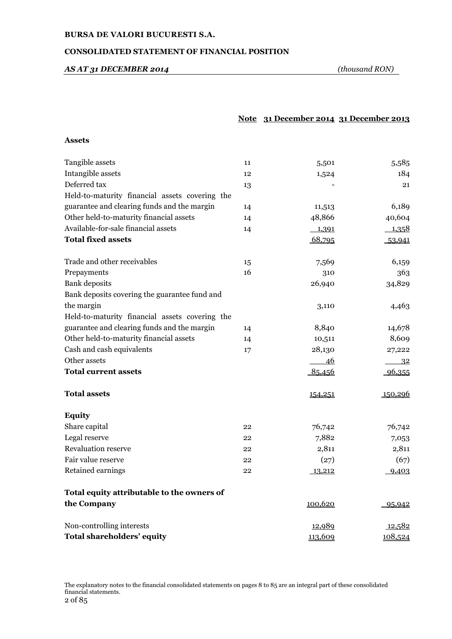# **CONSOLIDATED STATEMENT OF FINANCIAL POSITION**

# *AS AT 31 DECEMBER 2014 (thousand RON)*

## **Note 31 December 2014 31 December 2013**

#### **Assets**

| Tangible assets                                | 11 | 5,501   | 5,585   |
|------------------------------------------------|----|---------|---------|
| Intangible assets                              | 12 | 1,524   | 184     |
| Deferred tax                                   | 13 |         | 21      |
| Held-to-maturity financial assets covering the |    |         |         |
| guarantee and clearing funds and the margin    | 14 | 11,513  | 6,189   |
| Other held-to-maturity financial assets        | 14 | 48,866  | 40,604  |
| Available-for-sale financial assets            | 14 | 1,391   | 1,358   |
| <b>Total fixed assets</b>                      |    | 68,795  | 53,941  |
| Trade and other receivables                    | 15 | 7,569   | 6,159   |
| Prepayments                                    | 16 | 310     | 363     |
| Bank deposits                                  |    | 26,940  | 34,829  |
| Bank deposits covering the guarantee fund and  |    |         |         |
| the margin                                     |    | 3,110   | 4,463   |
| Held-to-maturity financial assets covering the |    |         |         |
| guarantee and clearing funds and the margin    | 14 | 8,840   | 14,678  |
| Other held-to-maturity financial assets        | 14 | 10,511  | 8,609   |
| Cash and cash equivalents                      | 17 | 28,130  | 27,222  |
| Other assets                                   |    | 46      | 32      |
| <b>Total current assets</b>                    |    | 85,456  | 96,355  |
| <b>Total assets</b>                            |    | 154,251 | 150,296 |
| <b>Equity</b>                                  |    |         |         |
| Share capital                                  | 22 | 76,742  | 76,742  |
| Legal reserve                                  | 22 | 7,882   | 7,053   |
| <b>Revaluation reserve</b>                     | 22 | 2,811   | 2,811   |
| Fair value reserve                             | 22 | (27)    | (67)    |
| Retained earnings                              | 22 | 13,212  | 9,403   |
| Total equity attributable to the owners of     |    |         |         |
| the Company                                    |    | 100,620 | 95,942  |
| Non-controlling interests                      |    | 12,989  | 12,582  |
| Total shareholders' equity                     |    | 113,609 | 108,524 |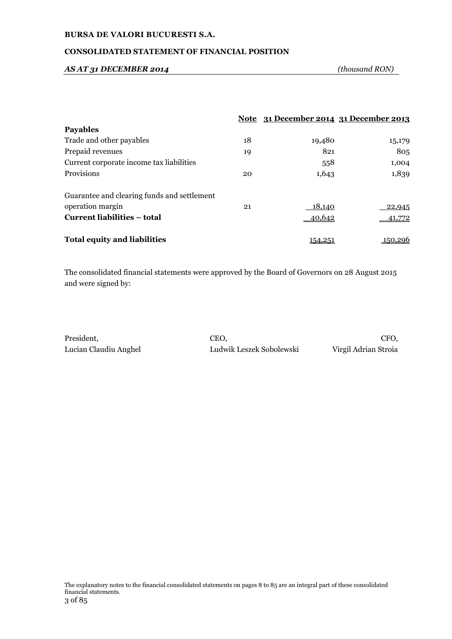# **CONSOLIDATED STATEMENT OF FINANCIAL POSITION**

#### *AS AT 31 DECEMBER 2014 (thousand RON)*

|                                             |    | Note 31 December 2014 31 December 2013 |        |
|---------------------------------------------|----|----------------------------------------|--------|
| <b>Payables</b>                             |    |                                        |        |
| Trade and other payables                    | 18 | 19,480                                 | 15,179 |
| Prepaid revenues                            | 19 | 821                                    | 805    |
| Current corporate income tax liabilities    |    | 558                                    | 1,004  |
| Provisions                                  | 20 | 1,643                                  | 1,839  |
| Guarantee and clearing funds and settlement |    |                                        |        |
| operation margin                            | 21 | <u>18,140</u>                          | 22,945 |
| Current liabilities – total                 |    | 40,642                                 | 41,772 |
| <b>Total equity and liabilities</b>         |    | <u>154.25 </u>                         |        |

The consolidated financial statements were approved by the Board of Governors on 28 August 2015 and were signed by:

President, CEO, CFO,

Lucian Claudiu Anghel Ludwik Leszek Sobolewski Virgil Adrian Stroia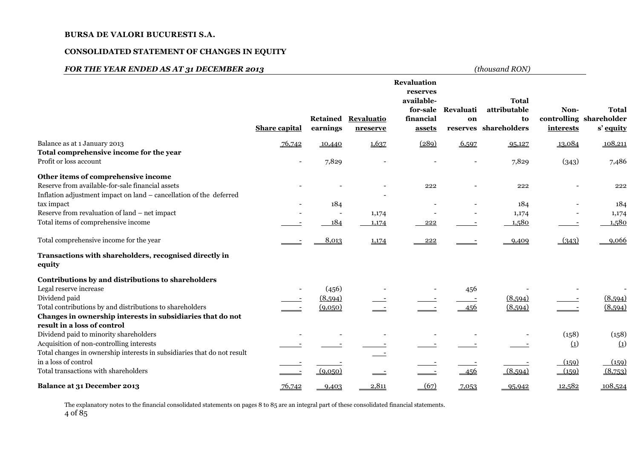### **CONSOLIDATED STATEMENT OF CHANGES IN EQUITY**

# *FOR THE YEAR ENDED AS AT 31 DECEMBER 2013 (thousand RON)*

|                                                                                           | <b>Share capital</b>     | Retained<br>earnings     | <b>Revaluatio</b><br>nreserve | <b>Revaluation</b><br>reserves<br>available-<br>for-sale<br>financial<br>assets | Revaluati<br>on              | <b>Total</b><br>attributable<br>to<br>reserves shareholders | Non-<br>interests | <b>Total</b><br>controlling shareholder<br>s' equity |
|-------------------------------------------------------------------------------------------|--------------------------|--------------------------|-------------------------------|---------------------------------------------------------------------------------|------------------------------|-------------------------------------------------------------|-------------------|------------------------------------------------------|
| Balance as at 1 January 2013                                                              | 76,742                   | 10,440                   | 1,637                         | (289)                                                                           | 6,597                        | 95,127                                                      | 13,084            | 108,211                                              |
| Total comprehensive income for the year<br>Profit or loss account                         | $\overline{\phantom{a}}$ | 7,829                    |                               |                                                                                 | $\qquad \qquad \blacksquare$ | 7,829                                                       | (343)             | 7,486                                                |
| Other items of comprehensive income                                                       |                          |                          |                               |                                                                                 |                              |                                                             |                   |                                                      |
| Reserve from available-for-sale financial assets                                          |                          |                          |                               | 222                                                                             |                              | 222                                                         |                   | 222                                                  |
| Inflation adjustment impact on land - cancellation of the deferred<br>tax impact          |                          | 184                      |                               |                                                                                 |                              | 184                                                         |                   | 184                                                  |
| Reserve from revaluation of land – net impact                                             |                          | $\overline{\phantom{a}}$ | 1,174                         |                                                                                 |                              | 1,174                                                       |                   | 1,174                                                |
| Total items of comprehensive income                                                       |                          | 184                      | 1,174                         | 222                                                                             |                              | 1,580                                                       |                   | 1,580                                                |
| Total comprehensive income for the year                                                   |                          | 8,013                    | 1,174                         | 222                                                                             |                              | 9,409                                                       | (343)             | 9,066                                                |
| Transactions with shareholders, recognised directly in<br>equity                          |                          |                          |                               |                                                                                 |                              |                                                             |                   |                                                      |
| Contributions by and distributions to shareholders                                        |                          |                          |                               |                                                                                 |                              |                                                             |                   |                                                      |
| Legal reserve increase                                                                    |                          | (456)                    |                               |                                                                                 | 456                          |                                                             |                   |                                                      |
| Dividend paid                                                                             |                          | (8,594)                  |                               |                                                                                 |                              | (8,594)                                                     |                   | (8,594)                                              |
| Total contributions by and distributions to shareholders                                  |                          | (9,050)                  |                               |                                                                                 | 456                          | (8,594)                                                     |                   | (8,594)                                              |
| Changes in ownership interests in subsidiaries that do not<br>result in a loss of control |                          |                          |                               |                                                                                 |                              |                                                             |                   |                                                      |
| Dividend paid to minority shareholders                                                    |                          |                          |                               |                                                                                 |                              |                                                             | (158)             | (158)                                                |
| Acquisition of non-controlling interests                                                  |                          |                          |                               |                                                                                 |                              |                                                             | $\left( 1\right)$ | $\Omega$                                             |
| Total changes in ownership interests in subsidiaries that do not result                   |                          |                          |                               |                                                                                 |                              |                                                             |                   |                                                      |
| in a loss of control                                                                      |                          |                          |                               |                                                                                 |                              |                                                             | (159)             | (159)                                                |
| Total transactions with shareholders                                                      |                          | (9,0,50)                 |                               |                                                                                 | 456                          | (8,594)                                                     | (159)             | (8,753)                                              |
| Balance at 31 December 2013                                                               | 76,742                   | 9,403                    | 2,811                         | (67)                                                                            | 7,053                        | 95,942                                                      | 12,582            | 108,524                                              |

The explanatory notes to the financial consolidated statements on pages 8 to 85 are an integral part of these consolidated financial statements. 4 of 85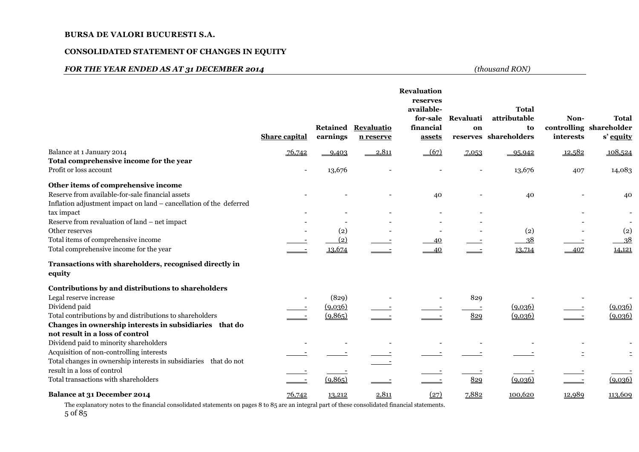### **CONSOLIDATED STATEMENT OF CHANGES IN EQUITY**

# *FOR THE YEAR ENDED AS AT 31 DECEMBER 2014 (thousand RON)*

|                                                                    | <b>Share capital</b> | Retained<br>earnings | Revaluatio<br>n reserve | Revaluation<br>reserves<br>available-<br>for-sale<br>financial<br>assets | Revaluati<br>on | <b>Total</b><br>attributable<br>to<br>reserves shareholders | Non-<br>interests | <b>Total</b><br>controlling shareholder<br>s' equity |
|--------------------------------------------------------------------|----------------------|----------------------|-------------------------|--------------------------------------------------------------------------|-----------------|-------------------------------------------------------------|-------------------|------------------------------------------------------|
| Balance at 1 January 2014                                          | 76,742               | 9,403                | 2,811                   | $-67$                                                                    | 7,053           | $-95,942$                                                   | 12,582            | 108,524                                              |
| Total comprehensive income for the year                            |                      |                      |                         |                                                                          |                 |                                                             |                   |                                                      |
| Profit or loss account                                             |                      | 13,676               |                         |                                                                          |                 | 13,676                                                      | 407               | 14,083                                               |
| Other items of comprehensive income                                |                      |                      |                         |                                                                          |                 |                                                             |                   |                                                      |
| Reserve from available-for-sale financial assets                   |                      |                      |                         | 40                                                                       |                 | 40                                                          |                   | 40                                                   |
| Inflation adjustment impact on land - cancellation of the deferred |                      |                      |                         |                                                                          |                 |                                                             |                   |                                                      |
| tax impact                                                         |                      |                      |                         |                                                                          |                 |                                                             |                   |                                                      |
| Reserve from revaluation of land – net impact                      |                      |                      |                         |                                                                          |                 |                                                             |                   |                                                      |
| Other reserves                                                     |                      | (2)                  |                         |                                                                          |                 | (2)                                                         |                   | $\left( 2\right)$                                    |
| Total items of comprehensive income                                |                      | (2)                  |                         | 40                                                                       |                 | 38                                                          |                   | 38                                                   |
| Total comprehensive income for the year                            |                      | 13,674               |                         | 40                                                                       |                 | 13,714                                                      | 407               | 14,121                                               |
| Transactions with shareholders, recognised directly in<br>equity   |                      |                      |                         |                                                                          |                 |                                                             |                   |                                                      |
| Contributions by and distributions to shareholders                 |                      |                      |                         |                                                                          |                 |                                                             |                   |                                                      |
| Legal reserve increase                                             |                      | (829)                |                         |                                                                          | 829             |                                                             |                   |                                                      |
| Dividend paid                                                      |                      | (9,0,36)             |                         |                                                                          |                 | (9,0,36)                                                    |                   | (9,0,36)                                             |
| Total contributions by and distributions to shareholders           |                      | (9,865)              |                         |                                                                          | 829             | (9,036)                                                     |                   | (9,036)                                              |
| Changes in ownership interests in subsidiaries that do             |                      |                      |                         |                                                                          |                 |                                                             |                   |                                                      |
| not result in a loss of control                                    |                      |                      |                         |                                                                          |                 |                                                             |                   |                                                      |
| Dividend paid to minority shareholders                             |                      |                      |                         |                                                                          |                 |                                                             |                   |                                                      |
| Acquisition of non-controlling interests                           |                      |                      |                         |                                                                          |                 |                                                             |                   |                                                      |
| Total changes in ownership interests in subsidiaries that do not   |                      |                      |                         |                                                                          |                 |                                                             |                   |                                                      |
| result in a loss of control                                        |                      |                      |                         |                                                                          |                 |                                                             |                   |                                                      |
| Total transactions with shareholders                               |                      | (9,865)              |                         |                                                                          | 829             | (9,036)                                                     |                   | (9,036)                                              |
| Balance at 31 December 2014                                        | 76,742               | 13,212               | 2,811                   | (27)                                                                     | 7,882           | 100,620                                                     | 12,989            | 113,609                                              |

The explanatory notes to the financial consolidated statements on pages 8 to 85 are an integral part of these consolidated financial statements. 5 of 85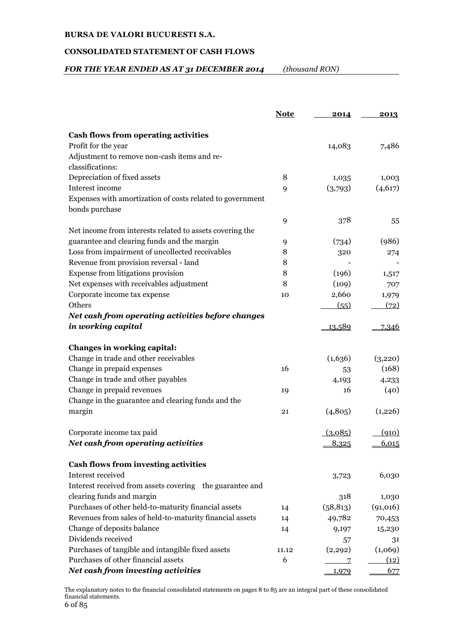# **CONSOLIDATED STATEMENT OF CASH FLOWS**

# *FOR THE YEAR ENDED AS AT 31 DECEMBER 2014 (thousand RON)*

|                                                           | <b>Note</b> | 2014      | 2013     |
|-----------------------------------------------------------|-------------|-----------|----------|
| <b>Cash flows from operating activities</b>               |             |           |          |
| Profit for the year                                       |             | 14,083    | 7,486    |
| Adjustment to remove non-cash items and re-               |             |           |          |
| classifications:                                          |             |           |          |
| Depreciation of fixed assets                              | 8           | 1,035     | 1,003    |
| Interest income                                           | 9           | (3,793)   | (4,617)  |
| Expenses with amortization of costs related to government |             |           |          |
| bonds purchase                                            |             |           |          |
|                                                           | 9           | 378       | 55       |
| Net income from interests related to assets covering the  |             |           |          |
| guarantee and clearing funds and the margin               | 9           | (734)     | (986)    |
| Loss from impairment of uncollected receivables           | 8           | 320       | 274      |
| Revenue from provision reversal - land                    | 8           |           |          |
| Expense from litigations provision                        | 8           | (196)     | 1,517    |
| Net expenses with receivables adjustment                  | 8           | (109)     | 707      |
| Corporate income tax expense                              | 10          | 2,660     | 1,979    |
| Others                                                    |             | (55)      | (72)     |
| Net cash from operating activities before changes         |             |           |          |
| in working capital                                        |             | 13,589    | 7,346    |
| Changes in working capital:                               |             |           |          |
| Change in trade and other receivables                     |             | (1,636)   | (3,220)  |
| Change in prepaid expenses                                | 16          | 53        | (168)    |
| Change in trade and other payables                        |             | 4,193     | 4,233    |
| Change in prepaid revenues                                | 19          | 16        | (40)     |
| Change in the guarantee and clearing funds and the        |             |           |          |
| margin                                                    | 21          | (4,805)   | (1,226)  |
| Corporate income tax paid                                 |             | (3.085)   | (910)    |
| Net cash from operating activities                        |             | 8,325     | 6,015    |
|                                                           |             |           |          |
| Cash flows from investing activities                      |             |           |          |
| Interest received                                         |             | 3,723     | 6,030    |
| Interest received from assets covering the guarantee and  |             |           |          |
| clearing funds and margin                                 |             | 318       | 1,030    |
| Purchases of other held-to-maturity financial assets      | 14          | (58, 813) | (91,016) |
| Revenues from sales of held-to-maturity financial assets  | 14          | 49,782    | 70,453   |
| Change of deposits balance                                | 14          | 9,197     | 15,230   |
| Dividends received                                        |             | 57        | 31       |
| Purchases of tangible and intangible fixed assets         | 11.12       | (2,292)   | (1,069)  |
| Purchases of other financial assets                       | 6           | 7         | (12)     |
| Net cash from investing activities                        |             | 1,979     | 677      |

The explanatory notes to the financial consolidated statements on pages 8 to 85 are an integral part of these consolidated financial statements.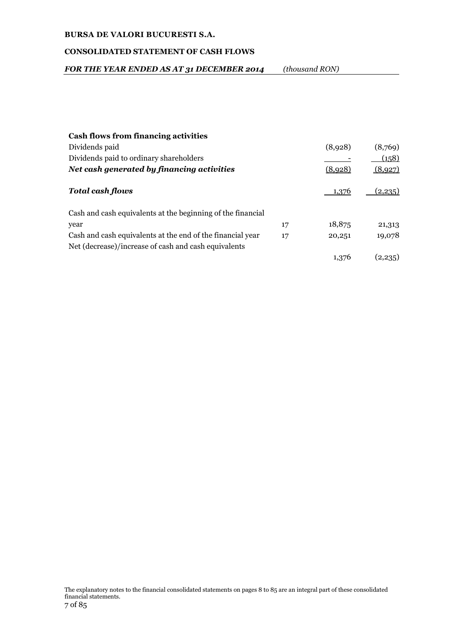# **CONSOLIDATED STATEMENT OF CASH FLOWS**

| FOR THE YEAR ENDED AS AT 31 DECEMBER 2014 | (thousand RON) |
|-------------------------------------------|----------------|
|-------------------------------------------|----------------|

| <b>Cash flows from financing activities</b>                 |    |         |         |
|-------------------------------------------------------------|----|---------|---------|
| Dividends paid                                              |    | (8,928) | (8,769) |
| Dividends paid to ordinary shareholders                     |    |         | (158)   |
| Net cash generated by financing activities                  |    | (8.928) | (8,927) |
| <b>Total cash flows</b>                                     |    | ⊥?76    | 12.235  |
| Cash and cash equivalents at the beginning of the financial |    |         |         |
| year                                                        | 17 | 18,875  | 21,313  |
| Cash and cash equivalents at the end of the financial year  | 17 | 20,251  | 19,078  |
| Net (decrease)/increase of cash and cash equivalents        |    |         |         |
|                                                             |    | 1,376   | (2.235) |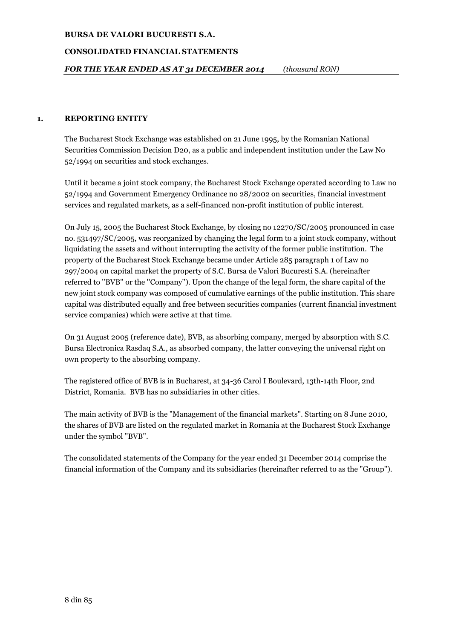## **CONSOLIDATED FINANCIAL STATEMENTS**

## **1. REPORTING ENTITY**

The Bucharest Stock Exchange was established on 21 June 1995, by the Romanian National Securities Commission Decision D20, as a public and independent institution under the Law No 52/1994 on securities and stock exchanges.

Until it became a joint stock company, the Bucharest Stock Exchange operated according to Law no 52/1994 and Government Emergency Ordinance no 28/2002 on securities, financial investment services and regulated markets, as a self-financed non-profit institution of public interest.

On July 15, 2005 the Bucharest Stock Exchange, by closing no 12270/SC/2005 pronounced in case no. 531497/SC/2005, was reorganized by changing the legal form to a joint stock company, without liquidating the assets and without interrupting the activity of the former public institution. The property of the Bucharest Stock Exchange became under Article 285 paragraph 1 of Law no 297/2004 on capital market the property of S.C. Bursa de Valori Bucuresti S.A. (hereinafter referred to ''BVB'' or the ''Company''). Upon the change of the legal form, the share capital of the new joint stock company was composed of cumulative earnings of the public institution. This share capital was distributed equally and free between securities companies (current financial investment service companies) which were active at that time.

On 31 August 2005 (reference date), BVB, as absorbing company, merged by absorption with S.C. Bursa Electronica Rasdaq S.A., as absorbed company, the latter conveying the universal right on own property to the absorbing company.

The registered office of BVB is in Bucharest, at 34-36 Carol I Boulevard, 13th-14th Floor, 2nd District, Romania. BVB has no subsidiaries in other cities.

The main activity of BVB is the "Management of the financial markets". Starting on 8 June 2010, the shares of BVB are listed on the regulated market in Romania at the Bucharest Stock Exchange under the symbol "BVB".

The consolidated statements of the Company for the year ended 31 December 2014 comprise the financial information of the Company and its subsidiaries (hereinafter referred to as the "Group").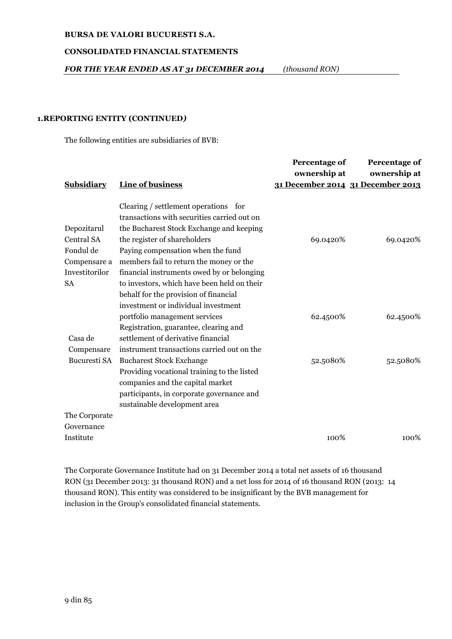# **CONSOLIDATED FINANCIAL STATEMENTS**

*FOR THE YEAR ENDED AS AT 31 DECEMBER 2014 (thousand RON)*

### **1.REPORTING ENTITY (CONTINUED***)*

The following entities are subsidiaries of BVB:

|                |                                             | Percentage of<br>ownership at | Percentage of<br>ownership at     |
|----------------|---------------------------------------------|-------------------------------|-----------------------------------|
| Subsidiary     | Line of business                            |                               | 31 December 2014 31 December 2013 |
|                | Clearing / settlement operations for        |                               |                                   |
|                | transactions with securities carried out on |                               |                                   |
| Depozitarul    | the Bucharest Stock Exchange and keeping    |                               |                                   |
| Central SA     | the register of shareholders                | 69.0420%                      | 69.0420%                          |
| Fondul de      | Paying compensation when the fund           |                               |                                   |
| Compensare a   | members fail to return the money or the     |                               |                                   |
| Investitorilor | financial instruments owed by or belonging  |                               |                                   |
| <b>SA</b>      | to investors, which have been held on their |                               |                                   |
|                | behalf for the provision of financial       |                               |                                   |
|                | investment or individual investment         |                               |                                   |
|                | portfolio management services               | 62.4500%                      | 62.4500%                          |
|                | Registration, guarantee, clearing and       |                               |                                   |
| Casa de        | settlement of derivative financial          |                               |                                   |
| Compensare     | instrument transactions carried out on the  |                               |                                   |
| Bucuresti SA   | <b>Bucharest Stock Exchange</b>             | 52.5080%                      | 52.5080%                          |
|                | Providing vocational training to the listed |                               |                                   |
|                | companies and the capital market            |                               |                                   |
|                | participants, in corporate governance and   |                               |                                   |
|                | sustainable development area                |                               |                                   |
| The Corporate  |                                             |                               |                                   |
| Governance     |                                             |                               |                                   |
| Institute      |                                             | 100%                          | 100%                              |

The Corporate Governance Institute had on 31 December 2014 a total net assets of 16 thousand RON (31 December 2013: 31 thousand RON) and a net loss for 2014 of 16 thousand RON (2013: 14 thousand RON). This entity was considered to be insignificant by the BVB management for inclusion in the Group's consolidated financial statements.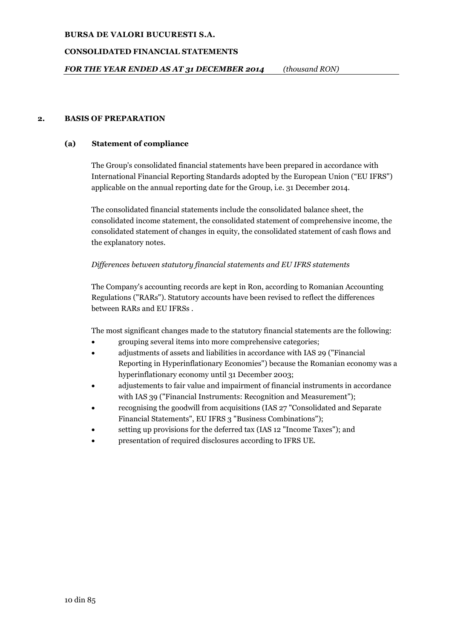# **CONSOLIDATED FINANCIAL STATEMENTS**

## **2. BASIS OF PREPARATION**

# **(a) Statement of compliance**

The Group's consolidated financial statements have been prepared in accordance with International Financial Reporting Standards adopted by the European Union ("EU IFRS") applicable on the annual reporting date for the Group, i.e. 31 December 2014.

The consolidated financial statements include the consolidated balance sheet, the consolidated income statement, the consolidated statement of comprehensive income, the consolidated statement of changes in equity, the consolidated statement of cash flows and the explanatory notes.

# *Differences between statutory financial statements and EU IFRS statements*

The Company's accounting records are kept in Ron, according to Romanian Accounting Regulations ("RARs"). Statutory accounts have been revised to reflect the differences between RARs and EU IFRSs .

The most significant changes made to the statutory financial statements are the following:

- grouping several items into more comprehensive categories;
- adjustments of assets and liabilities in accordance with IAS 29 ("Financial Reporting in Hyperinflationary Economies") because the Romanian economy was a hyperinflationary economy until 31 December 2003;
- adjustements to fair value and impairment of financial instruments in accordance with IAS 39 ("Financial Instruments: Recognition and Measurement");
- recognising the goodwill from acquisitions (IAS 27 "Consolidated and Separate Financial Statements", EU IFRS 3 "Business Combinations");
- setting up provisions for the deferred tax (IAS 12 "Income Taxes"); and
- presentation of required disclosures according to IFRS UE.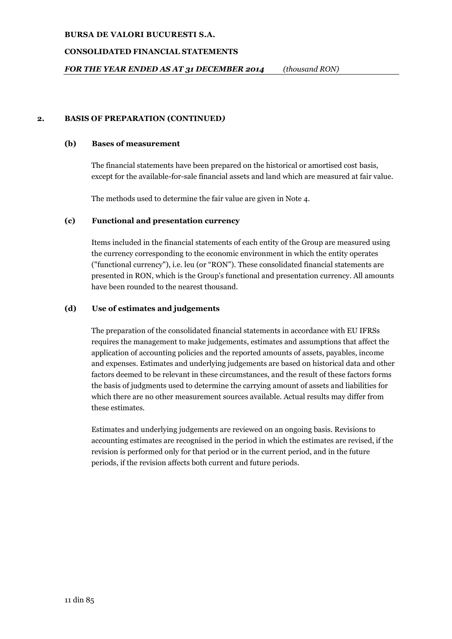# **CONSOLIDATED FINANCIAL STATEMENTS**

# **2. BASIS OF PREPARATION (CONTINUED***)*

## **(b) Bases of measurement**

The financial statements have been prepared on the historical or amortised cost basis, except for the available-for-sale financial assets and land which are measured at fair value.

The methods used to determine the fair value are given in Note 4.

# **(c) Functional and presentation currency**

Items included in the financial statements of each entity of the Group are measured using the currency corresponding to the economic environment in which the entity operates ("functional currency"), i.e. leu (or "RON"). These consolidated financial statements are presented in RON, which is the Group's functional and presentation currency. All amounts have been rounded to the nearest thousand.

# **(d) Use of estimates and judgements**

The preparation of the consolidated financial statements in accordance with EU IFRSs requires the management to make judgements, estimates and assumptions that affect the application of accounting policies and the reported amounts of assets, payables, income and expenses. Estimates and underlying judgements are based on historical data and other factors deemed to be relevant in these circumstances, and the result of these factors forms the basis of judgments used to determine the carrying amount of assets and liabilities for which there are no other measurement sources available. Actual results may differ from these estimates.

Estimates and underlying judgements are reviewed on an ongoing basis. Revisions to accounting estimates are recognised in the period in which the estimates are revised, if the revision is performed only for that period or in the current period, and in the future periods, if the revision affects both current and future periods.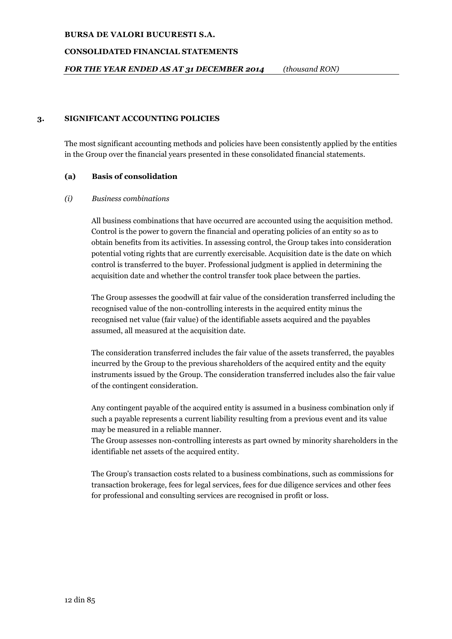### **CONSOLIDATED FINANCIAL STATEMENTS**

*FOR THE YEAR ENDED AS AT 31 DECEMBER 2014 (thousand RON)*

## **3. SIGNIFICANT ACCOUNTING POLICIES**

The most significant accounting methods and policies have been consistently applied by the entities in the Group over the financial years presented in these consolidated financial statements.

### **(a) Basis of consolidation**

#### *(i) Business combinations*

All business combinations that have occurred are accounted using the acquisition method. Control is the power to govern the financial and operating policies of an entity so as to obtain benefits from its activities. In assessing control, the Group takes into consideration potential voting rights that are currently exercisable. Acquisition date is the date on which control is transferred to the buyer. Professional judgment is applied in determining the acquisition date and whether the control transfer took place between the parties.

The Group assesses the goodwill at fair value of the consideration transferred including the recognised value of the non-controlling interests in the acquired entity minus the recognised net value (fair value) of the identifiable assets acquired and the payables assumed, all measured at the acquisition date.

The consideration transferred includes the fair value of the assets transferred, the payables incurred by the Group to the previous shareholders of the acquired entity and the equity instruments issued by the Group. The consideration transferred includes also the fair value of the contingent consideration.

Any contingent payable of the acquired entity is assumed in a business combination only if such a payable represents a current liability resulting from a previous event and its value may be measured in a reliable manner.

The Group assesses non-controlling interests as part owned by minority shareholders in the identifiable net assets of the acquired entity.

The Group's transaction costs related to a business combinations, such as commissions for transaction brokerage, fees for legal services, fees for due diligence services and other fees for professional and consulting services are recognised in profit or loss.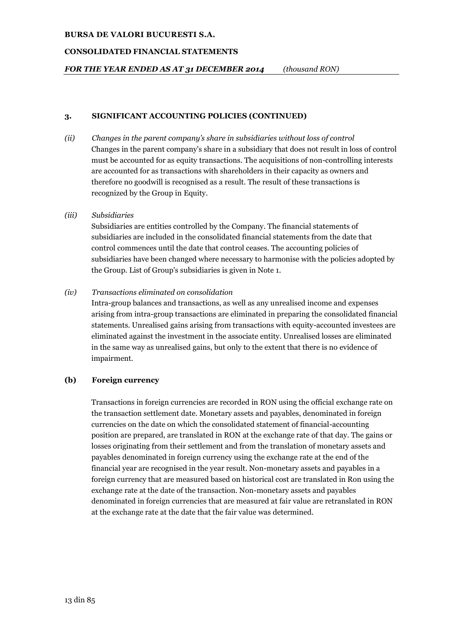### **CONSOLIDATED FINANCIAL STATEMENTS**

*FOR THE YEAR ENDED AS AT 31 DECEMBER 2014 (thousand RON)*

## **3. SIGNIFICANT ACCOUNTING POLICIES (CONTINUED)**

*(ii) Changes in the parent company's share in subsidiaries without loss of control* Changes in the parent company's share in a subsidiary that does not result in loss of control must be accounted for as equity transactions. The acquisitions of non-controlling interests are accounted for as transactions with shareholders in their capacity as owners and therefore no goodwill is recognised as a result. The result of these transactions is recognized by the Group in Equity.

# *(iii) Subsidiaries*

Subsidiaries are entities controlled by the Company. The financial statements of subsidiaries are included in the consolidated financial statements from the date that control commences until the date that control ceases. The accounting policies of subsidiaries have been changed where necessary to harmonise with the policies adopted by the Group. List of Group's subsidiaries is given in Note 1.

# *(iv) Transactions eliminated on consolidation*

Intra-group balances and transactions, as well as any unrealised income and expenses arising from intra-group transactions are eliminated in preparing the consolidated financial statements. Unrealised gains arising from transactions with equity-accounted investees are eliminated against the investment in the associate entity. Unrealised losses are eliminated in the same way as unrealised gains, but only to the extent that there is no evidence of impairment.

# **(b) Foreign currency**

Transactions in foreign currencies are recorded in RON using the official exchange rate on the transaction settlement date. Monetary assets and payables, denominated in foreign currencies on the date on which the consolidated statement of financial-accounting position are prepared, are translated in RON at the exchange rate of that day. The gains or losses originating from their settlement and from the translation of monetary assets and payables denominated in foreign currency using the exchange rate at the end of the financial year are recognised in the year result. Non-monetary assets and payables in a foreign currency that are measured based on historical cost are translated in Ron using the exchange rate at the date of the transaction. Non-monetary assets and payables denominated in foreign currencies that are measured at fair value are retranslated in RON at the exchange rate at the date that the fair value was determined.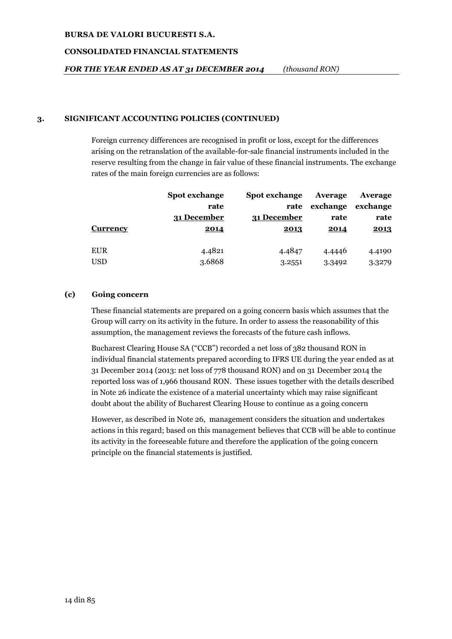### **CONSOLIDATED FINANCIAL STATEMENTS**

*FOR THE YEAR ENDED AS AT 31 DECEMBER 2014 (thousand RON)*

# **3. SIGNIFICANT ACCOUNTING POLICIES (CONTINUED)**

Foreign currency differences are recognised in profit or loss, except for the differences arising on the retranslation of the available-for-sale financial instruments included in the reserve resulting from the change in fair value of these financial instruments. The exchange rates of the main foreign currencies are as follows:

| Spot exchange | <b>Spot exchange</b> | Average  | Average  |
|---------------|----------------------|----------|----------|
| rate          | rate                 | exchange | exchange |
| 31 December   | 31 December          | rate     | rate     |
| 2014          | 2013                 | 2014     | 2013     |
|               |                      |          |          |
| 4.4821        | 4.4847               | 4.4446   | 4.4190   |
| 3.6868        | 3.2551               | 3.3492   | 3.3279   |
|               |                      |          |          |

# **(c) Going concern**

These financial statements are prepared on a going concern basis which assumes that the Group will carry on its activity in the future. In order to assess the reasonability of this assumption, the management reviews the forecasts of the future cash inflows.

Bucharest Clearing House SA ("CCB") recorded a net loss of 382 thousand RON in individual financial statements prepared according to IFRS UE during the year ended as at 31 December 2014 (2013: net loss of 778 thousand RON) and on 31 December 2014 the reported loss was of 1,966 thousand RON. These issues together with the details described in Note 26 indicate the existence of a material uncertainty which may raise significant doubt about the ability of Bucharest Clearing House to continue as a going concern

However, as described in Note 26, management considers the situation and undertakes actions in this regard; based on this management believes that CCB will be able to continue its activity in the foreeseable future and therefore the application of the going concern principle on the financial statements is justified.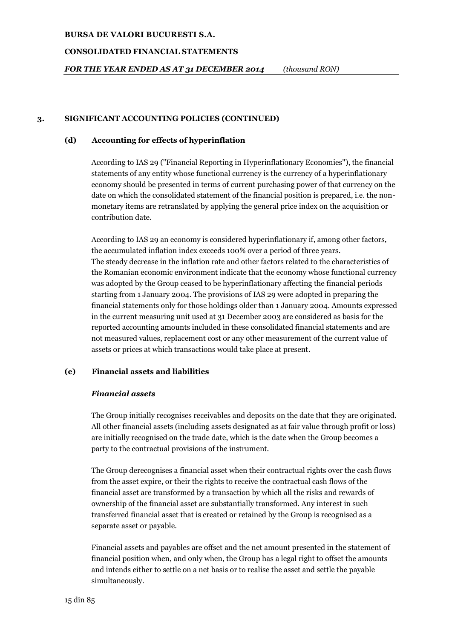### **CONSOLIDATED FINANCIAL STATEMENTS**

*FOR THE YEAR ENDED AS AT 31 DECEMBER 2014 (thousand RON)*

# **3. SIGNIFICANT ACCOUNTING POLICIES (CONTINUED)**

## **(d) Accounting for effects of hyperinflation**

According to IAS 29 ("Financial Reporting in Hyperinflationary Economies"), the financial statements of any entity whose functional currency is the currency of a hyperinflationary economy should be presented in terms of current purchasing power of that currency on the date on which the consolidated statement of the financial position is prepared, i.e. the nonmonetary items are retranslated by applying the general price index on the acquisition or contribution date.

According to IAS 29 an economy is considered hyperinflationary if, among other factors, the accumulated inflation index exceeds 100% over a period of three years. The steady decrease in the inflation rate and other factors related to the characteristics of the Romanian economic environment indicate that the economy whose functional currency was adopted by the Group ceased to be hyperinflationary affecting the financial periods starting from 1 January 2004. The provisions of IAS 29 were adopted in preparing the financial statements only for those holdings older than 1 January 2004. Amounts expressed in the current measuring unit used at 31 December 2003 are considered as basis for the reported accounting amounts included in these consolidated financial statements and are not measured values, replacement cost or any other measurement of the current value of assets or prices at which transactions would take place at present.

# **(e) Financial assets and liabilities**

#### *Financial assets*

The Group initially recognises receivables and deposits on the date that they are originated. All other financial assets (including assets designated as at fair value through profit or loss) are initially recognised on the trade date, which is the date when the Group becomes a party to the contractual provisions of the instrument.

The Group derecognises a financial asset when their contractual rights over the cash flows from the asset expire, or their the rights to receive the contractual cash flows of the financial asset are transformed by a transaction by which all the risks and rewards of ownership of the financial asset are substantially transformed. Any interest in such transferred financial asset that is created or retained by the Group is recognised as a separate asset or payable.

Financial assets and payables are offset and the net amount presented in the statement of financial position when, and only when, the Group has a legal right to offset the amounts and intends either to settle on a net basis or to realise the asset and settle the payable simultaneously.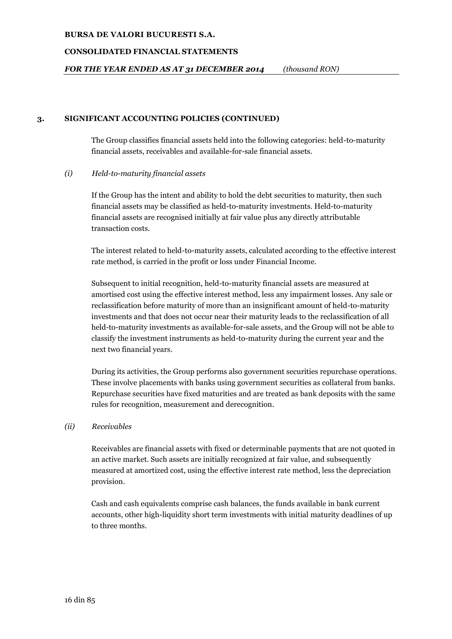### **CONSOLIDATED FINANCIAL STATEMENTS**

# *FOR THE YEAR ENDED AS AT 31 DECEMBER 2014 (thousand RON)*

### **3. SIGNIFICANT ACCOUNTING POLICIES (CONTINUED)**

The Group classifies financial assets held into the following categories: held-to-maturity financial assets, receivables and available-for-sale financial assets.

### *(i) Held-to-maturity financial assets*

If the Group has the intent and ability to hold the debt securities to maturity, then such financial assets may be classified as held-to-maturity investments. Held-to-maturity financial assets are recognised initially at fair value plus any directly attributable transaction costs.

The interest related to held-to-maturity assets, calculated according to the effective interest rate method, is carried in the profit or loss under Financial Income.

Subsequent to initial recognition, held-to-maturity financial assets are measured at amortised cost using the effective interest method, less any impairment losses. Any sale or reclassification before maturity of more than an insignificant amount of held-to-maturity investments and that does not occur near their maturity leads to the reclassification of all held-to-maturity investments as available-for-sale assets, and the Group will not be able to classify the investment instruments as held-to-maturity during the current year and the next two financial years.

During its activities, the Group performs also government securities repurchase operations. These involve placements with banks using government securities as collateral from banks. Repurchase securities have fixed maturities and are treated as bank deposits with the same rules for recognition, measurement and derecognition.

#### *(ii) Receivables*

Receivables are financial assets with fixed or determinable payments that are not quoted in an active market. Such assets are initially recognized at fair value, and subsequently measured at amortized cost, using the effective interest rate method, less the depreciation provision.

Cash and cash equivalents comprise cash balances, the funds available in bank current accounts, other high-liquidity short term investments with initial maturity deadlines of up to three months.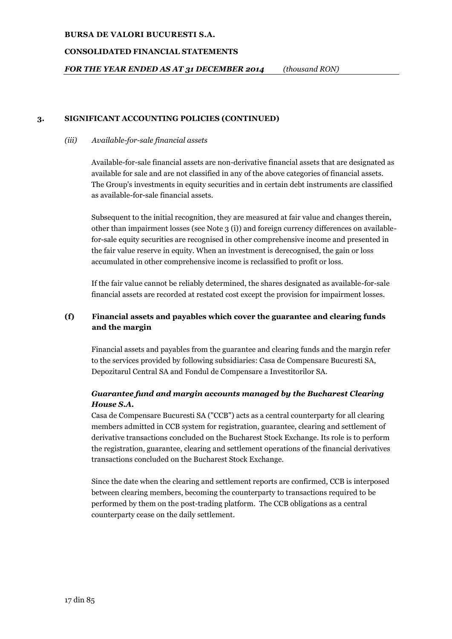### **CONSOLIDATED FINANCIAL STATEMENTS**

*FOR THE YEAR ENDED AS AT 31 DECEMBER 2014 (thousand RON)*

## **3. SIGNIFICANT ACCOUNTING POLICIES (CONTINUED)**

#### *(iii) Available-for-sale financial assets*

Available-for-sale financial assets are non-derivative financial assets that are designated as available for sale and are not classified in any of the above categories of financial assets. The Group's investments in equity securities and in certain debt instruments are classified as available-for-sale financial assets.

Subsequent to the initial recognition, they are measured at fair value and changes therein, other than impairment losses (see Note 3 (i)) and foreign currency differences on availablefor-sale equity securities are recognised in other comprehensive income and presented in the fair value reserve in equity. When an investment is derecognised, the gain or loss accumulated in other comprehensive income is reclassified to profit or loss.

If the fair value cannot be reliably determined, the shares designated as available-for-sale financial assets are recorded at restated cost except the provision for impairment losses.

# **(f) Financial assets and payables which cover the guarantee and clearing funds and the margin**

Financial assets and payables from the guarantee and clearing funds and the margin refer to the services provided by following subsidiaries: Casa de Compensare Bucuresti SA, Depozitarul Central SA and Fondul de Compensare a Investitorilor SA.

# *Guarantee fund and margin accounts managed by the Bucharest Clearing House S.A.*

Casa de Compensare Bucuresti SA ("CCB") acts as a central counterparty for all clearing members admitted in CCB system for registration, guarantee, clearing and settlement of derivative transactions concluded on the Bucharest Stock Exchange. Its role is to perform the registration, guarantee, clearing and settlement operations of the financial derivatives transactions concluded on the Bucharest Stock Exchange.

Since the date when the clearing and settlement reports are confirmed, CCB is interposed between clearing members, becoming the counterparty to transactions required to be performed by them on the post-trading platform. The CCB obligations as a central counterparty cease on the daily settlement.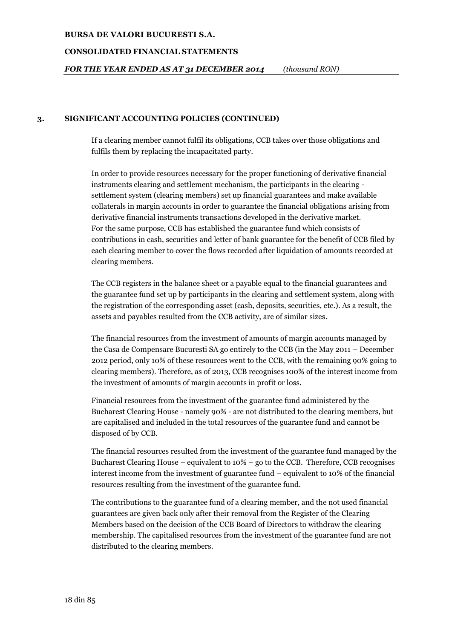### **CONSOLIDATED FINANCIAL STATEMENTS**

# *FOR THE YEAR ENDED AS AT 31 DECEMBER 2014 (thousand RON)*

## **3. SIGNIFICANT ACCOUNTING POLICIES (CONTINUED)**

If a clearing member cannot fulfil its obligations, CCB takes over those obligations and fulfils them by replacing the incapacitated party.

In order to provide resources necessary for the proper functioning of derivative financial instruments clearing and settlement mechanism, the participants in the clearing settlement system (clearing members) set up financial guarantees and make available collaterals in margin accounts in order to guarantee the financial obligations arising from derivative financial instruments transactions developed in the derivative market. For the same purpose, CCB has established the guarantee fund which consists of contributions in cash, securities and letter of bank guarantee for the benefit of CCB filed by each clearing member to cover the flows recorded after liquidation of amounts recorded at clearing members.

The CCB registers in the balance sheet or a payable equal to the financial guarantees and the guarantee fund set up by participants in the clearing and settlement system, along with the registration of the corresponding asset (cash, deposits, securities, etc.). As a result, the assets and payables resulted from the CCB activity, are of similar sizes.

The financial resources from the investment of amounts of margin accounts managed by the Casa de Compensare Bucuresti SA go entirely to the CCB (in the May 2011 – December 2012 period, only 10% of these resources went to the CCB, with the remaining 90% going to clearing members). Therefore, as of 2013, CCB recognises 100% of the interest income from the investment of amounts of margin accounts in profit or loss.

Financial resources from the investment of the guarantee fund administered by the Bucharest Clearing House - namely 90% - are not distributed to the clearing members, but are capitalised and included in the total resources of the guarantee fund and cannot be disposed of by CCB.

The financial resources resulted from the investment of the guarantee fund managed by the Bucharest Clearing House – equivalent to  $10\%$  – go to the CCB. Therefore, CCB recognises interest income from the investment of guarantee fund – equivalent to 10% of the financial resources resulting from the investment of the guarantee fund.

The contributions to the guarantee fund of a clearing member, and the not used financial guarantees are given back only after their removal from the Register of the Clearing Members based on the decision of the CCB Board of Directors to withdraw the clearing membership. The capitalised resources from the investment of the guarantee fund are not distributed to the clearing members.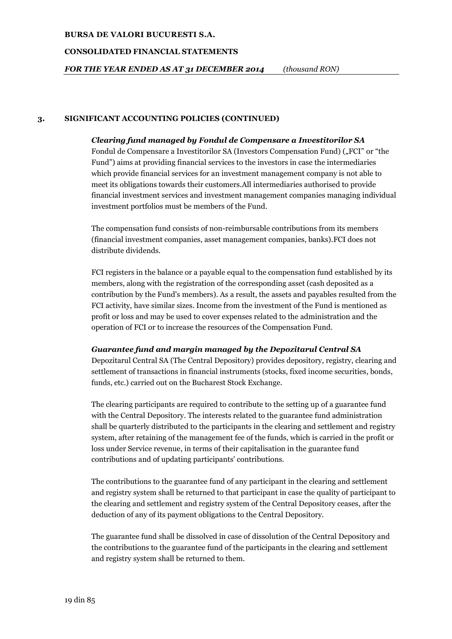### **CONSOLIDATED FINANCIAL STATEMENTS**

*FOR THE YEAR ENDED AS AT 31 DECEMBER 2014 (thousand RON)*

# **3. SIGNIFICANT ACCOUNTING POLICIES (CONTINUED)**

# *Clearing fund managed by Fondul de Compensare a Investitorilor SA*

Fondul de Compensare a Investitorilor SA (Investors Compensation Fund) ("FCI" or "the Fund") aims at providing financial services to the investors in case the intermediaries which provide financial services for an investment management company is not able to meet its obligations towards their customers.All intermediaries authorised to provide financial investment services and investment management companies managing individual investment portfolios must be members of the Fund.

The compensation fund consists of non-reimbursable contributions from its members (financial investment companies, asset management companies, banks).FCI does not distribute dividends.

FCI registers in the balance or a payable equal to the compensation fund established by its members, along with the registration of the corresponding asset (cash deposited as a contribution by the Fund's members). As a result, the assets and payables resulted from the FCI activity, have similar sizes. Income from the investment of the Fund is mentioned as profit or loss and may be used to cover expenses related to the administration and the operation of FCI or to increase the resources of the Compensation Fund.

# *Guarantee fund and margin managed by the Depozitarul Central SA*

Depozitarul Central SA (The Central Depository) provides depository, registry, clearing and settlement of transactions in financial instruments (stocks, fixed income securities, bonds, funds, etc.) carried out on the Bucharest Stock Exchange.

The clearing participants are required to contribute to the setting up of a guarantee fund with the Central Depository. The interests related to the guarantee fund administration shall be quarterly distributed to the participants in the clearing and settlement and registry system, after retaining of the management fee of the funds, which is carried in the profit or loss under Service revenue, in terms of their capitalisation in the guarantee fund contributions and of updating participants' contributions.

The contributions to the guarantee fund of any participant in the clearing and settlement and registry system shall be returned to that participant in case the quality of participant to the clearing and settlement and registry system of the Central Depository ceases, after the deduction of any of its payment obligations to the Central Depository.

The guarantee fund shall be dissolved in case of dissolution of the Central Depository and the contributions to the guarantee fund of the participants in the clearing and settlement and registry system shall be returned to them.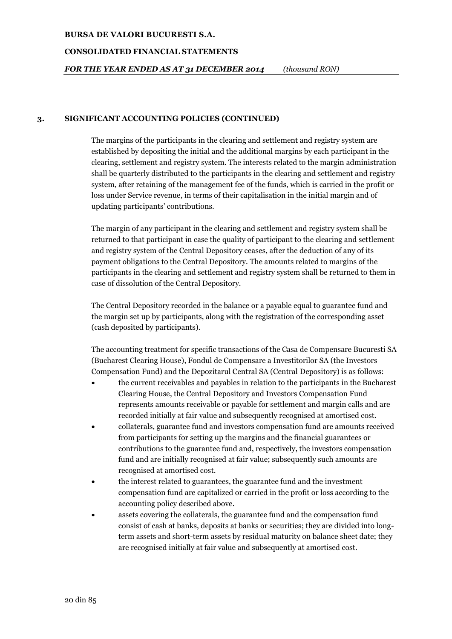### **CONSOLIDATED FINANCIAL STATEMENTS**

# *FOR THE YEAR ENDED AS AT 31 DECEMBER 2014 (thousand RON)*

## **3. SIGNIFICANT ACCOUNTING POLICIES (CONTINUED)**

The margins of the participants in the clearing and settlement and registry system are established by depositing the initial and the additional margins by each participant in the clearing, settlement and registry system. The interests related to the margin administration shall be quarterly distributed to the participants in the clearing and settlement and registry system, after retaining of the management fee of the funds, which is carried in the profit or loss under Service revenue, in terms of their capitalisation in the initial margin and of updating participants' contributions.

The margin of any participant in the clearing and settlement and registry system shall be returned to that participant in case the quality of participant to the clearing and settlement and registry system of the Central Depository ceases, after the deduction of any of its payment obligations to the Central Depository. The amounts related to margins of the participants in the clearing and settlement and registry system shall be returned to them in case of dissolution of the Central Depository.

The Central Depository recorded in the balance or a payable equal to guarantee fund and the margin set up by participants, along with the registration of the corresponding asset (cash deposited by participants).

The accounting treatment for specific transactions of the Casa de Compensare Bucuresti SA (Bucharest Clearing House), Fondul de Compensare a Investitorilor SA (the Investors Compensation Fund) and the Depozitarul Central SA (Central Depository) is as follows:

- the current receivables and payables in relation to the participants in the Bucharest Clearing House, the Central Depository and Investors Compensation Fund represents amounts receivable or payable for settlement and margin calls and are recorded initially at fair value and subsequently recognised at amortised cost.
- collaterals, guarantee fund and investors compensation fund are amounts received from participants for setting up the margins and the financial guarantees or contributions to the guarantee fund and, respectively, the investors compensation fund and are initially recognised at fair value; subsequently such amounts are recognised at amortised cost.
- the interest related to guarantees, the guarantee fund and the investment compensation fund are capitalized or carried in the profit or loss according to the accounting policy described above.
- assets covering the collaterals, the guarantee fund and the compensation fund consist of cash at banks, deposits at banks or securities; they are divided into longterm assets and short-term assets by residual maturity on balance sheet date; they are recognised initially at fair value and subsequently at amortised cost.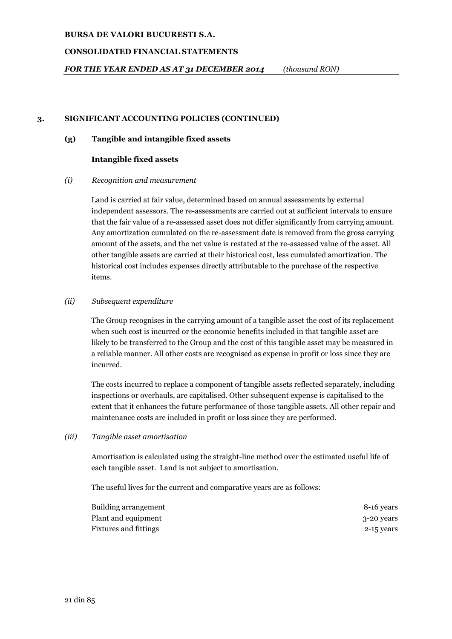## **CONSOLIDATED FINANCIAL STATEMENTS**

*FOR THE YEAR ENDED AS AT 31 DECEMBER 2014 (thousand RON)*

## **3. SIGNIFICANT ACCOUNTING POLICIES (CONTINUED)**

#### **(g) Tangible and intangible fixed assets**

#### **Intangible fixed assets**

### *(i) Recognition and measurement*

Land is carried at fair value, determined based on annual assessments by external independent assessors. The re-assessments are carried out at sufficient intervals to ensure that the fair value of a re-assessed asset does not differ significantly from carrying amount. Any amortization cumulated on the re-assessment date is removed from the gross carrying amount of the assets, and the net value is restated at the re-assessed value of the asset. All other tangible assets are carried at their historical cost, less cumulated amortization. The historical cost includes expenses directly attributable to the purchase of the respective items.

### *(ii) Subsequent expenditure*

The Group recognises in the carrying amount of a tangible asset the cost of its replacement when such cost is incurred or the economic benefits included in that tangible asset are likely to be transferred to the Group and the cost of this tangible asset may be measured in a reliable manner. All other costs are recognised as expense in profit or loss since they are incurred.

The costs incurred to replace a component of tangible assets reflected separately, including inspections or overhauls, are capitalised. Other subsequent expense is capitalised to the extent that it enhances the future performance of those tangible assets. All other repair and maintenance costs are included in profit or loss since they are performed.

#### *(iii) Tangible asset amortisation*

Amortisation is calculated using the straight-line method over the estimated useful life of each tangible asset. Land is not subject to amortisation.

The useful lives for the current and comparative years are as follows:

| <b>Building arrangement</b> | 8-16 years |
|-----------------------------|------------|
| Plant and equipment         | 3-20 years |
| Fixtures and fittings       | 2-15 years |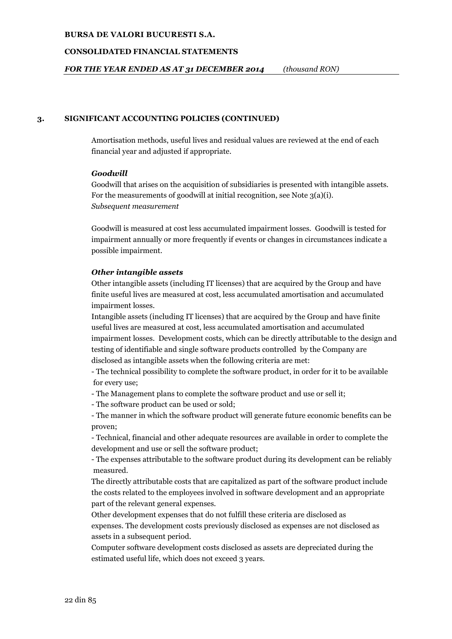### **CONSOLIDATED FINANCIAL STATEMENTS**

# *FOR THE YEAR ENDED AS AT 31 DECEMBER 2014 (thousand RON)*

## **3. SIGNIFICANT ACCOUNTING POLICIES (CONTINUED)**

Amortisation methods, useful lives and residual values are reviewed at the end of each financial year and adjusted if appropriate.

### *Goodwill*

Goodwill that arises on the acquisition of subsidiaries is presented with intangible assets. For the measurements of goodwill at initial recognition, see Note 3(a)(i). *Subsequent measurement*

Goodwill is measured at cost less accumulated impairment losses. Goodwill is tested for impairment annually or more frequently if events or changes in circumstances indicate a possible impairment.

### *Other intangible assets*

Other intangible assets (including IT licenses) that are acquired by the Group and have finite useful lives are measured at cost, less accumulated amortisation and accumulated impairment losses.

Intangible assets (including IT licenses) that are acquired by the Group and have finite useful lives are measured at cost, less accumulated amortisation and accumulated impairment losses. Development costs, which can be directly attributable to the design and testing of identifiable and single software products controlled by the Company are disclosed as intangible assets when the following criteria are met:

- The technical possibility to complete the software product, in order for it to be available for every use;

- The Management plans to complete the software product and use or sell it;

- The software product can be used or sold;

- The manner in which the software product will generate future economic benefits can be proven;

- Technical, financial and other adequate resources are available in order to complete the development and use or sell the software product;

- The expenses attributable to the software product during its development can be reliably measured.

The directly attributable costs that are capitalized as part of the software product include the costs related to the employees involved in software development and an appropriate part of the relevant general expenses.

Other development expenses that do not fulfill these criteria are disclosed as expenses. The development costs previously disclosed as expenses are not disclosed as assets in a subsequent period.

Computer software development costs disclosed as assets are depreciated during the estimated useful life, which does not exceed 3 years.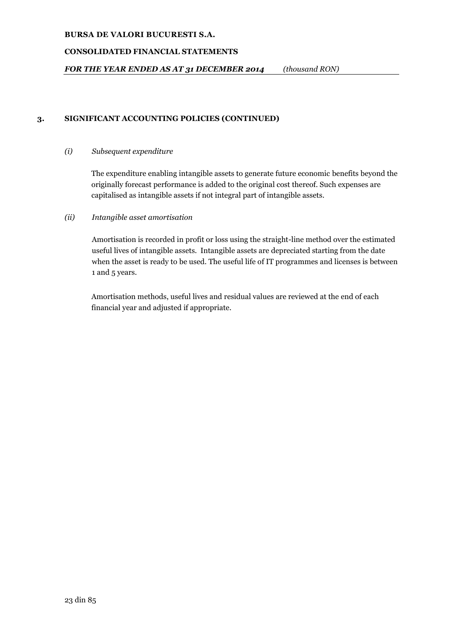# **CONSOLIDATED FINANCIAL STATEMENTS**

*FOR THE YEAR ENDED AS AT 31 DECEMBER 2014 (thousand RON)*

# **3. SIGNIFICANT ACCOUNTING POLICIES (CONTINUED)**

## *(i) Subsequent expenditure*

The expenditure enabling intangible assets to generate future economic benefits beyond the originally forecast performance is added to the original cost thereof. Such expenses are capitalised as intangible assets if not integral part of intangible assets.

# *(ii) Intangible asset amortisation*

Amortisation is recorded in profit or loss using the straight-line method over the estimated useful lives of intangible assets. Intangible assets are depreciated starting from the date when the asset is ready to be used. The useful life of IT programmes and licenses is between 1 and 5 years.

Amortisation methods, useful lives and residual values are reviewed at the end of each financial year and adjusted if appropriate.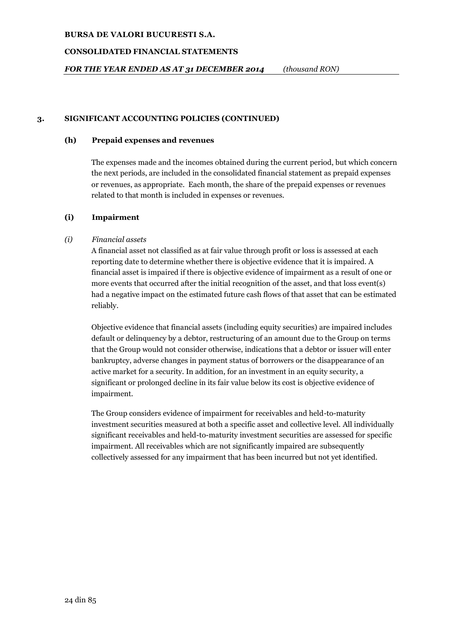# **CONSOLIDATED FINANCIAL STATEMENTS**

*FOR THE YEAR ENDED AS AT 31 DECEMBER 2014 (thousand RON)*

# **3. SIGNIFICANT ACCOUNTING POLICIES (CONTINUED)**

# **(h) Prepaid expenses and revenues**

The expenses made and the incomes obtained during the current period, but which concern the next periods, are included in the consolidated financial statement as prepaid expenses or revenues, as appropriate. Each month, the share of the prepaid expenses or revenues related to that month is included in expenses or revenues.

# **(i) Impairment**

# *(i) Financial assets*

A financial asset not classified as at fair value through profit or loss is assessed at each reporting date to determine whether there is objective evidence that it is impaired. A financial asset is impaired if there is objective evidence of impairment as a result of one or more events that occurred after the initial recognition of the asset, and that loss event(s) had a negative impact on the estimated future cash flows of that asset that can be estimated reliably.

Objective evidence that financial assets (including equity securities) are impaired includes default or delinquency by a debtor, restructuring of an amount due to the Group on terms that the Group would not consider otherwise, indications that a debtor or issuer will enter bankruptcy, adverse changes in payment status of borrowers or the disappearance of an active market for a security. In addition, for an investment in an equity security, a significant or prolonged decline in its fair value below its cost is objective evidence of impairment.

The Group considers evidence of impairment for receivables and held-to-maturity investment securities measured at both a specific asset and collective level. All individually significant receivables and held-to-maturity investment securities are assessed for specific impairment. All receivables which are not significantly impaired are subsequently collectively assessed for any impairment that has been incurred but not yet identified.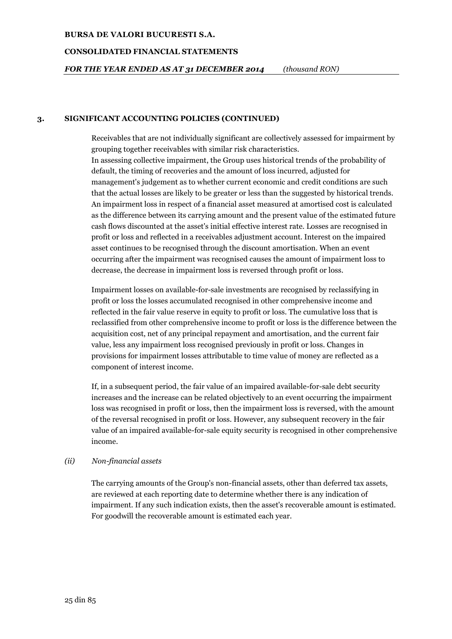### **CONSOLIDATED FINANCIAL STATEMENTS**

# *FOR THE YEAR ENDED AS AT 31 DECEMBER 2014 (thousand RON)*

### **3. SIGNIFICANT ACCOUNTING POLICIES (CONTINUED)**

Receivables that are not individually significant are collectively assessed for impairment by grouping together receivables with similar risk characteristics. In assessing collective impairment, the Group uses historical trends of the probability of default, the timing of recoveries and the amount of loss incurred, adjusted for management's judgement as to whether current economic and credit conditions are such that the actual losses are likely to be greater or less than the suggested by historical trends. An impairment loss in respect of a financial asset measured at amortised cost is calculated as the difference between its carrying amount and the present value of the estimated future cash flows discounted at the asset's initial effective interest rate. Losses are recognised in profit or loss and reflected in a receivables adjustment account. Interest on the impaired asset continues to be recognised through the discount amortisation. When an event occurring after the impairment was recognised causes the amount of impairment loss to decrease, the decrease in impairment loss is reversed through profit or loss.

Impairment losses on available-for-sale investments are recognised by reclassifying in profit or loss the losses accumulated recognised in other comprehensive income and reflected in the fair value reserve in equity to profit or loss. The cumulative loss that is reclassified from other comprehensive income to profit or loss is the difference between the acquisition cost, net of any principal repayment and amortisation, and the current fair value, less any impairment loss recognised previously in profit or loss. Changes in provisions for impairment losses attributable to time value of money are reflected as a component of interest income.

If, in a subsequent period, the fair value of an impaired available-for-sale debt security increases and the increase can be related objectively to an event occurring the impairment loss was recognised in profit or loss, then the impairment loss is reversed, with the amount of the reversal recognised in profit or loss. However, any subsequent recovery in the fair value of an impaired available-for-sale equity security is recognised in other comprehensive income.

# *(ii) Non-financial assets*

The carrying amounts of the Group's non-financial assets, other than deferred tax assets, are reviewed at each reporting date to determine whether there is any indication of impairment. If any such indication exists, then the asset's recoverable amount is estimated. For goodwill the recoverable amount is estimated each year.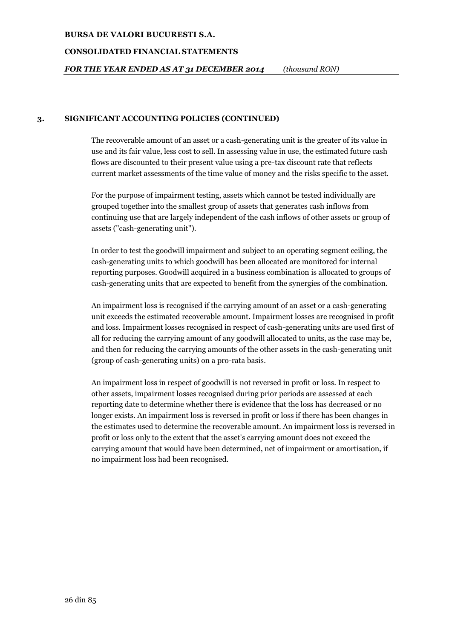#### **CONSOLIDATED FINANCIAL STATEMENTS**

# *FOR THE YEAR ENDED AS AT 31 DECEMBER 2014 (thousand RON)*

### **3. SIGNIFICANT ACCOUNTING POLICIES (CONTINUED)**

The recoverable amount of an asset or a cash-generating unit is the greater of its value in use and its fair value, less cost to sell. In assessing value in use, the estimated future cash flows are discounted to their present value using a pre-tax discount rate that reflects current market assessments of the time value of money and the risks specific to the asset.

For the purpose of impairment testing, assets which cannot be tested individually are grouped together into the smallest group of assets that generates cash inflows from continuing use that are largely independent of the cash inflows of other assets or group of assets ("cash-generating unit").

In order to test the goodwill impairment and subject to an operating segment ceiling, the cash-generating units to which goodwill has been allocated are monitored for internal reporting purposes. Goodwill acquired in a business combination is allocated to groups of cash-generating units that are expected to benefit from the synergies of the combination.

An impairment loss is recognised if the carrying amount of an asset or a cash-generating unit exceeds the estimated recoverable amount. Impairment losses are recognised in profit and loss. Impairment losses recognised in respect of cash-generating units are used first of all for reducing the carrying amount of any goodwill allocated to units, as the case may be, and then for reducing the carrying amounts of the other assets in the cash-generating unit (group of cash-generating units) on a pro-rata basis.

An impairment loss in respect of goodwill is not reversed in profit or loss. In respect to other assets, impairment losses recognised during prior periods are assessed at each reporting date to determine whether there is evidence that the loss has decreased or no longer exists. An impairment loss is reversed in profit or loss if there has been changes in the estimates used to determine the recoverable amount. An impairment loss is reversed in profit or loss only to the extent that the asset's carrying amount does not exceed the carrying amount that would have been determined, net of impairment or amortisation, if no impairment loss had been recognised.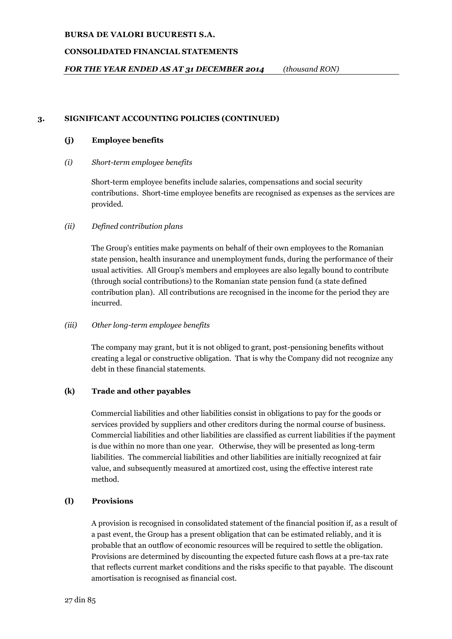# **CONSOLIDATED FINANCIAL STATEMENTS**

*FOR THE YEAR ENDED AS AT 31 DECEMBER 2014 (thousand RON)*

# **3. SIGNIFICANT ACCOUNTING POLICIES (CONTINUED)**

# **(j) Employee benefits**

# *(i) Short-term employee benefits*

Short-term employee benefits include salaries, compensations and social security contributions. Short-time employee benefits are recognised as expenses as the services are provided.

# *(ii) Defined contribution plans*

The Group's entities make payments on behalf of their own employees to the Romanian state pension, health insurance and unemployment funds, during the performance of their usual activities. All Group's members and employees are also legally bound to contribute (through social contributions) to the Romanian state pension fund (a state defined contribution plan). All contributions are recognised in the income for the period they are incurred.

# *(iii) Other long-term employee benefits*

The company may grant, but it is not obliged to grant, post-pensioning benefits without creating a legal or constructive obligation. That is why the Company did not recognize any debt in these financial statements.

# **(k) Trade and other payables**

Commercial liabilities and other liabilities consist in obligations to pay for the goods or services provided by suppliers and other creditors during the normal course of business. Commercial liabilities and other liabilities are classified as current liabilities if the payment is due within no more than one year. Otherwise, they will be presented as long-term liabilities. The commercial liabilities and other liabilities are initially recognized at fair value, and subsequently measured at amortized cost, using the effective interest rate method.

# **(l) Provisions**

A provision is recognised in consolidated statement of the financial position if, as a result of a past event, the Group has a present obligation that can be estimated reliably, and it is probable that an outflow of economic resources will be required to settle the obligation. Provisions are determined by discounting the expected future cash flows at a pre-tax rate that reflects current market conditions and the risks specific to that payable. The discount amortisation is recognised as financial cost.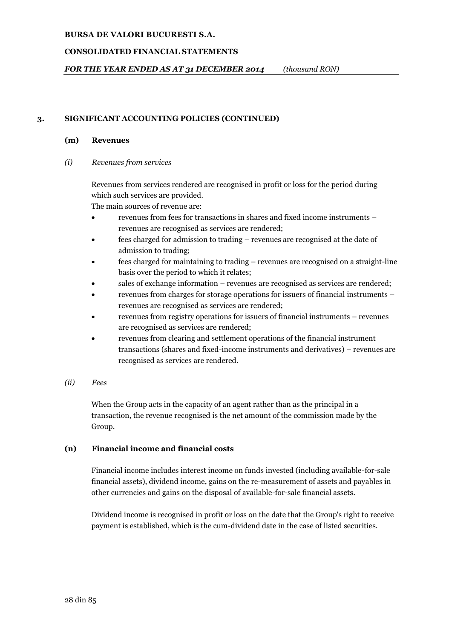# **CONSOLIDATED FINANCIAL STATEMENTS**

# *FOR THE YEAR ENDED AS AT 31 DECEMBER 2014 (thousand RON)*

# **3. SIGNIFICANT ACCOUNTING POLICIES (CONTINUED)**

### **(m) Revenues**

*(i) Revenues from services*

Revenues from services rendered are recognised in profit or loss for the period during which such services are provided.

The main sources of revenue are:

- revenues from fees for transactions in shares and fixed income instruments revenues are recognised as services are rendered;
- fees charged for admission to trading revenues are recognised at the date of admission to trading;
- fees charged for maintaining to trading revenues are recognised on a straight-line basis over the period to which it relates;
- sales of exchange information revenues are recognised as services are rendered;
- revenues from charges for storage operations for issuers of financial instruments revenues are recognised as services are rendered;
- revenues from registry operations for issuers of financial instruments revenues are recognised as services are rendered;
- revenues from clearing and settlement operations of the financial instrument transactions (shares and fixed-income instruments and derivatives) – revenues are recognised as services are rendered.

# *(ii) Fees*

When the Group acts in the capacity of an agent rather than as the principal in a transaction, the revenue recognised is the net amount of the commission made by the Group.

# **(n) Financial income and financial costs**

Financial income includes interest income on funds invested (including available-for-sale financial assets), dividend income, gains on the re-measurement of assets and payables in other currencies and gains on the disposal of available-for-sale financial assets.

Dividend income is recognised in profit or loss on the date that the Group's right to receive payment is established, which is the cum-dividend date in the case of listed securities.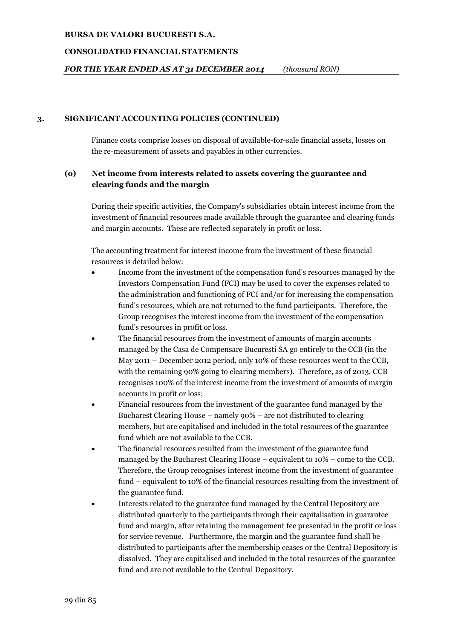### **CONSOLIDATED FINANCIAL STATEMENTS**

# *FOR THE YEAR ENDED AS AT 31 DECEMBER 2014 (thousand RON)*

## **3. SIGNIFICANT ACCOUNTING POLICIES (CONTINUED)**

Finance costs comprise losses on disposal of available-for-sale financial assets, losses on the re-measurement of assets and payables in other currencies.

# **(o) Net income from interests related to assets covering the guarantee and clearing funds and the margin**

During their specific activities, the Company's subsidiaries obtain interest income from the investment of financial resources made available through the guarantee and clearing funds and margin accounts. These are reflected separately in profit or loss.

The accounting treatment for interest income from the investment of these financial resources is detailed below:

- Income from the investment of the compensation fund's resources managed by the Investors Compensation Fund (FCI) may be used to cover the expenses related to the administration and functioning of FCI and/or for increasing the compensation fund's resources, which are not returned to the fund participants. Therefore, the Group recognises the interest income from the investment of the compensation fund's resources in profit or loss.
- The financial resources from the investment of amounts of margin accounts managed by the Casa de Compensare Bucuresti SA go entirely to the CCB (in the May 2011 – December 2012 period, only 10% of these resources went to the CCB, with the remaining 90% going to clearing members). Therefore, as of 2013, CCB recognises 100% of the interest income from the investment of amounts of margin accounts in profit or loss;
- Financial resources from the investment of the guarantee fund managed by the Bucharest Clearing House – namely 90% – are not distributed to clearing members, but are capitalised and included in the total resources of the guarantee fund which are not available to the CCB.
- The financial resources resulted from the investment of the guarantee fund managed by the Bucharest Clearing House – equivalent to 10% – come to the CCB. Therefore, the Group recognises interest income from the investment of guarantee fund – equivalent to 10% of the financial resources resulting from the investment of the guarantee fund.
- Interests related to the guarantee fund managed by the Central Depository are distributed quarterly to the participants through their capitalisation in guarantee fund and margin, after retaining the management fee presented in the profit or loss for service revenue. Furthermore, the margin and the guarantee fund shall be distributed to participants after the membership ceases or the Central Depository is dissolved. They are capitalised and included in the total resources of the guarantee fund and are not available to the Central Depository.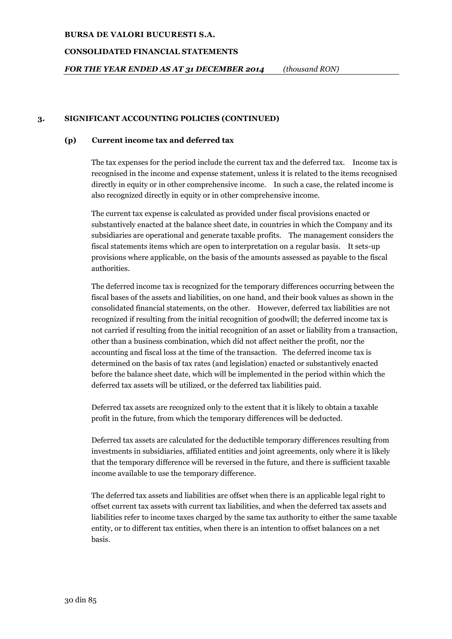### **CONSOLIDATED FINANCIAL STATEMENTS**

*FOR THE YEAR ENDED AS AT 31 DECEMBER 2014 (thousand RON)*

## **3. SIGNIFICANT ACCOUNTING POLICIES (CONTINUED)**

### **(p) Current income tax and deferred tax**

The tax expenses for the period include the current tax and the deferred tax. Income tax is recognised in the income and expense statement, unless it is related to the items recognised directly in equity or in other comprehensive income. In such a case, the related income is also recognized directly in equity or in other comprehensive income.

The current tax expense is calculated as provided under fiscal provisions enacted or substantively enacted at the balance sheet date, in countries in which the Company and its subsidiaries are operational and generate taxable profits. The management considers the fiscal statements items which are open to interpretation on a regular basis. It sets-up provisions where applicable, on the basis of the amounts assessed as payable to the fiscal authorities.

The deferred income tax is recognized for the temporary differences occurring between the fiscal bases of the assets and liabilities, on one hand, and their book values as shown in the consolidated financial statements, on the other. However, deferred tax liabilities are not recognized if resulting from the initial recognition of goodwill; the deferred income tax is not carried if resulting from the initial recognition of an asset or liability from a transaction, other than a business combination, which did not affect neither the profit, nor the accounting and fiscal loss at the time of the transaction. The deferred income tax is determined on the basis of tax rates (and legislation) enacted or substantively enacted before the balance sheet date, which will be implemented in the period within which the deferred tax assets will be utilized, or the deferred tax liabilities paid.

Deferred tax assets are recognized only to the extent that it is likely to obtain a taxable profit in the future, from which the temporary differences will be deducted.

Deferred tax assets are calculated for the deductible temporary differences resulting from investments in subsidiaries, affiliated entities and joint agreements, only where it is likely that the temporary difference will be reversed in the future, and there is sufficient taxable income available to use the temporary difference.

The deferred tax assets and liabilities are offset when there is an applicable legal right to offset current tax assets with current tax liabilities, and when the deferred tax assets and liabilities refer to income taxes charged by the same tax authority to either the same taxable entity, or to different tax entities, when there is an intention to offset balances on a net basis.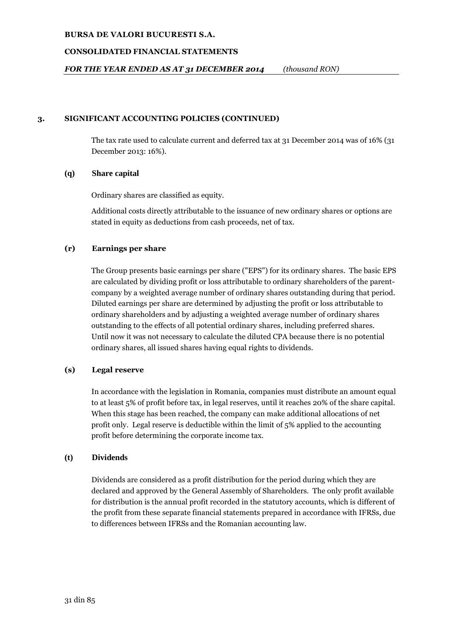## **CONSOLIDATED FINANCIAL STATEMENTS**

# *FOR THE YEAR ENDED AS AT 31 DECEMBER 2014 (thousand RON)*

## **3. SIGNIFICANT ACCOUNTING POLICIES (CONTINUED)**

The tax rate used to calculate current and deferred tax at 31 December 2014 was of 16% (31 December 2013: 16%).

### **(q) Share capital**

Ordinary shares are classified as equity.

Additional costs directly attributable to the issuance of new ordinary shares or options are stated in equity as deductions from cash proceeds, net of tax.

# **(r) Earnings per share**

The Group presents basic earnings per share ("EPS") for its ordinary shares. The basic EPS are calculated by dividing profit or loss attributable to ordinary shareholders of the parentcompany by a weighted average number of ordinary shares outstanding during that period. Diluted earnings per share are determined by adjusting the profit or loss attributable to ordinary shareholders and by adjusting a weighted average number of ordinary shares outstanding to the effects of all potential ordinary shares, including preferred shares. Until now it was not necessary to calculate the diluted CPA because there is no potential ordinary shares, all issued shares having equal rights to dividends.

# **(s) Legal reserve**

In accordance with the legislation in Romania, companies must distribute an amount equal to at least 5% of profit before tax, in legal reserves, until it reaches 20% of the share capital. When this stage has been reached, the company can make additional allocations of net profit only. Legal reserve is deductible within the limit of 5% applied to the accounting profit before determining the corporate income tax.

#### **(t) Dividends**

Dividends are considered as a profit distribution for the period during which they are declared and approved by the General Assembly of Shareholders. The only profit available for distribution is the annual profit recorded in the statutory accounts, which is different of the profit from these separate financial statements prepared in accordance with IFRSs, due to differences between IFRSs and the Romanian accounting law.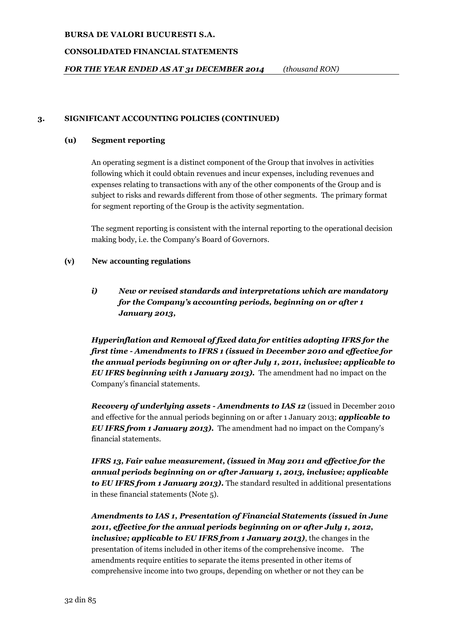# **CONSOLIDATED FINANCIAL STATEMENTS**

*FOR THE YEAR ENDED AS AT 31 DECEMBER 2014 (thousand RON)*

# **3. SIGNIFICANT ACCOUNTING POLICIES (CONTINUED)**

# **(u) Segment reporting**

An operating segment is a distinct component of the Group that involves in activities following which it could obtain revenues and incur expenses, including revenues and expenses relating to transactions with any of the other components of the Group and is subject to risks and rewards different from those of other segments. The primary format for segment reporting of the Group is the activity segmentation.

The segment reporting is consistent with the internal reporting to the operational decision making body, i.e. the Company's Board of Governors.

# **(v) New accounting regulations**

*i) New or revised standards and interpretations which are mandatory for the Company's accounting periods, beginning on or after 1 January 2013,*

*Hyperinflation and Removal of fixed data for entities adopting IFRS for the first time - Amendments to IFRS 1 (issued in December 2010 and effective for the annual periods beginning on or after July 1, 2011, inclusive; applicable to EU IFRS beginning with 1 January 2013).* The amendment had no impact on the Company's financial statements.

*Recovery of underlying assets - Amendments to IAS 12* (issued in December 2010 and effective for the annual periods beginning on or after 1 January 2013; *applicable to EU IFRS from 1 January 2013).* The amendment had no impact on the Company's financial statements.

*IFRS 13, Fair value measurement, (issued in May 2011 and effective for the annual periods beginning on or after January 1, 2013, inclusive; applicable to EU IFRS from 1 January 2013).* The standard resulted in additional presentations in these financial statements (Note 5).

*Amendments to IAS 1, Presentation of Financial Statements (issued in June 2011, effective for the annual periods beginning on or after July 1, 2012, inclusive; applicable to EU IFRS from 1 January 2013)*, the changes in the presentation of items included in other items of the comprehensive income. The amendments require entities to separate the items presented in other items of comprehensive income into two groups, depending on whether or not they can be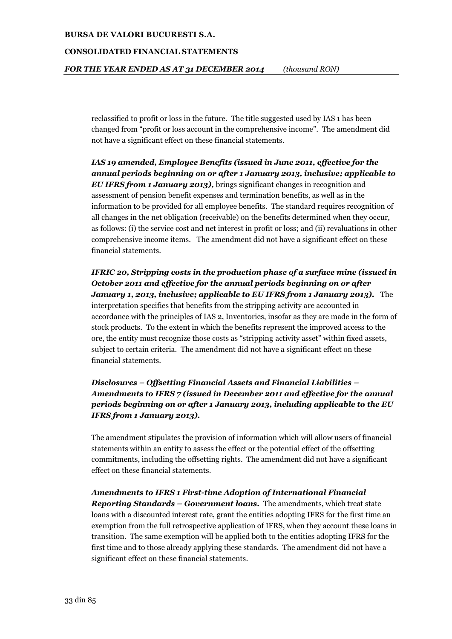### **CONSOLIDATED FINANCIAL STATEMENTS**

*FOR THE YEAR ENDED AS AT 31 DECEMBER 2014 (thousand RON)*

reclassified to profit or loss in the future. The title suggested used by IAS 1 has been changed from "profit or loss account in the comprehensive income". The amendment did not have a significant effect on these financial statements.

*IAS 19 amended, Employee Benefits (issued in June 2011, effective for the annual periods beginning on or after 1 January 2013, inclusive; applicable to EU IFRS from 1 January 2013),* brings significant changes in recognition and assessment of pension benefit expenses and termination benefits, as well as in the information to be provided for all employee benefits. The standard requires recognition of all changes in the net obligation (receivable) on the benefits determined when they occur, as follows: (i) the service cost and net interest in profit or loss; and (ii) revaluations in other comprehensive income items. The amendment did not have a significant effect on these financial statements.

*IFRIC 20, Stripping costs in the production phase of a surface mine (issued in October 2011 and effective for the annual periods beginning on or after January 1, 2013, inclusive; applicable to EU IFRS from 1 January 2013).* The interpretation specifies that benefits from the stripping activity are accounted in accordance with the principles of IAS 2, Inventories, insofar as they are made in the form of stock products. To the extent in which the benefits represent the improved access to the ore, the entity must recognize those costs as "stripping activity asset" within fixed assets, subject to certain criteria. The amendment did not have a significant effect on these financial statements.

# *Disclosures – Offsetting Financial Assets and Financial Liabilities – Amendments to IFRS 7 (issued in December 2011 and effective for the annual periods beginning on or after 1 January 2013, including applicable to the EU IFRS from 1 January 2013).*

The amendment stipulates the provision of information which will allow users of financial statements within an entity to assess the effect or the potential effect of the offsetting commitments, including the offsetting rights. The amendment did not have a significant effect on these financial statements.

# *Amendments to IFRS 1 First-time Adoption of International Financial*

*Reporting Standards – Government loans.* The amendments, which treat state loans with a discounted interest rate, grant the entities adopting IFRS for the first time an exemption from the full retrospective application of IFRS, when they account these loans in transition. The same exemption will be applied both to the entities adopting IFRS for the first time and to those already applying these standards. The amendment did not have a significant effect on these financial statements.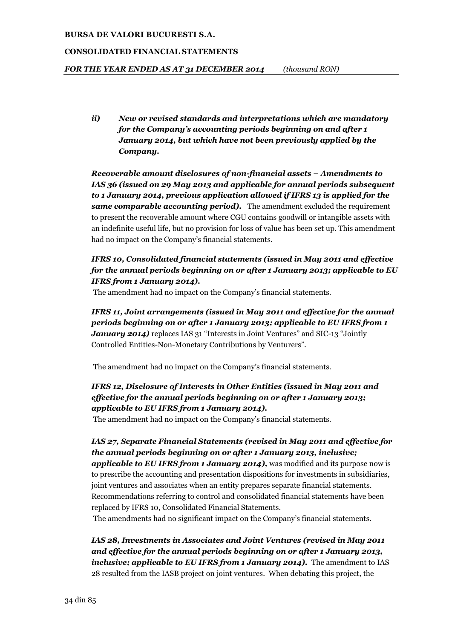### **CONSOLIDATED FINANCIAL STATEMENTS**

*FOR THE YEAR ENDED AS AT 31 DECEMBER 2014 (thousand RON)*

*ii) New or revised standards and interpretations which are mandatory for the Company's accounting periods beginning on and after 1 January 2014, but which have not been previously applied by the Company.*

*Recoverable amount disclosures of non-financial assets – Amendments to IAS 36 (issued on 29 May 2013 and applicable for annual periods subsequent to 1 January 2014, previous application allowed if IFRS 13 is applied for the same comparable accounting period).* The amendment excluded the requirement to present the recoverable amount where CGU contains goodwill or intangible assets with an indefinite useful life, but no provision for loss of value has been set up. This amendment had no impact on the Company's financial statements.

# *IFRS 10, Consolidated financial statements (issued in May 2011 and effective for the annual periods beginning on or after 1 January 2013; applicable to EU IFRS from 1 January 2014).*

The amendment had no impact on the Company's financial statements.

*IFRS 11, Joint arrangements (issued in May 2011 and effective for the annual periods beginning on or after 1 January 2013; applicable to EU IFRS from 1 January 2014*) replaces IAS 31 "Interests in Joint Ventures" and SIC-13 "Jointly Controlled Entities-Non-Monetary Contributions by Venturers".

The amendment had no impact on the Company's financial statements.

# *IFRS 12, Disclosure of Interests in Other Entities (issued in May 2011 and effective for the annual periods beginning on or after 1 January 2013; applicable to EU IFRS from 1 January 2014).*

The amendment had no impact on the Company's financial statements.

# *IAS 27, Separate Financial Statements (revised in May 2011 and effective for the annual periods beginning on or after 1 January 2013, inclusive;*

*applicable to EU IFRS from 1 January 2014),* was modified and its purpose now is to prescribe the accounting and presentation dispositions for investments in subsidiaries, joint ventures and associates when an entity prepares separate financial statements. Recommendations referring to control and consolidated financial statements have been replaced by IFRS 10, Consolidated Financial Statements.

The amendments had no significant impact on the Company's financial statements.

*IAS 28, Investments in Associates and Joint Ventures (revised in May 2011 and effective for the annual periods beginning on or after 1 January 2013, inclusive; applicable to EU IFRS from 1 January 2014).* The amendment to IAS 28 resulted from the IASB project on joint ventures. When debating this project, the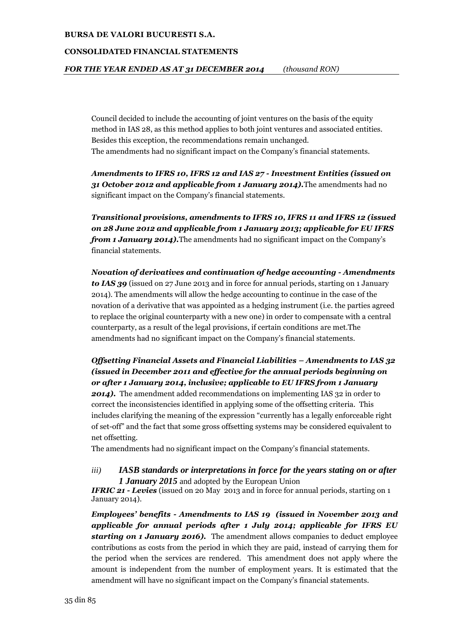#### **CONSOLIDATED FINANCIAL STATEMENTS**

Council decided to include the accounting of joint ventures on the basis of the equity method in IAS 28, as this method applies to both joint ventures and associated entities. Besides this exception, the recommendations remain unchanged. The amendments had no significant impact on the Company's financial statements.

*Amendments to IFRS 10, IFRS 12 and IAS 27 - Investment Entities (issued on 31 October 2012 and applicable from 1 January 2014).*The amendments had no significant impact on the Company's financial statements.

*Transitional provisions, amendments to IFRS 10, IFRS 11 and IFRS 12 (issued on 28 June 2012 and applicable from 1 January 2013; applicable for EU IFRS from 1 January 2014).*The amendments had no significant impact on the Company's financial statements.

*Novation of derivatives and continuation of hedge accounting - Amendments to IAS 39* (issued on 27 June 2013 and in force for annual periods, starting on 1 January 2014). The amendments will allow the hedge accounting to continue in the case of the novation of a derivative that was appointed as a hedging instrument (i.e. the parties agreed to replace the original counterparty with a new one) in order to compensate with a central counterparty, as a result of the legal provisions, if certain conditions are met.The amendments had no significant impact on the Company's financial statements.

*Offsetting Financial Assets and Financial Liabilities – Amendments to IAS 32 (issued in December 2011 and effective for the annual periods beginning on or after 1 January 2014, inclusive; applicable to EU IFRS from 1 January*  **2014).** The amendment added recommendations on implementing IAS 32 in order to correct the inconsistencies identified in applying some of the offsetting criteria. This includes clarifying the meaning of the expression "currently has a legally enforceable right of set-off" and the fact that some gross offsetting systems may be considered equivalent to net offsetting.

The amendments had no significant impact on the Company's financial statements.

## *iii) IASB standards or interpretations in force for the years stating on or after 1 January 2015* and adopted by the European Union

*IFRIC 21 - Levies* (issued on 20 May 2013 and in force for annual periods, starting on 1 January 2014).

*Employees' benefits - Amendments to IAS 19 (issued in November 2013 and applicable for annual periods after 1 July 2014; applicable for IFRS EU starting on 1 January 2016).* The amendment allows companies to deduct employee contributions as costs from the period in which they are paid, instead of carrying them for the period when the services are rendered. This amendment does not apply where the amount is independent from the number of employment years. It is estimated that the amendment will have no significant impact on the Company's financial statements.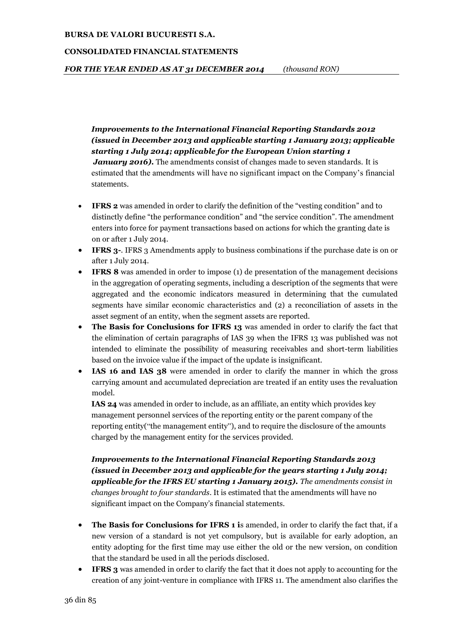#### **CONSOLIDATED FINANCIAL STATEMENTS**

*FOR THE YEAR ENDED AS AT 31 DECEMBER 2014 (thousand RON)*

*Improvements to the International Financial Reporting Standards 2012 (issued in December 2013 and applicable starting 1 January 2013; applicable starting 1 July 2014; applicable for the European Union starting 1 January 2016*. The amendments consist of changes made to seven standards. It is estimated that the amendments will have no significant impact on the Company's financial statements.

- **IFRS 2** was amended in order to clarify the definition of the "vesting condition" and to distinctly define "the performance condition" and "the service condition". The amendment enters into force for payment transactions based on actions for which the granting date is on or after 1 July 2014.
- **IFRS 3-**. IFRS 3 Amendments apply to business combinations if the purchase date is on or after 1 July 2014.
- **IFRS 8** was amended in order to impose (1) de presentation of the management decisions in the aggregation of operating segments, including a description of the segments that were aggregated and the economic indicators measured in determining that the cumulated segments have similar economic characteristics and (2) a reconciliation of assets in the asset segment of an entity, when the segment assets are reported.
- **The Basis for Conclusions for IFRS 13** was amended in order to clarify the fact that the elimination of certain paragraphs of IAS 39 when the IFRS 13 was published was not intended to eliminate the possibility of measuring receivables and short-term liabilities based on the invoice value if the impact of the update is insignificant.
- **IAS 16 and IAS 38** were amended in order to clarify the manner in which the gross carrying amount and accumulated depreciation are treated if an entity uses the revaluation model.

**IAS 24** was amended in order to include, as an affiliate, an entity which provides key management personnel services of the reporting entity or the parent company of the reporting entity("the management entity"), and to require the disclosure of the amounts charged by the management entity for the services provided.

*Improvements to the International Financial Reporting Standards 2013 (issued in December 2013 and applicable for the years starting 1 July 2014; applicable for the IFRS EU starting 1 January 2015). The amendments consist in changes brought to four standards*. It is estimated that the amendments will have no significant impact on the Company's financial statements.

- **The Basis for Conclusions for IFRS 1 i**s amended, in order to clarify the fact that, if a new version of a standard is not yet compulsory, but is available for early adoption, an entity adopting for the first time may use either the old or the new version, on condition that the standard be used in all the periods disclosed.
- **IFRS 3** was amended in order to clarify the fact that it does not apply to accounting for the creation of any joint-venture in compliance with IFRS 11. The amendment also clarifies the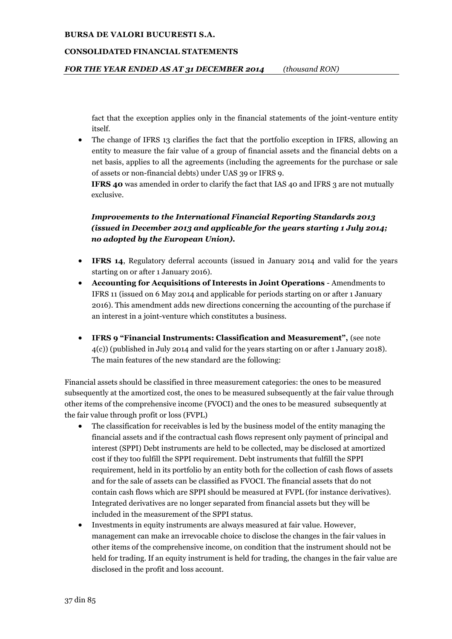#### **CONSOLIDATED FINANCIAL STATEMENTS**

*FOR THE YEAR ENDED AS AT 31 DECEMBER 2014 (thousand RON)*

fact that the exception applies only in the financial statements of the joint-venture entity itself.

• The change of IFRS 13 clarifies the fact that the portfolio exception in IFRS, allowing an entity to measure the fair value of a group of financial assets and the financial debts on a net basis, applies to all the agreements (including the agreements for the purchase or sale of assets or non-financial debts) under UAS 39 or IFRS 9.

**IFRS 40** was amended in order to clarify the fact that IAS 40 and IFRS 3 are not mutually exclusive.

## *Improvements to the International Financial Reporting Standards 2013 (issued in December 2013 and applicable for the years starting 1 July 2014; no adopted by the European Union).*

- **IFRS 14**, Regulatory deferral accounts (issued in January 2014 and valid for the years starting on or after 1 January 2016).
- **Accounting for Acquisitions of Interests in Joint Operations** Amendments to IFRS 11 (issued on 6 May 2014 and applicable for periods starting on or after 1 January 2016). This amendment adds new directions concerning the accounting of the purchase if an interest in a joint-venture which constitutes a business.
- **IFRS 9 "Financial Instruments: Classification and Measurement",** (see note 4(c)) (published in July 2014 and valid for the years starting on or after 1 January 2018). The main features of the new standard are the following:

Financial assets should be classified in three measurement categories: the ones to be measured subsequently at the amortized cost, the ones to be measured subsequently at the fair value through other items of the comprehensive income (FVOCI) and the ones to be measured subsequently at the fair value through profit or loss (FVPL)

- The classification for receivables is led by the business model of the entity managing the financial assets and if the contractual cash flows represent only payment of principal and interest (SPPI) Debt instruments are held to be collected, may be disclosed at amortized cost if they too fulfill the SPPI requirement. Debt instruments that fulfill the SPPI requirement, held in its portfolio by an entity both for the collection of cash flows of assets and for the sale of assets can be classified as FVOCI. The financial assets that do not contain cash flows which are SPPI should be measured at FVPL (for instance derivatives). Integrated derivatives are no longer separated from financial assets but they will be included in the measurement of the SPPI status.
- Investments in equity instruments are always measured at fair value. However, management can make an irrevocable choice to disclose the changes in the fair values in other items of the comprehensive income, on condition that the instrument should not be held for trading. If an equity instrument is held for trading, the changes in the fair value are disclosed in the profit and loss account.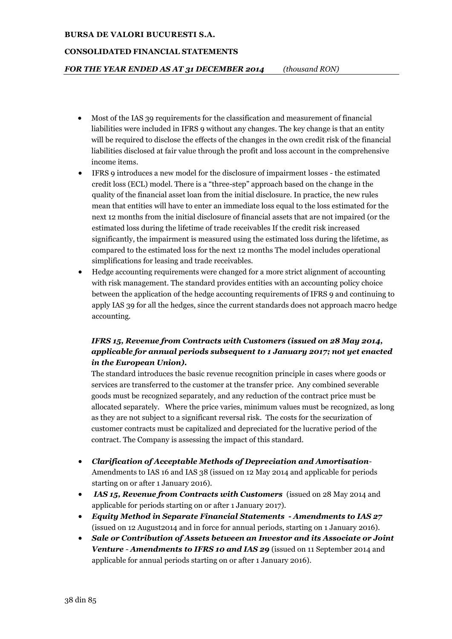#### **CONSOLIDATED FINANCIAL STATEMENTS**

## *FOR THE YEAR ENDED AS AT 31 DECEMBER 2014 (thousand RON)*

- Most of the IAS 39 requirements for the classification and measurement of financial liabilities were included in IFRS 9 without any changes. The key change is that an entity will be required to disclose the effects of the changes in the own credit risk of the financial liabilities disclosed at fair value through the profit and loss account in the comprehensive income items.
- IFRS 9 introduces a new model for the disclosure of impairment losses the estimated credit loss (ECL) model. There is a "three-step" approach based on the change in the quality of the financial asset loan from the initial disclosure. In practice, the new rules mean that entities will have to enter an immediate loss equal to the loss estimated for the next 12 months from the initial disclosure of financial assets that are not impaired (or the estimated loss during the lifetime of trade receivables If the credit risk increased significantly, the impairment is measured using the estimated loss during the lifetime, as compared to the estimated loss for the next 12 months The model includes operational simplifications for leasing and trade receivables.
- Hedge accounting requirements were changed for a more strict alignment of accounting with risk management. The standard provides entities with an accounting policy choice between the application of the hedge accounting requirements of IFRS 9 and continuing to apply IAS 39 for all the hedges, since the current standards does not approach macro hedge accounting.

# *IFRS 15, Revenue from Contracts with Customers (issued on 28 May 2014, applicable for annual periods subsequent to 1 January 2017; not yet enacted in the European Union).*

The standard introduces the basic revenue recognition principle in cases where goods or services are transferred to the customer at the transfer price. Any combined severable goods must be recognized separately, and any reduction of the contract price must be allocated separately. Where the price varies, minimum values must be recognized, as long as they are not subject to a significant reversal risk. The costs for the securization of customer contracts must be capitalized and depreciated for the lucrative period of the contract. The Company is assessing the impact of this standard.

- *Clarification of Acceptable Methods of Depreciation and Amortisation*-Amendments to IAS 16 and IAS 38 (issued on 12 May 2014 and applicable for periods starting on or after 1 January 2016).
- *IAS 15, Revenue from Contracts with Customers* (issued on 28 May 2014 and applicable for periods starting on or after 1 January 2017).
- *Equity Method in Separate Financial Statements - Amendments to IAS 27* (issued on 12 August2014 and in force for annual periods, starting on 1 January 2016).
- *Sale or Contribution of Assets between an Investor and its Associate or Joint Venture* - *Amendments to IFRS 10 and IAS 29* (issued on 11 September 2014 and applicable for annual periods starting on or after 1 January 2016).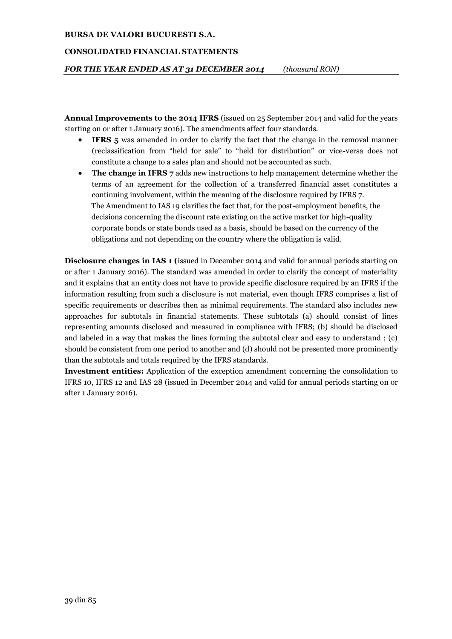#### **CONSOLIDATED FINANCIAL STATEMENTS**

*FOR THE YEAR ENDED AS AT 31 DECEMBER 2014 (thousand RON)*

**Annual Improvements to the 2014 IFRS** (issued on 25 September 2014 and valid for the years starting on or after 1 January 2016). The amendments affect four standards.

- **IFRS 5** was amended in order to clarify the fact that the change in the removal manner (reclassification from "held for sale" to "held for distribution" or vice-versa does not constitute a change to a sales plan and should not be accounted as such.
- **The change in IFRS 7** adds new instructions to help management determine whether the terms of an agreement for the collection of a transferred financial asset constitutes a continuing involvement, within the meaning of the disclosure required by IFRS 7. The Amendment to IAS 19 clarifies the fact that, for the post-employment benefits, the decisions concerning the discount rate existing on the active market for high-quality corporate bonds or state bonds used as a basis, should be based on the currency of the obligations and not depending on the country where the obligation is valid.

**Disclosure changes in IAS 1 (**issued in December 2014 and valid for annual periods starting on or after 1 January 2016). The standard was amended in order to clarify the concept of materiality and it explains that an entity does not have to provide specific disclosure required by an IFRS if the information resulting from such a disclosure is not material, even though IFRS comprises a list of specific requirements or describes then as minimal requirements. The standard also includes new approaches for subtotals in financial statements. These subtotals (a) should consist of lines representing amounts disclosed and measured in compliance with IFRS; (b) should be disclosed and labeled in a way that makes the lines forming the subtotal clear and easy to understand ; (c) should be consistent from one period to another and (d) should not be presented more prominently than the subtotals and totals required by the IFRS standards.

**Investment entities:** Application of the exception amendment concerning the consolidation to IFRS 10, IFRS 12 and IAS 28 (issued in December 2014 and valid for annual periods starting on or after 1 January 2016).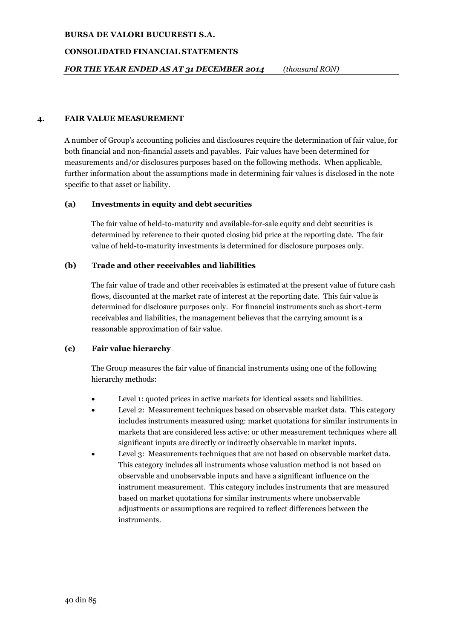## **CONSOLIDATED FINANCIAL STATEMENTS**

## **4. FAIR VALUE MEASUREMENT**

A number of Group's accounting policies and disclosures require the determination of fair value, for both financial and non-financial assets and payables. Fair values have been determined for measurements and/or disclosures purposes based on the following methods. When applicable, further information about the assumptions made in determining fair values is disclosed in the note specific to that asset or liability.

## **(a) Investments in equity and debt securities**

The fair value of held-to-maturity and available-for-sale equity and debt securities is determined by reference to their quoted closing bid price at the reporting date. The fair value of held-to-maturity investments is determined for disclosure purposes only.

## **(b) Trade and other receivables and liabilities**

The fair value of trade and other receivables is estimated at the present value of future cash flows, discounted at the market rate of interest at the reporting date. This fair value is determined for disclosure purposes only. For financial instruments such as short-term receivables and liabilities, the management believes that the carrying amount is a reasonable approximation of fair value.

## **(c) Fair value hierarchy**

The Group measures the fair value of financial instruments using one of the following hierarchy methods:

- Level 1: quoted prices in active markets for identical assets and liabilities.
- Level 2: Measurement techniques based on observable market data. This category includes instruments measured using: market quotations for similar instruments in markets that are considered less active: or other measurement techniques where all significant inputs are directly or indirectly observable in market inputs.
- Level 3: Measurements techniques that are not based on observable market data. This category includes all instruments whose valuation method is not based on observable and unobservable inputs and have a significant influence on the instrument measurement. This category includes instruments that are measured based on market quotations for similar instruments where unobservable adjustments or assumptions are required to reflect differences between the instruments.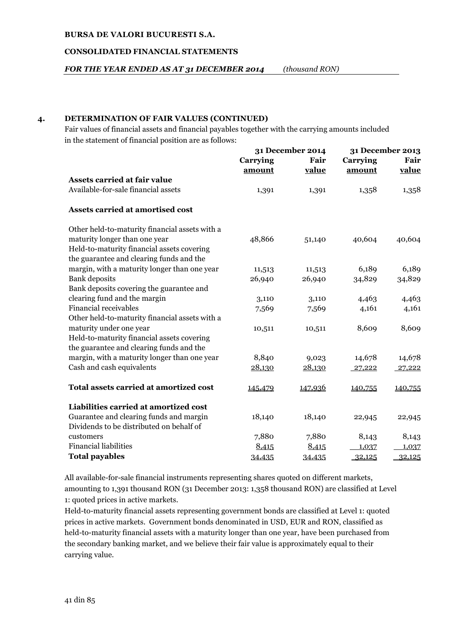#### **CONSOLIDATED FINANCIAL STATEMENTS**

*FOR THE YEAR ENDED AS AT 31 DECEMBER 2014 (thousand RON)*

## **4. DETERMINATION OF FAIR VALUES (CONTINUED)**

Fair values of financial assets and financial payables together with the carrying amounts included in the statement of financial position are as follows:

|                                                | <b>31 December 2014</b> |         | 31 December 2013 |         |
|------------------------------------------------|-------------------------|---------|------------------|---------|
|                                                | Carrying                | Fair    | Carrying         | Fair    |
|                                                | amount                  | value   | amount           | value   |
| <b>Assets carried at fair value</b>            |                         |         |                  |         |
| Available-for-sale financial assets            | 1,391                   | 1,391   | 1,358            | 1,358   |
| Assets carried at amortised cost               |                         |         |                  |         |
| Other held-to-maturity financial assets with a |                         |         |                  |         |
| maturity longer than one year                  | 48,866                  | 51,140  | 40,604           | 40,604  |
| Held-to-maturity financial assets covering     |                         |         |                  |         |
| the guarantee and clearing funds and the       |                         |         |                  |         |
| margin, with a maturity longer than one year   | 11,513                  | 11,513  | 6,189            | 6,189   |
| <b>Bank</b> deposits                           | 26,940                  | 26,940  | 34,829           | 34,829  |
| Bank deposits covering the guarantee and       |                         |         |                  |         |
| clearing fund and the margin                   | 3,110                   | 3,110   | 4,463            | 4,463   |
| <b>Financial receivables</b>                   | 7,569                   | 7,569   | 4,161            | 4,161   |
| Other held-to-maturity financial assets with a |                         |         |                  |         |
| maturity under one year                        | 10,511                  | 10,511  | 8,609            | 8,609   |
| Held-to-maturity financial assets covering     |                         |         |                  |         |
| the guarantee and clearing funds and the       |                         |         |                  |         |
| margin, with a maturity longer than one year   | 8,840                   | 9,023   | 14,678           | 14,678  |
| Cash and cash equivalents                      | 28,130                  | 28,130  | 27,222           | 27,222  |
| Total assets carried at amortized cost         | 145,479                 | 147,936 | 140,755          | 140,755 |
| Liabilities carried at amortized cost          |                         |         |                  |         |
| Guarantee and clearing funds and margin        | 18,140                  | 18,140  | 22,945           | 22,945  |
| Dividends to be distributed on behalf of       |                         |         |                  |         |
| customers                                      | 7,880                   | 7,880   | 8,143            | 8,143   |
| <b>Financial liabilities</b>                   | 8,415                   | 8,415   | 1,037            | 1,037   |
| <b>Total payables</b>                          | 34,435                  | 34,435  | 32,125           | 32,125  |

All available-for-sale financial instruments representing shares quoted on different markets, amounting to 1,391 thousand RON (31 December 2013: 1,358 thousand RON) are classified at Level 1: quoted prices in active markets.

Held-to-maturity financial assets representing government bonds are classified at Level 1: quoted prices in active markets. Government bonds denominated in USD, EUR and RON, classified as held-to-maturity financial assets with a maturity longer than one year, have been purchased from the secondary banking market, and we believe their fair value is approximately equal to their carrying value.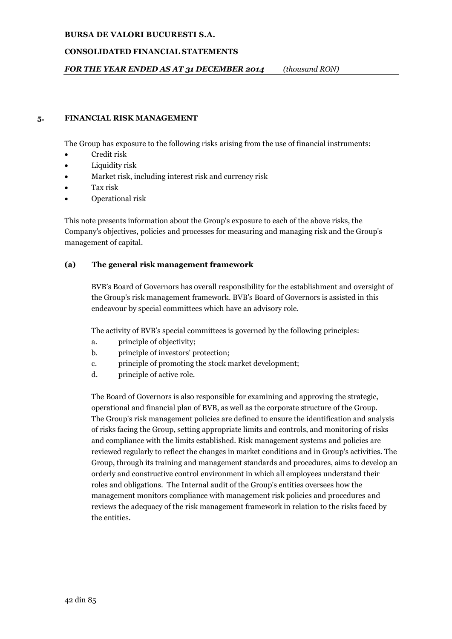## **CONSOLIDATED FINANCIAL STATEMENTS**

## *FOR THE YEAR ENDED AS AT 31 DECEMBER 2014 (thousand RON)*

## **5. FINANCIAL RISK MANAGEMENT**

The Group has exposure to the following risks arising from the use of financial instruments:

- Credit risk
- Liquidity risk
- Market risk, including interest risk and currency risk
- Tax risk
- Operational risk

This note presents information about the Group's exposure to each of the above risks, the Company's objectives, policies and processes for measuring and managing risk and the Group's management of capital.

## **(a) The general risk management framework**

BVB's Board of Governors has overall responsibility for the establishment and oversight of the Group's risk management framework. BVB's Board of Governors is assisted in this endeavour by special committees which have an advisory role.

The activity of BVB's special committees is governed by the following principles:

- a. principle of objectivity;
- b. principle of investors' protection;
- c. principle of promoting the stock market development;
- d. principle of active role.

The Board of Governors is also responsible for examining and approving the strategic, operational and financial plan of BVB, as well as the corporate structure of the Group. The Group's risk management policies are defined to ensure the identification and analysis of risks facing the Group, setting appropriate limits and controls, and monitoring of risks and compliance with the limits established. Risk management systems and policies are reviewed regularly to reflect the changes in market conditions and in Group's activities. The Group, through its training and management standards and procedures, aims to develop an orderly and constructive control environment in which all employees understand their roles and obligations. The Internal audit of the Group's entities oversees how the management monitors compliance with management risk policies and procedures and reviews the adequacy of the risk management framework in relation to the risks faced by the entities.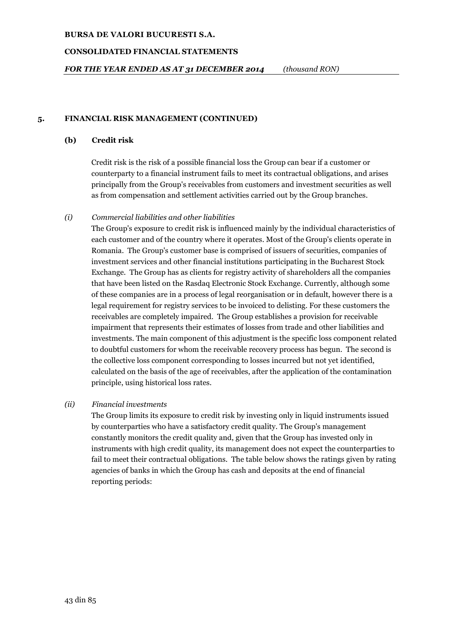#### **CONSOLIDATED FINANCIAL STATEMENTS**

*FOR THE YEAR ENDED AS AT 31 DECEMBER 2014 (thousand RON)*

## **5. FINANCIAL RISK MANAGEMENT (CONTINUED)**

## **(b) Credit risk**

Credit risk is the risk of a possible financial loss the Group can bear if a customer or counterparty to a financial instrument fails to meet its contractual obligations, and arises principally from the Group's receivables from customers and investment securities as well as from compensation and settlement activities carried out by the Group branches.

## *(i) Commercial liabilities and other liabilities*

The Group's exposure to credit risk is influenced mainly by the individual characteristics of each customer and of the country where it operates. Most of the Group's clients operate in Romania. The Group's customer base is comprised of issuers of securities, companies of investment services and other financial institutions participating in the Bucharest Stock Exchange. The Group has as clients for registry activity of shareholders all the companies that have been listed on the Rasdaq Electronic Stock Exchange. Currently, although some of these companies are in a process of legal reorganisation or in default, however there is a legal requirement for registry services to be invoiced to delisting. For these customers the receivables are completely impaired. The Group establishes a provision for receivable impairment that represents their estimates of losses from trade and other liabilities and investments. The main component of this adjustment is the specific loss component related to doubtful customers for whom the receivable recovery process has begun. The second is the collective loss component corresponding to losses incurred but not yet identified, calculated on the basis of the age of receivables, after the application of the contamination principle, using historical loss rates.

## *(ii) Financial investments*

The Group limits its exposure to credit risk by investing only in liquid instruments issued by counterparties who have a satisfactory credit quality. The Group's management constantly monitors the credit quality and, given that the Group has invested only in instruments with high credit quality, its management does not expect the counterparties to fail to meet their contractual obligations. The table below shows the ratings given by rating agencies of banks in which the Group has cash and deposits at the end of financial reporting periods: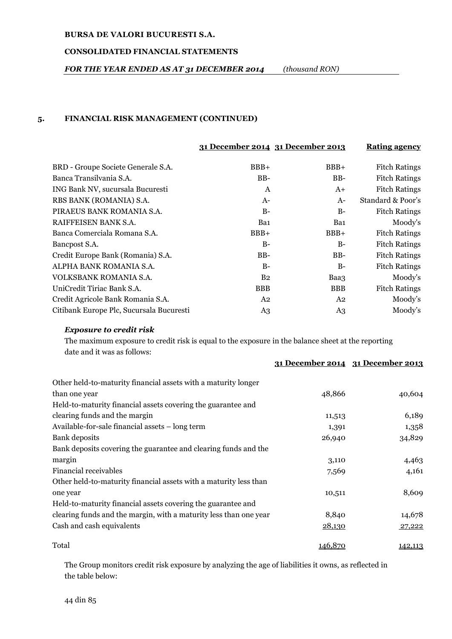## **CONSOLIDATED FINANCIAL STATEMENTS**

## *FOR THE YEAR ENDED AS AT 31 DECEMBER 2014 (thousand RON)*

## **5. FINANCIAL RISK MANAGEMENT (CONTINUED)**

|                                          | 31 December 2014 31 December 2013 |            | <b>Rating agency</b> |
|------------------------------------------|-----------------------------------|------------|----------------------|
| BRD - Groupe Societe Generale S.A.       | $BBB+$                            | $BBB+$     | <b>Fitch Ratings</b> |
| Banca Transilvania S.A.                  | $BB-$                             | BB-        | <b>Fitch Ratings</b> |
| ING Bank NV, sucursala Bucuresti         | $\mathsf{A}$                      | $A+$       | <b>Fitch Ratings</b> |
| RBS BANK (ROMANIA) S.A.                  | $A-$                              | $A-$       | Standard & Poor's    |
| PIRAEUS BANK ROMANIA S.A.                | $B-$                              | $B-$       | <b>Fitch Ratings</b> |
| RAIFFEISEN BANK S.A.                     | Ba1                               | Ba1        | Moody's              |
| Banca Comerciala Romana S.A.             | $BBB+$                            | $BBB+$     | <b>Fitch Ratings</b> |
| Bancpost S.A.                            | $B-$                              | $B-$       | <b>Fitch Ratings</b> |
| Credit Europe Bank (Romania) S.A.        | $BB-$                             | BB-        | <b>Fitch Ratings</b> |
| ALPHA BANK ROMANIA S.A.                  | $B-$                              | $B-$       | <b>Fitch Ratings</b> |
| VOLKSBANK ROMANIA S.A.                   | B <sub>2</sub>                    | Baa3       | Moody's              |
| UniCredit Tiriac Bank S.A.               | <b>BBB</b>                        | <b>BBB</b> | <b>Fitch Ratings</b> |
| Credit Agricole Bank Romania S.A.        | A2                                | A2         | Moody's              |
| Citibank Europe Plc, Sucursala Bucuresti | A <sub>3</sub>                    | A3         | Moody's              |

## *Exposure to credit risk*

The maximum exposure to credit risk is equal to the exposure in the balance sheet at the reporting date and it was as follows:

|                                                                   |         | 31 December 2014 31 December 2013 |
|-------------------------------------------------------------------|---------|-----------------------------------|
| Other held-to-maturity financial assets with a maturity longer    |         |                                   |
| than one year                                                     | 48,866  | 40,604                            |
| Held-to-maturity financial assets covering the guarantee and      |         |                                   |
| clearing funds and the margin                                     | 11,513  | 6,189                             |
| Available-for-sale financial assets – long term                   | 1,391   | 1,358                             |
| <b>Bank</b> deposits                                              | 26,940  | 34,829                            |
| Bank deposits covering the guarantee and clearing funds and the   |         |                                   |
| margin                                                            | 3,110   | 4,463                             |
| <b>Financial receivables</b>                                      | 7,569   | 4,161                             |
| Other held-to-maturity financial assets with a maturity less than |         |                                   |
| one year                                                          | 10,511  | 8,609                             |
| Held-to-maturity financial assets covering the guarantee and      |         |                                   |
| clearing funds and the margin, with a maturity less than one year | 8,840   | 14,678                            |
| Cash and cash equivalents                                         | 28,130  | 27,222                            |
| Total                                                             | 146,870 | 142,113                           |

The Group monitors credit risk exposure by analyzing the age of liabilities it owns, as reflected in the table below: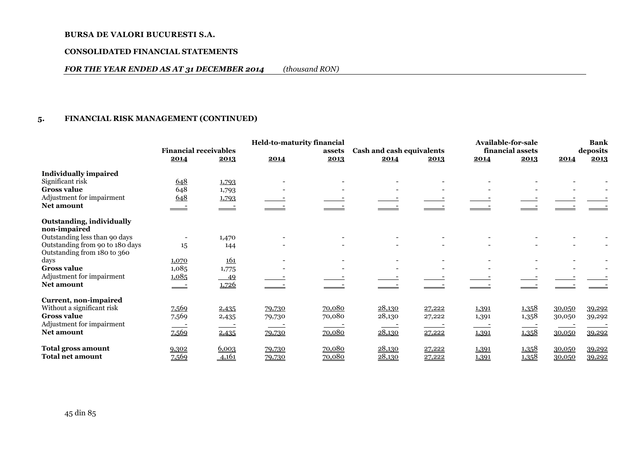#### **CONSOLIDATED FINANCIAL STATEMENTS**

## *FOR THE YEAR ENDED AS AT 31 DECEMBER 2014 (thousand RON)*

## **5. FINANCIAL RISK MANAGEMENT (CONTINUED)**

|                                 |                              |            | <b>Held-to-maturity financial</b> |        |                           |        |       | <b>Available-for-sale</b> |        | <b>Bank</b> |
|---------------------------------|------------------------------|------------|-----------------------------------|--------|---------------------------|--------|-------|---------------------------|--------|-------------|
|                                 | <b>Financial receivables</b> |            |                                   | assets | Cash and cash equivalents |        |       | financial assets          |        | deposits    |
|                                 | 2014                         | 2013       | 2014                              | 2013   | 2014                      | 2013   | 2014  | 2013                      | 2014   | 2013        |
| <b>Individually impaired</b>    |                              |            |                                   |        |                           |        |       |                           |        |             |
| Significant risk                | 648                          | 1,793      |                                   |        |                           |        |       |                           |        |             |
| <b>Gross value</b>              | 648                          | 1,793      |                                   |        |                           |        |       |                           |        |             |
| Adjustment for impairment       | 648                          | 1,793      |                                   |        |                           |        |       |                           |        |             |
| <b>Net amount</b>               |                              |            |                                   |        |                           |        |       |                           |        |             |
| Outstanding, individually       |                              |            |                                   |        |                           |        |       |                           |        |             |
| non-impaired                    |                              |            |                                   |        |                           |        |       |                           |        |             |
| Outstanding less than 90 days   |                              | 1,470      |                                   |        |                           |        |       |                           |        |             |
| Outstanding from 90 to 180 days | 15                           | 144        |                                   |        |                           |        |       |                           |        |             |
| Outstanding from 180 to 360     |                              |            |                                   |        |                           |        |       |                           |        |             |
| days                            | 1,070                        | <u>161</u> |                                   |        |                           |        |       |                           |        |             |
| <b>Gross value</b>              | 1,085                        | 1,775      |                                   |        |                           |        |       |                           |        |             |
| Adjustment for impairment       | 1,085                        | $-49$      |                                   |        |                           |        |       |                           |        |             |
| <b>Net amount</b>               |                              | 1,726      |                                   |        |                           |        |       |                           |        |             |
| Current, non-impaired           |                              |            |                                   |        |                           |        |       |                           |        |             |
| Without a significant risk      | <u>7.569</u>                 | 2,435      | 79,730                            | 70,080 | 28,130                    | 27,222 | 1,391 | 1,358                     | 30,050 | 39,292      |
| <b>Gross value</b>              | 7,569                        | 2,435      | 79,730                            | 70,080 | 28,130                    | 27,222 | 1,391 | 1,358                     | 30,050 | 39,292      |
| Adjustment for impairment       |                              |            |                                   |        |                           |        |       |                           |        |             |
| <b>Net amount</b>               | 7,569                        | 2,435      | 79,730                            | 70,080 | 28,130                    | 27,222 | 1,391 | 1,358                     | 30,050 | 39,292      |
| Total gross amount              | 9,302                        | 6,003      | 79,730                            | 70,080 | 28,130                    | 27,222 | 1,391 | 1,358                     | 30,050 | 39,292      |
| Total net amount                | 7,569                        | 4,161      | 79,730                            | 70,080 | 28,130                    | 27,222 | 1,391 | 1,358                     | 30,050 | 39,292      |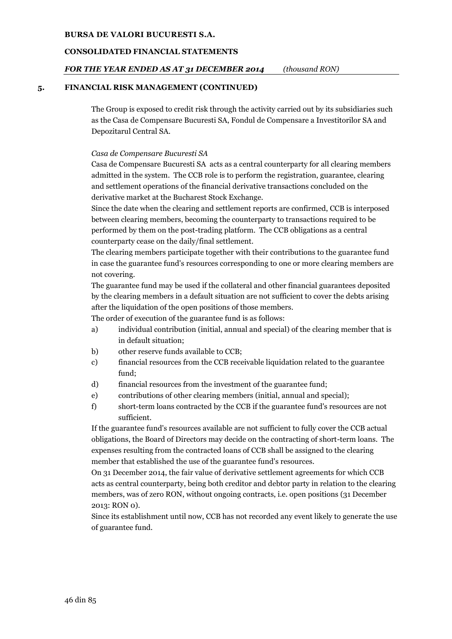## **CONSOLIDATED FINANCIAL STATEMENTS**

## *FOR THE YEAR ENDED AS AT 31 DECEMBER 2014 (thousand RON)*

#### **5. FINANCIAL RISK MANAGEMENT (CONTINUED)**

The Group is exposed to credit risk through the activity carried out by its subsidiaries such as the Casa de Compensare Bucuresti SA, Fondul de Compensare a Investitorilor SA and Depozitarul Central SA.

#### *Casa de Compensare Bucuresti SA*

Casa de Compensare Bucuresti SA acts as a central counterparty for all clearing members admitted in the system. The CCB role is to perform the registration, guarantee, clearing and settlement operations of the financial derivative transactions concluded on the derivative market at the Bucharest Stock Exchange.

Since the date when the clearing and settlement reports are confirmed, CCB is interposed between clearing members, becoming the counterparty to transactions required to be performed by them on the post-trading platform. The CCB obligations as a central counterparty cease on the daily/final settlement.

The clearing members participate together with their contributions to the guarantee fund in case the guarantee fund's resources corresponding to one or more clearing members are not covering.

The guarantee fund may be used if the collateral and other financial guarantees deposited by the clearing members in a default situation are not sufficient to cover the debts arising after the liquidation of the open positions of those members.

The order of execution of the guarantee fund is as follows:

- a) individual contribution (initial, annual and special) of the clearing member that is in default situation;
- b) other reserve funds available to CCB;
- c) financial resources from the CCB receivable liquidation related to the guarantee fund;
- d) financial resources from the investment of the guarantee fund;
- e) contributions of other clearing members (initial, annual and special);
- f) short-term loans contracted by the CCB if the guarantee fund's resources are not sufficient.

If the guarantee fund's resources available are not sufficient to fully cover the CCB actual obligations, the Board of Directors may decide on the contracting of short-term loans. The expenses resulting from the contracted loans of CCB shall be assigned to the clearing member that established the use of the guarantee fund's resources.

On 31 December 2014, the fair value of derivative settlement agreements for which CCB acts as central counterparty, being both creditor and debtor party in relation to the clearing members, was of zero RON, without ongoing contracts, i.e. open positions (31 December 2013: RON 0).

Since its establishment until now, CCB has not recorded any event likely to generate the use of guarantee fund.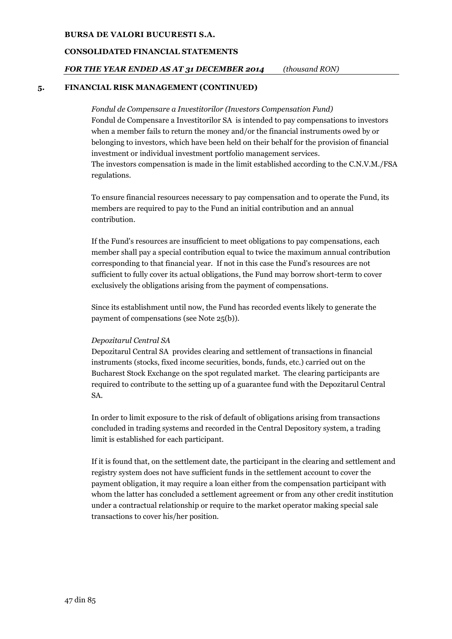## **CONSOLIDATED FINANCIAL STATEMENTS**

## *FOR THE YEAR ENDED AS AT 31 DECEMBER 2014 (thousand RON)*

#### **5. FINANCIAL RISK MANAGEMENT (CONTINUED)**

*Fondul de Compensare a Investitorilor (Investors Compensation Fund)* Fondul de Compensare a Investitorilor SA is intended to pay compensations to investors when a member fails to return the money and/or the financial instruments owed by or belonging to investors, which have been held on their behalf for the provision of financial investment or individual investment portfolio management services. The investors compensation is made in the limit established according to the C.N.V.M./FSA regulations.

To ensure financial resources necessary to pay compensation and to operate the Fund, its members are required to pay to the Fund an initial contribution and an annual contribution.

If the Fund's resources are insufficient to meet obligations to pay compensations, each member shall pay a special contribution equal to twice the maximum annual contribution corresponding to that financial year. If not in this case the Fund's resources are not sufficient to fully cover its actual obligations, the Fund may borrow short-term to cover exclusively the obligations arising from the payment of compensations.

Since its establishment until now, the Fund has recorded events likely to generate the payment of compensations (see Note 25(b)).

## *Depozitarul Central SA*

Depozitarul Central SA provides clearing and settlement of transactions in financial instruments (stocks, fixed income securities, bonds, funds, etc.) carried out on the Bucharest Stock Exchange on the spot regulated market. The clearing participants are required to contribute to the setting up of a guarantee fund with the Depozitarul Central SA.

In order to limit exposure to the risk of default of obligations arising from transactions concluded in trading systems and recorded in the Central Depository system, a trading limit is established for each participant.

If it is found that, on the settlement date, the participant in the clearing and settlement and registry system does not have sufficient funds in the settlement account to cover the payment obligation, it may require a loan either from the compensation participant with whom the latter has concluded a settlement agreement or from any other credit institution under a contractual relationship or require to the market operator making special sale transactions to cover his/her position.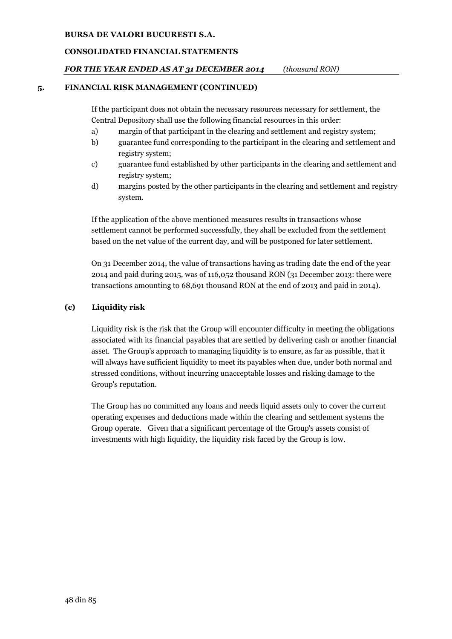# **CONSOLIDATED FINANCIAL STATEMENTS**

# *FOR THE YEAR ENDED AS AT 31 DECEMBER 2014 (thousand RON)*

## **5. FINANCIAL RISK MANAGEMENT (CONTINUED)**

If the participant does not obtain the necessary resources necessary for settlement, the Central Depository shall use the following financial resources in this order:

- a) margin of that participant in the clearing and settlement and registry system;
- b) guarantee fund corresponding to the participant in the clearing and settlement and registry system;
- c) guarantee fund established by other participants in the clearing and settlement and registry system;
- d) margins posted by the other participants in the clearing and settlement and registry system.

If the application of the above mentioned measures results in transactions whose settlement cannot be performed successfully, they shall be excluded from the settlement based on the net value of the current day, and will be postponed for later settlement.

On 31 December 2014, the value of transactions having as trading date the end of the year 2014 and paid during 2015, was of 116,052 thousand RON (31 December 2013: there were transactions amounting to 68,691 thousand RON at the end of 2013 and paid in 2014).

# **(c) Liquidity risk**

Liquidity risk is the risk that the Group will encounter difficulty in meeting the obligations associated with its financial payables that are settled by delivering cash or another financial asset. The Group's approach to managing liquidity is to ensure, as far as possible, that it will always have sufficient liquidity to meet its payables when due, under both normal and stressed conditions, without incurring unacceptable losses and risking damage to the Group's reputation.

The Group has no committed any loans and needs liquid assets only to cover the current operating expenses and deductions made within the clearing and settlement systems the Group operate. Given that a significant percentage of the Group's assets consist of investments with high liquidity, the liquidity risk faced by the Group is low.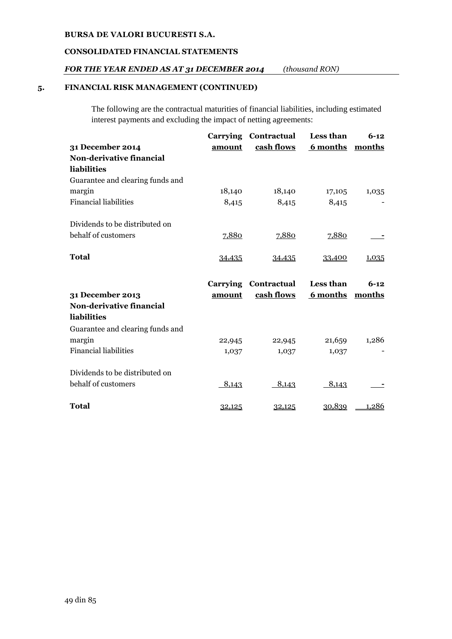## **CONSOLIDATED FINANCIAL STATEMENTS**

## *FOR THE YEAR ENDED AS AT 31 DECEMBER 2014 (thousand RON)*

## **5. FINANCIAL RISK MANAGEMENT (CONTINUED)**

The following are the contractual maturities of financial liabilities, including estimated interest payments and excluding the impact of netting agreements:

|                                  | Carrying | Contractual | Less than       | $6 - 12$ |
|----------------------------------|----------|-------------|-----------------|----------|
| 31 December 2014                 | amount   | cash flows  | <u>6 months</u> | months   |
| Non-derivative financial         |          |             |                 |          |
| liabilities                      |          |             |                 |          |
| Guarantee and clearing funds and |          |             |                 |          |
| margin                           | 18,140   | 18,140      | 17,105          | 1,035    |
| <b>Financial liabilities</b>     | 8,415    | 8,415       | 8,415           |          |
| Dividends to be distributed on   |          |             |                 |          |
| behalf of customers              | 7,880    | 7,880       | 7,880           |          |
| <b>Total</b>                     | 34,435   | 34,435      | 33,400          | 1,035    |
|                                  |          |             |                 |          |
|                                  | Carrying | Contractual | Less than       | $6-12$   |
| 31 December 2013                 | amount   | cash flows  | 6 months        | months   |
| Non-derivative financial         |          |             |                 |          |
| liabilities                      |          |             |                 |          |
| Guarantee and clearing funds and |          |             |                 |          |
| margin                           | 22,945   | 22,945      | 21,659          | 1,286    |
| <b>Financial liabilities</b>     | 1,037    | 1,037       | 1,037           |          |
| Dividends to be distributed on   |          |             |                 |          |
| behalf of customers              | 8,143    | 8,143       | 8,143           |          |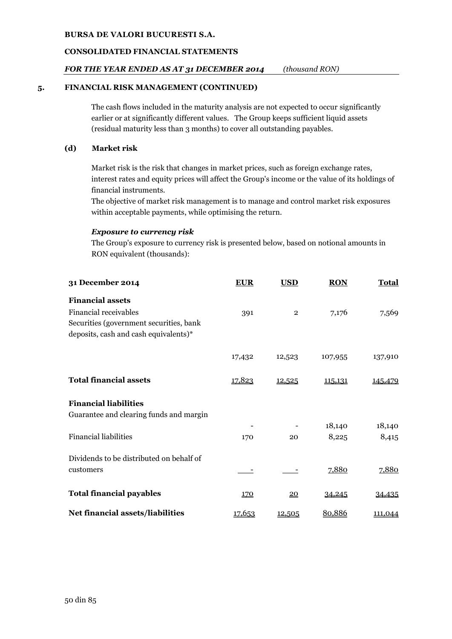#### **CONSOLIDATED FINANCIAL STATEMENTS**

## *FOR THE YEAR ENDED AS AT 31 DECEMBER 2014 (thousand RON)*

#### **5. FINANCIAL RISK MANAGEMENT (CONTINUED)**

The cash flows included in the maturity analysis are not expected to occur significantly earlier or at significantly different values. The Group keeps sufficient liquid assets (residual maturity less than 3 months) to cover all outstanding payables.

#### **(d) Market risk**

Market risk is the risk that changes in market prices, such as foreign exchange rates, interest rates and equity prices will affect the Group's income or the value of its holdings of financial instruments.

The objective of market risk management is to manage and control market risk exposures within acceptable payments, while optimising the return.

#### *Exposure to currency risk*

The Group's exposure to currency risk is presented below, based on notional amounts in RON equivalent (thousands):

| 31 December 2014                         | <b>EUR</b>    | <b>USD</b>       | <b>RON</b> | <b>Total</b>   |
|------------------------------------------|---------------|------------------|------------|----------------|
| <b>Financial assets</b>                  |               |                  |            |                |
| <b>Financial receivables</b>             | 391           | $\overline{2}$   | 7,176      | 7,569          |
| Securities (government securities, bank  |               |                  |            |                |
| deposits, cash and cash equivalents)*    |               |                  |            |                |
|                                          | 17,432        | 12,523           | 107,955    | 137,910        |
| <b>Total financial assets</b>            | 17,823        | 12,525           | 115,131    | 145,479        |
| <b>Financial liabilities</b>             |               |                  |            |                |
| Guarantee and clearing funds and margin  |               |                  |            |                |
|                                          |               |                  | 18,140     | 18,140         |
| <b>Financial liabilities</b>             | 170           | 20               | 8,225      | 8,415          |
| Dividends to be distributed on behalf of |               |                  |            |                |
| customers                                |               |                  | 7,880      | 7,880          |
| <b>Total financial payables</b>          | <u>170</u>    | $\underline{20}$ | 34,245     | 34,435         |
| Net financial assets/liabilities         | <u>17,653</u> | 12,505           | 80,886     | <u>111,044</u> |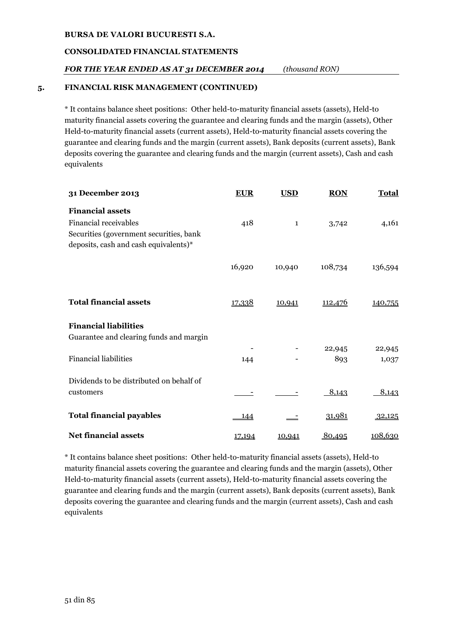## **CONSOLIDATED FINANCIAL STATEMENTS**

## *FOR THE YEAR ENDED AS AT 31 DECEMBER 2014 (thousand RON)*

#### **5. FINANCIAL RISK MANAGEMENT (CONTINUED)**

\* It contains balance sheet positions: Other held-to-maturity financial assets (assets), Held-to maturity financial assets covering the guarantee and clearing funds and the margin (assets), Other Held-to-maturity financial assets (current assets), Held-to-maturity financial assets covering the guarantee and clearing funds and the margin (current assets), Bank deposits (current assets), Bank deposits covering the guarantee and clearing funds and the margin (current assets), Cash and cash equivalents

| 31 December 2013                         | <b>EUR</b>    | <b>USD</b>   | <b>RON</b>     | <b>Total</b> |
|------------------------------------------|---------------|--------------|----------------|--------------|
| <b>Financial assets</b>                  |               |              |                |              |
| <b>Financial receivables</b>             | 418           | $\mathbf{1}$ | 3,742          | 4,161        |
| Securities (government securities, bank  |               |              |                |              |
| deposits, cash and cash equivalents)*    |               |              |                |              |
|                                          | 16,920        | 10,940       | 108,734        | 136,594      |
|                                          |               |              |                |              |
|                                          |               |              |                |              |
| <b>Total financial assets</b>            | <u>17,338</u> | 10,941       | <u>112,476</u> | 140,755      |
| <b>Financial liabilities</b>             |               |              |                |              |
| Guarantee and clearing funds and margin  |               |              |                |              |
|                                          |               |              | 22,945         | 22,945       |
| <b>Financial liabilities</b>             | 144           |              | 893            | 1,037        |
| Dividends to be distributed on behalf of |               |              |                |              |
| customers                                |               |              | 8,143          | 8,143        |
| <b>Total financial payables</b>          | - 144         |              | 31,981         | 32,125       |
|                                          |               |              |                |              |
| <b>Net financial assets</b>              | 17,194        | 10,941       | 80,495         | 108,630      |

\* It contains balance sheet positions: Other held-to-maturity financial assets (assets), Held-to maturity financial assets covering the guarantee and clearing funds and the margin (assets), Other Held-to-maturity financial assets (current assets), Held-to-maturity financial assets covering the guarantee and clearing funds and the margin (current assets), Bank deposits (current assets), Bank deposits covering the guarantee and clearing funds and the margin (current assets), Cash and cash equivalents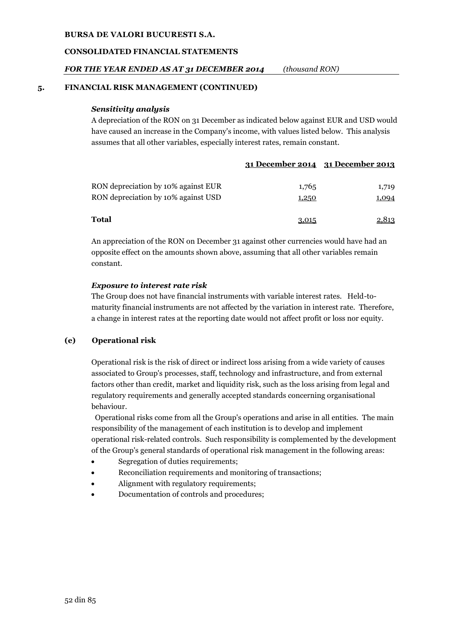#### **CONSOLIDATED FINANCIAL STATEMENTS**

## *FOR THE YEAR ENDED AS AT 31 DECEMBER 2014 (thousand RON)*

#### **5. FINANCIAL RISK MANAGEMENT (CONTINUED)**

#### *Sensitivity analysis*

A depreciation of the RON on 31 December as indicated below against EUR and USD would have caused an increase in the Company's income, with values listed below. This analysis assumes that all other variables, especially interest rates, remain constant.

|                                                                            | 31 December 2014 31 December 2013 |                |
|----------------------------------------------------------------------------|-----------------------------------|----------------|
| RON depreciation by 10% against EUR<br>RON depreciation by 10% against USD | 1,765<br>1,250                    | 1,719<br>1,094 |
| Total                                                                      | 3,015                             | 2,813          |

An appreciation of the RON on December 31 against other currencies would have had an opposite effect on the amounts shown above, assuming that all other variables remain constant.

#### *Exposure to interest rate risk*

The Group does not have financial instruments with variable interest rates. Held-tomaturity financial instruments are not affected by the variation in interest rate. Therefore, a change in interest rates at the reporting date would not affect profit or loss nor equity.

## **(e) Operational risk**

Operational risk is the risk of direct or indirect loss arising from a wide variety of causes associated to Group's processes, staff, technology and infrastructure, and from external factors other than credit, market and liquidity risk, such as the loss arising from legal and regulatory requirements and generally accepted standards concerning organisational behaviour.

 Operational risks come from all the Group's operations and arise in all entities. The main responsibility of the management of each institution is to develop and implement operational risk-related controls. Such responsibility is complemented by the development of the Group's general standards of operational risk management in the following areas:

- Segregation of duties requirements;
- Reconciliation requirements and monitoring of transactions;
- Alignment with regulatory requirements;
- Documentation of controls and procedures;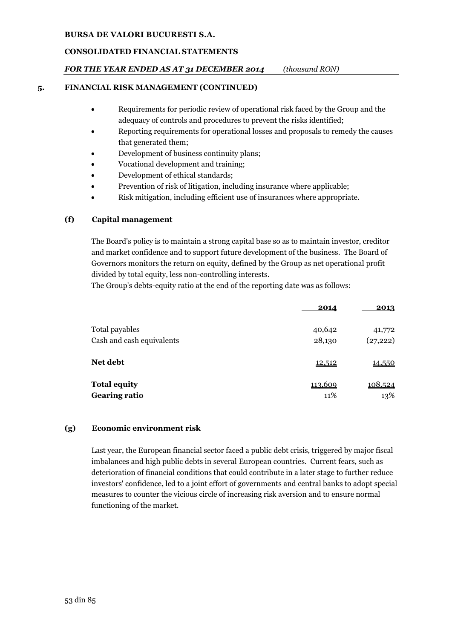# **CONSOLIDATED FINANCIAL STATEMENTS**

# *FOR THE YEAR ENDED AS AT 31 DECEMBER 2014 (thousand RON)*

## **5. FINANCIAL RISK MANAGEMENT (CONTINUED)**

- Requirements for periodic review of operational risk faced by the Group and the adequacy of controls and procedures to prevent the risks identified;
- Reporting requirements for operational losses and proposals to remedy the causes that generated them;
- Development of business continuity plans;
- Vocational development and training;
- Development of ethical standards;
- Prevention of risk of litigation, including insurance where applicable;
- Risk mitigation, including efficient use of insurances where appropriate.

# **(f) Capital management**

The Board's policy is to maintain a strong capital base so as to maintain investor, creditor and market confidence and to support future development of the business. The Board of Governors monitors the return on equity, defined by the Group as net operational profit divided by total equity, less non-controlling interests.

The Group's debts-equity ratio at the end of the reporting date was as follows:

|                           | 2014    | 2013          |
|---------------------------|---------|---------------|
| Total payables            | 40,642  | 41,772        |
| Cash and cash equivalents | 28,130  | (27, 222)     |
| Net debt                  | 12,512  | <u>14,550</u> |
| <b>Total equity</b>       | 113,609 | 108,524       |
| <b>Gearing ratio</b>      | 11%     | 13%           |

## **(g) Economic environment risk**

Last year, the European financial sector faced a public debt crisis, triggered by major fiscal imbalances and high public debts in several European countries. Current fears, such as deterioration of financial conditions that could contribute in a later stage to further reduce investors' confidence, led to a joint effort of governments and central banks to adopt special measures to counter the vicious circle of increasing risk aversion and to ensure normal functioning of the market.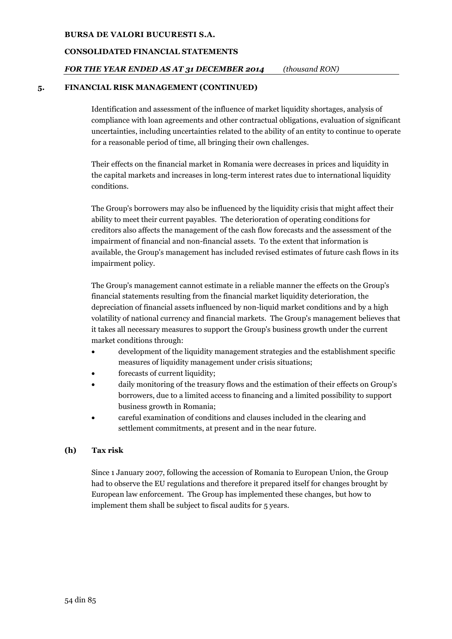#### **CONSOLIDATED FINANCIAL STATEMENTS**

## *FOR THE YEAR ENDED AS AT 31 DECEMBER 2014 (thousand RON)*

#### **5. FINANCIAL RISK MANAGEMENT (CONTINUED)**

Identification and assessment of the influence of market liquidity shortages, analysis of compliance with loan agreements and other contractual obligations, evaluation of significant uncertainties, including uncertainties related to the ability of an entity to continue to operate for a reasonable period of time, all bringing their own challenges.

Their effects on the financial market in Romania were decreases in prices and liquidity in the capital markets and increases in long-term interest rates due to international liquidity conditions.

The Group's borrowers may also be influenced by the liquidity crisis that might affect their ability to meet their current payables. The deterioration of operating conditions for creditors also affects the management of the cash flow forecasts and the assessment of the impairment of financial and non-financial assets. To the extent that information is available, the Group's management has included revised estimates of future cash flows in its impairment policy.

The Group's management cannot estimate in a reliable manner the effects on the Group's financial statements resulting from the financial market liquidity deterioration, the depreciation of financial assets influenced by non-liquid market conditions and by a high volatility of national currency and financial markets. The Group's management believes that it takes all necessary measures to support the Group's business growth under the current market conditions through:

- development of the liquidity management strategies and the establishment specific measures of liquidity management under crisis situations;
- forecasts of current liquidity;
- daily monitoring of the treasury flows and the estimation of their effects on Group's borrowers, due to a limited access to financing and a limited possibility to support business growth in Romania;
- careful examination of conditions and clauses included in the clearing and settlement commitments, at present and in the near future.

## **(h) Tax risk**

Since 1 January 2007, following the accession of Romania to European Union, the Group had to observe the EU regulations and therefore it prepared itself for changes brought by European law enforcement. The Group has implemented these changes, but how to implement them shall be subject to fiscal audits for 5 years.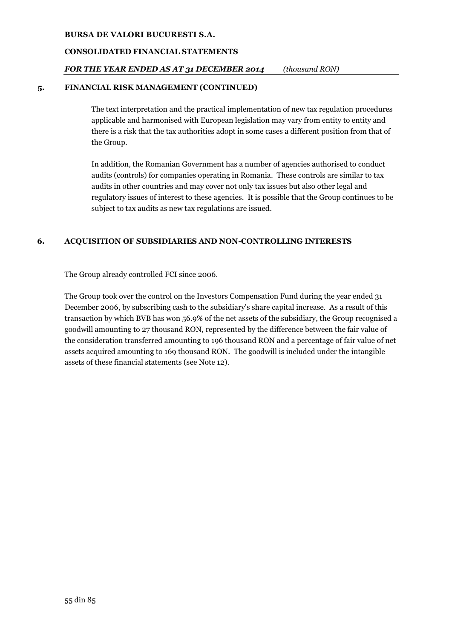## **CONSOLIDATED FINANCIAL STATEMENTS**

## *FOR THE YEAR ENDED AS AT 31 DECEMBER 2014 (thousand RON)*

#### **5. FINANCIAL RISK MANAGEMENT (CONTINUED)**

The text interpretation and the practical implementation of new tax regulation procedures applicable and harmonised with European legislation may vary from entity to entity and there is a risk that the tax authorities adopt in some cases a different position from that of the Group.

In addition, the Romanian Government has a number of agencies authorised to conduct audits (controls) for companies operating in Romania. These controls are similar to tax audits in other countries and may cover not only tax issues but also other legal and regulatory issues of interest to these agencies. It is possible that the Group continues to be subject to tax audits as new tax regulations are issued.

## **6. ACQUISITION OF SUBSIDIARIES AND NON-CONTROLLING INTERESTS**

The Group already controlled FCI since 2006.

The Group took over the control on the Investors Compensation Fund during the year ended 31 December 2006, by subscribing cash to the subsidiary's share capital increase. As a result of this transaction by which BVB has won 56.9% of the net assets of the subsidiary, the Group recognised a goodwill amounting to 27 thousand RON, represented by the difference between the fair value of the consideration transferred amounting to 196 thousand RON and a percentage of fair value of net assets acquired amounting to 169 thousand RON. The goodwill is included under the intangible assets of these financial statements (see Note 12).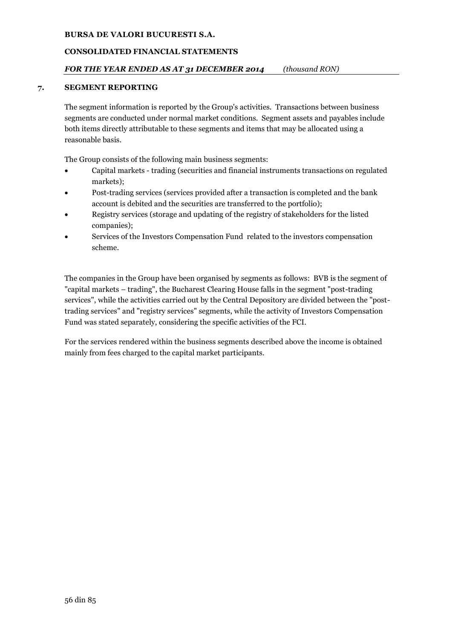# **CONSOLIDATED FINANCIAL STATEMENTS**

# *FOR THE YEAR ENDED AS AT 31 DECEMBER 2014 (thousand RON)*

## **7. SEGMENT REPORTING**

The segment information is reported by the Group's activities. Transactions between business segments are conducted under normal market conditions. Segment assets and payables include both items directly attributable to these segments and items that may be allocated using a reasonable basis.

The Group consists of the following main business segments:

- Capital markets trading (securities and financial instruments transactions on regulated markets);
- Post-trading services (services provided after a transaction is completed and the bank account is debited and the securities are transferred to the portfolio);
- Registry services (storage and updating of the registry of stakeholders for the listed companies);
- Services of the Investors Compensation Fund related to the investors compensation scheme.

The companies in the Group have been organised by segments as follows: BVB is the segment of "capital markets – trading", the Bucharest Clearing House falls in the segment "post-trading services", while the activities carried out by the Central Depository are divided between the "posttrading services" and "registry services" segments, while the activity of Investors Compensation Fund was stated separately, considering the specific activities of the FCI.

For the services rendered within the business segments described above the income is obtained mainly from fees charged to the capital market participants.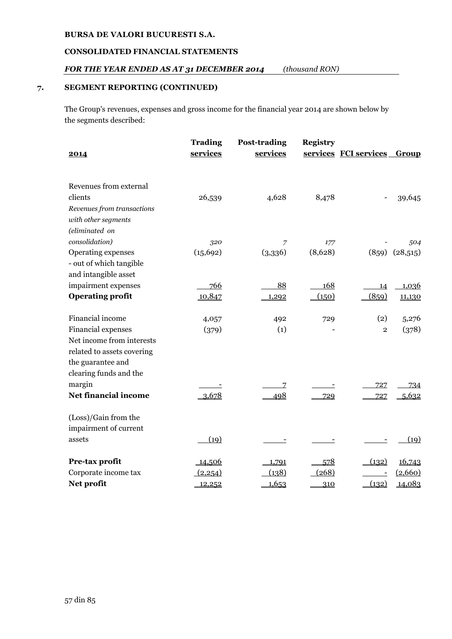## **CONSOLIDATED FINANCIAL STATEMENTS**

## *FOR THE YEAR ENDED AS AT 31 DECEMBER 2014 (thousand RON)*

## **7. SEGMENT REPORTING (CONTINUED)**

The Group's revenues, expenses and gross income for the financial year 2014 are shown below by the segments described:

|                             | <b>Trading</b> | <b>Post-trading</b> | <b>Registry</b> |                       |          |
|-----------------------------|----------------|---------------------|-----------------|-----------------------|----------|
| 2014                        | services       | services            |                 | services FCI services | Group    |
|                             |                |                     |                 |                       |          |
| Revenues from external      |                |                     |                 |                       |          |
| clients                     | 26,539         | 4,628               | 8,478           |                       | 39,645   |
| Revenues from transactions  |                |                     |                 |                       |          |
| with other segments         |                |                     |                 |                       |          |
| (eliminated on              |                |                     |                 |                       |          |
| consolidation)              | 320            | 7                   | 177             |                       | 504      |
| Operating expenses          | (15, 692)      | (3,336)             | (8,628)         | (859)                 | (28,515) |
| - out of which tangible     |                |                     |                 |                       |          |
| and intangible asset        |                |                     |                 |                       |          |
| impairment expenses         | 766            | 88                  | 168             | 14                    | 1,036    |
| <b>Operating profit</b>     | 10,847         | 1,292               | (150)           | (859)                 | 11,130   |
| Financial income            | 4,057          | 492                 | 729             | (2)                   | 5,276    |
| Financial expenses          | (379)          | (1)                 |                 | $\overline{2}$        | (378)    |
| Net income from interests   |                |                     |                 |                       |          |
| related to assets covering  |                |                     |                 |                       |          |
| the guarantee and           |                |                     |                 |                       |          |
| clearing funds and the      |                |                     |                 |                       |          |
| margin                      |                |                     |                 | 727                   | 734      |
| <b>Net financial income</b> | 3,678          | Z<br>498            | 729             | 727                   | 5,632    |
|                             |                |                     |                 |                       |          |
| (Loss)/Gain from the        |                |                     |                 |                       |          |
| impairment of current       |                |                     |                 |                       |          |
| assets                      | (19)           |                     |                 |                       | (19)     |
| Pre-tax profit              | <u>14,506</u>  | 1,791               | 578             | (132)                 | 16,743   |
| Corporate income tax        | (2,254)        | (138)               | (268)           |                       | (2,660)  |
| Net profit                  | 12,252         | 1,653               | 310             | (132)                 | 14,083   |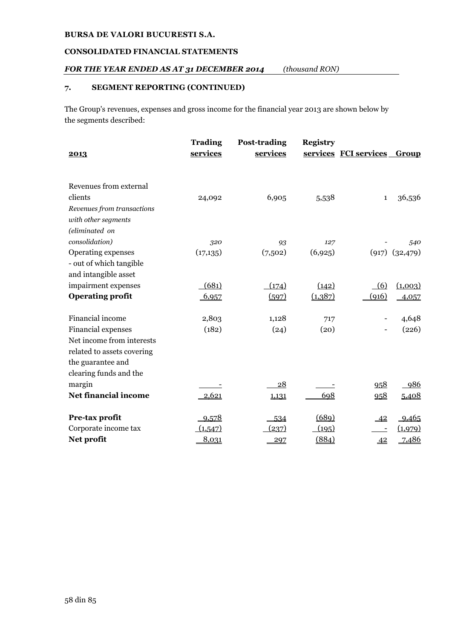## **CONSOLIDATED FINANCIAL STATEMENTS**

## *FOR THE YEAR ENDED AS AT 31 DECEMBER 2014 (thousand RON)*

## **7. SEGMENT REPORTING (CONTINUED)**

The Group's revenues, expenses and gross income for the financial year 2013 are shown below by the segments described:

| 2013                                          | <b>Trading</b><br>services | <b>Post-trading</b><br>services | <b>Registry</b> | services FCI services | Group              |
|-----------------------------------------------|----------------------------|---------------------------------|-----------------|-----------------------|--------------------|
| Revenues from external                        |                            |                                 |                 |                       |                    |
| clients                                       | 24,092                     | 6,905                           | 5,538           | $\mathbf{1}$          | 36,536             |
| Revenues from transactions                    |                            |                                 |                 |                       |                    |
| with other segments                           |                            |                                 |                 |                       |                    |
| (eliminated on                                |                            |                                 |                 |                       |                    |
| consolidation)                                | 320                        | 93                              | 127             |                       | 540                |
| Operating expenses<br>- out of which tangible | (17, 135)                  | (7,502)                         | (6,925)         |                       | $(917)$ $(32,479)$ |
| and intangible asset                          |                            |                                 |                 |                       |                    |
| impairment expenses                           | (681)                      | (174)                           | (142)           | (6)                   | (1,003)            |
| <b>Operating profit</b>                       | 6,957                      | (597)                           | (1, 387)        | (916)                 | 4,057              |
| Financial income                              | 2,803                      | 1,128                           | 717             |                       | 4,648              |
| Financial expenses                            | (182)                      | (24)                            | (20)            |                       | (226)              |
| Net income from interests                     |                            |                                 |                 |                       |                    |
| related to assets covering                    |                            |                                 |                 |                       |                    |
| the guarantee and                             |                            |                                 |                 |                       |                    |
| clearing funds and the                        |                            |                                 |                 |                       |                    |
| margin                                        |                            | <u>28</u>                       |                 | 958                   | 986                |
| <b>Net financial income</b>                   | 2,621                      | 1,131                           | 698             | 958                   | 5,408              |
| Pre-tax profit                                | 9,578                      | 534                             | (689)           | $-42$                 | 9,465              |
| Corporate income tax                          | (1,547)                    | (237)                           | (195)           |                       | (1,979)            |
| Net profit                                    | 8,031                      | 297                             | (884)           | 42                    | 7,486              |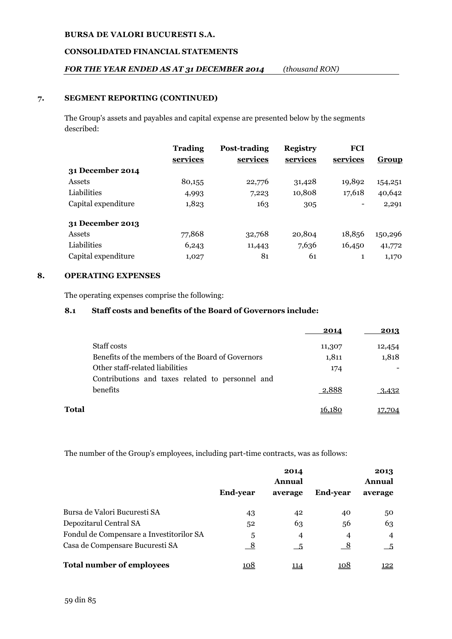## **CONSOLIDATED FINANCIAL STATEMENTS**

## *FOR THE YEAR ENDED AS AT 31 DECEMBER 2014 (thousand RON)*

## **7. SEGMENT REPORTING (CONTINUED)**

The Group's assets and payables and capital expense are presented below by the segments described:

|                     | <b>Trading</b> | Post-trading | <b>Registry</b> | <b>FCI</b> |              |
|---------------------|----------------|--------------|-----------------|------------|--------------|
|                     | services       | services     | services        | services   | <b>Group</b> |
| 31 December 2014    |                |              |                 |            |              |
| Assets              | 80,155         | 22,776       | 31,428          | 19,892     | 154,251      |
| Liabilities         | 4,993          | 7,223        | 10,808          | 17,618     | 40,642       |
| Capital expenditure | 1,823          | 163          | 305             |            | 2,291        |
| 31 December 2013    |                |              |                 |            |              |
| Assets              | 77,868         | 32,768       | 20,804          | 18,856     | 150,296      |
| Liabilities         | 6,243          | 11,443       | 7,636           | 16,450     | 41,772       |
| Capital expenditure | 1,027          | 81           | 61              | 1          | 1,170        |

## **8. OPERATING EXPENSES**

The operating expenses comprise the following:

## **8.1 Staff costs and benefits of the Board of Governors include:**

|       |                                                   | 2014   | 2013   |
|-------|---------------------------------------------------|--------|--------|
|       | <b>Staff costs</b>                                | 11,307 | 12,454 |
|       | Benefits of the members of the Board of Governors | 1,811  | 1,818  |
|       | Other staff-related liabilities                   | 174    |        |
|       | Contributions and taxes related to personnel and  |        |        |
|       | benefits                                          | 2,888  | 3,432  |
| Total |                                                   | 16.180 | 17.704 |

The number of the Group's employees, including part-time contracts, was as follows:

|                                          | 2014<br>Annual  |             | 2013<br>Annual  |                |
|------------------------------------------|-----------------|-------------|-----------------|----------------|
|                                          | <b>End-year</b> | average     | <b>End-year</b> | average        |
| Bursa de Valori Bucuresti SA             | 43              | 42          | 40              | 50             |
| Depozitarul Central SA                   | 52              | 63          | 56              | 63             |
| Fondul de Compensare a Investitorilor SA | 5               | 4           | $\overline{4}$  | $\overline{4}$ |
| Casa de Compensare Bucuresti SA          | $_{-8}$         | - 5         | $\frac{8}{1}$   | $-5$           |
| <b>Total number of employees</b>         | 108             | <u> 114</u> | 108             | <u> 122 </u>   |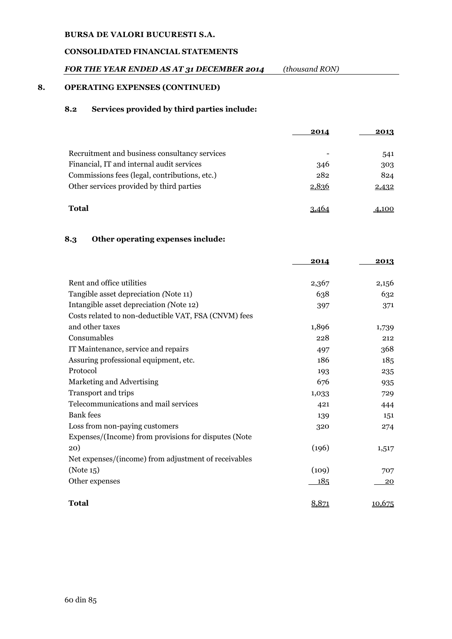# **CONSOLIDATED FINANCIAL STATEMENTS**

# *FOR THE YEAR ENDED AS AT 31 DECEMBER 2014 (thousand RON)*

## **8. OPERATING EXPENSES (CONTINUED)**

## **8.2 Services provided by third parties include:**

|                                               | 2014  | 2013  |
|-----------------------------------------------|-------|-------|
| Recruitment and business consultancy services |       | 541   |
| Financial, IT and internal audit services     | 346   | 303   |
| Commissions fees (legal, contributions, etc.) | 282   | 824   |
| Other services provided by third parties      | 2,836 | 2,432 |
| <b>Total</b>                                  |       |       |

## **8.3 Other operating expenses include:**

|                                                      | 2014  | 2013   |
|------------------------------------------------------|-------|--------|
|                                                      |       |        |
| Rent and office utilities                            | 2,367 | 2,156  |
| Tangible asset depreciation (Note 11)                | 638   | 632    |
| Intangible asset depreciation (Note 12)              | 397   | 371    |
| Costs related to non-deductible VAT, FSA (CNVM) fees |       |        |
| and other taxes                                      | 1,896 | 1,739  |
| Consumables                                          | 228   | 212    |
| IT Maintenance, service and repairs                  | 497   | 368    |
| Assuring professional equipment, etc.                | 186   | 185    |
| Protocol                                             | 193   | 235    |
| Marketing and Advertising                            | 676   | 935    |
| Transport and trips                                  | 1,033 | 729    |
| Telecommunications and mail services                 | 421   | 444    |
| <b>Bank</b> fees                                     | 139   | 151    |
| Loss from non-paying customers                       | 320   | 274    |
| Expenses/(Income) from provisions for disputes (Note |       |        |
| 20)                                                  | (196) | 1,517  |
| Net expenses/(income) from adjustment of receivables |       |        |
| (Note 15)                                            | (109) | 707    |
| Other expenses                                       | 185   | 20     |
| <b>Total</b>                                         | 8,871 | 10,675 |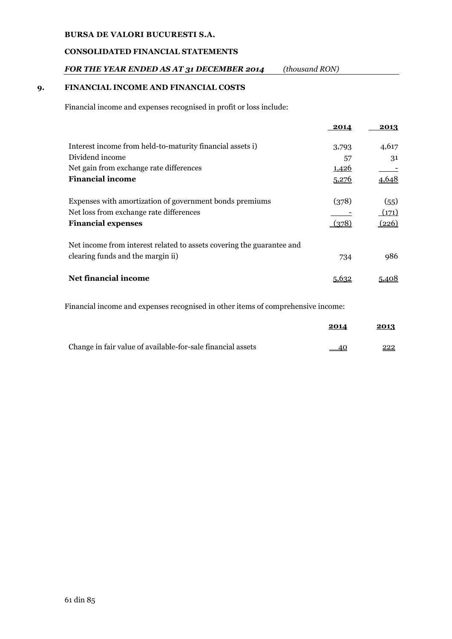## **CONSOLIDATED FINANCIAL STATEMENTS**

## *FOR THE YEAR ENDED AS AT 31 DECEMBER 2014 (thousand RON)*

## **9. FINANCIAL INCOME AND FINANCIAL COSTS**

Financial income and expenses recognised in profit or loss include:

|                                                                       | 2014  | 2013  |
|-----------------------------------------------------------------------|-------|-------|
| Interest income from held-to-maturity financial assets i)             | 3,793 | 4,617 |
| Dividend income                                                       | 57    | 31    |
| Net gain from exchange rate differences                               | 1,426 |       |
| <b>Financial income</b>                                               | 5,276 | 4,648 |
| Expenses with amortization of government bonds premiums               | (378) | (55)  |
| Net loss from exchange rate differences                               |       | (171) |
| <b>Financial expenses</b>                                             | (378) | (226) |
| Net income from interest related to assets covering the guarantee and |       |       |
| clearing funds and the margin ii)                                     | 734   | 986   |
| Net financial income                                                  | 5.632 |       |
|                                                                       |       |       |

Financial income and expenses recognised in other items of comprehensive income:

|                                                             | 2014  | 2013 |
|-------------------------------------------------------------|-------|------|
| Change in fair value of available-for-sale financial assets | $-40$ | 222  |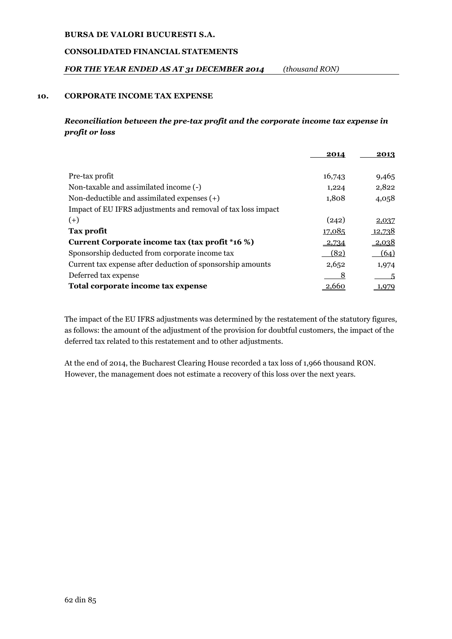## **CONSOLIDATED FINANCIAL STATEMENTS**

## *FOR THE YEAR ENDED AS AT 31 DECEMBER 2014 (thousand RON)*

## **10. CORPORATE INCOME TAX EXPENSE**

## *Reconciliation between the pre-tax profit and the corporate income tax expense in profit or loss*

|                                                              | 2014         | 2013         |
|--------------------------------------------------------------|--------------|--------------|
|                                                              |              |              |
| Pre-tax profit                                               | 16,743       | 9,465        |
| Non-taxable and assimilated income (-)                       | 1,224        | 2,822        |
| Non-deductible and assimilated expenses $(+)$                | 1,808        | 4,058        |
| Impact of EU IFRS adjustments and removal of tax loss impact |              |              |
| $(+)$                                                        | (242)        | 2,037        |
| Tax profit                                                   | 17,085       | 12,738       |
| Current Corporate income tax (tax profit *16 %)              | $-2,734$     | <u>2,038</u> |
| Sponsorship deducted from corporate income tax               | (82)         | (64)         |
| Current tax expense after deduction of sponsorship amounts   | 2,652        | 1,974        |
| Deferred tax expense                                         | 8            | -5           |
| Total corporate income tax expense                           | <u>2,660</u> | 1,979        |

The impact of the EU IFRS adjustments was determined by the restatement of the statutory figures, as follows: the amount of the adjustment of the provision for doubtful customers, the impact of the deferred tax related to this restatement and to other adjustments.

At the end of 2014, the Bucharest Clearing House recorded a tax loss of 1,966 thousand RON. However, the management does not estimate a recovery of this loss over the next years.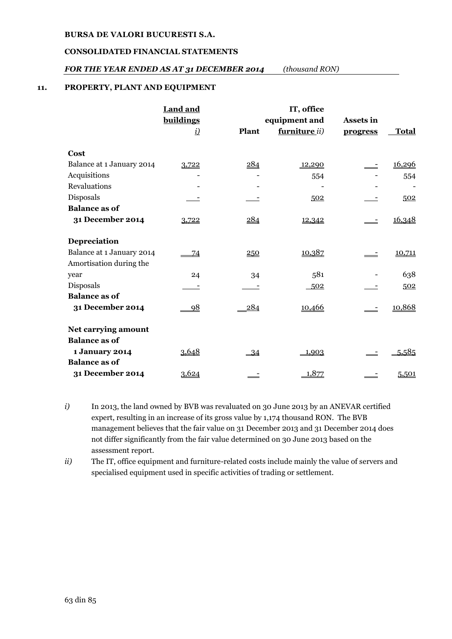## **CONSOLIDATED FINANCIAL STATEMENTS**

## *FOR THE YEAR ENDED AS AT 31 DECEMBER 2014 (thousand RON)*

## **11. PROPERTY, PLANT AND EQUIPMENT**

|                                                      | <b>Land and</b> |       | IT, office    |                 |              |
|------------------------------------------------------|-----------------|-------|---------------|-----------------|--------------|
|                                                      | buildings       |       | equipment and | Assets in       |              |
|                                                      | <u>i)</u>       | Plant | furniture ii) | <b>progress</b> | <b>Total</b> |
| Cost                                                 |                 |       |               |                 |              |
| Balance at 1 January 2014                            | 3,722           | 284   | 12,290        |                 | 16,296       |
| Acquisitions                                         |                 |       | 554           |                 | 554          |
| <b>Revaluations</b>                                  |                 |       |               |                 |              |
| Disposals                                            |                 |       | 502           |                 | 502          |
| <b>Balance as of</b>                                 |                 |       |               |                 |              |
| 31 December 2014                                     | 3,722           | 284   | 12,342        |                 | 16,348       |
| Depreciation                                         |                 |       |               |                 |              |
| Balance at 1 January 2014<br>Amortisation during the | 74              | 250   | 10,387        |                 | 10,711       |
| year                                                 | 24              | 34    | 581           |                 | 638          |
| Disposals                                            |                 |       | 502           |                 | 502          |
| <b>Balance as of</b>                                 |                 |       |               |                 |              |
| 31 December 2014                                     | 98              | 284   | 10,466        |                 | 10,868       |
| Net carrying amount                                  |                 |       |               |                 |              |
| <b>Balance as of</b>                                 |                 |       |               |                 |              |
| 1 January 2014                                       | 3,648           | $-34$ | 1,903         |                 | 5,585        |
| <b>Balance as of</b>                                 |                 |       |               |                 |              |
| 31 December 2014                                     | 3,624           |       | 1,877         |                 | 5,501        |

- *i*) In 2013, the land owned by BVB was revaluated on 30 June 2013 by an ANEVAR certified expert, resulting in an increase of its gross value by 1,174 thousand RON. The BVB management believes that the fair value on 31 December 2013 and 31 December 2014 does not differ significantly from the fair value determined on 30 June 2013 based on the assessment report.
- *ii)* The IT, office equipment and furniture-related costs include mainly the value of servers and specialised equipment used in specific activities of trading or settlement.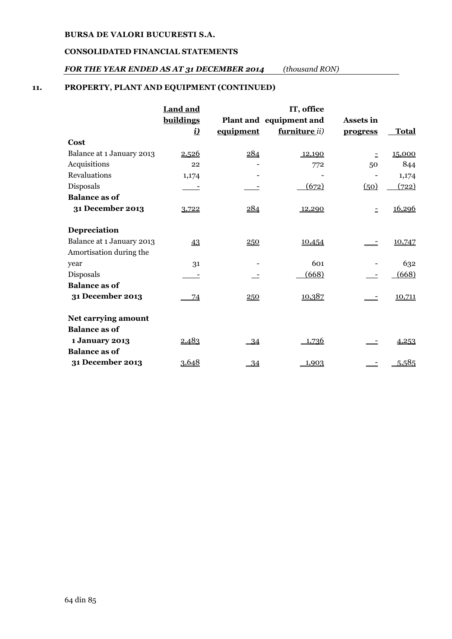### **CONSOLIDATED FINANCIAL STATEMENTS**

## *FOR THE YEAR ENDED AS AT 31 DECEMBER 2014 (thousand RON)*

## **11. PROPERTY, PLANT AND EQUIPMENT (CONTINUED)**

|                                                      | <b>Land and</b> |           | IT, office              |           |              |
|------------------------------------------------------|-----------------|-----------|-------------------------|-----------|--------------|
|                                                      | buildings       |           | Plant and equipment and | Assets in |              |
|                                                      | <u>i)</u>       | equipment | furniture ii)           | progress  | <b>Total</b> |
| Cost                                                 |                 |           |                         |           |              |
| Balance at 1 January 2013                            | 2,526           | 284       | 12,190                  | $\bar{z}$ | 15,000       |
| Acquisitions                                         | 22              |           | 772                     | 50        | 844          |
| <b>Revaluations</b>                                  | 1,174           |           |                         |           | 1,174        |
| Disposals                                            |                 |           | (672)                   | (50)      | (722)        |
| <b>Balance as of</b>                                 |                 |           |                         |           |              |
| 31 December 2013                                     | 3,722           | 284       | 12,290                  | $\equiv$  | 16,296       |
| Depreciation                                         |                 |           |                         |           |              |
| Balance at 1 January 2013<br>Amortisation during the | 43              | 250       | 10,454                  |           | 10,747       |
| year                                                 | 31              |           | 601                     |           | 632          |
| Disposals                                            |                 |           | (668)                   |           | (668)        |
| <b>Balance as of</b>                                 |                 |           |                         |           |              |
| 31 December 2013                                     | 74              | 250       | 10,387                  |           | 10,711       |
| Net carrying amount                                  |                 |           |                         |           |              |
| <b>Balance as of</b>                                 |                 |           |                         |           |              |
| 1 January 2013                                       | 2,483           | $-34$     | 1,736                   |           | 4,253        |
| <b>Balance as of</b>                                 |                 |           |                         |           |              |
| 31 December 2013                                     | 3,648           | 34        | 1,903                   | $\equiv$  | 5,585        |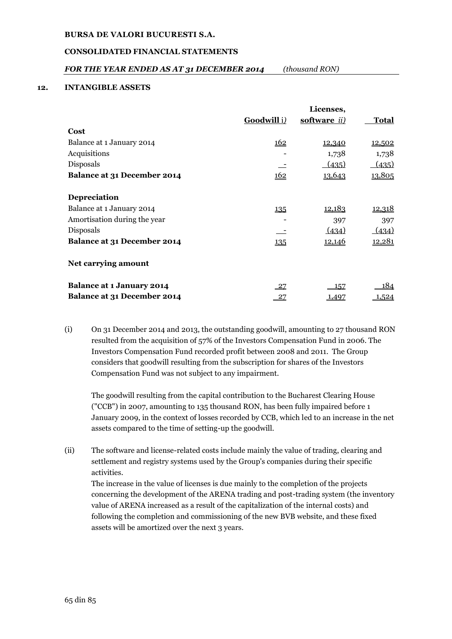## **CONSOLIDATED FINANCIAL STATEMENTS**

## *FOR THE YEAR ENDED AS AT 31 DECEMBER 2014 (thousand RON)*

#### **12. INTANGIBLE ASSETS**

|                                    |             | Licenses,     |               |
|------------------------------------|-------------|---------------|---------------|
|                                    | Goodwill i) | software ii)  | <b>Total</b>  |
| Cost                               |             |               |               |
| Balance at 1 January 2014          | 162         | 12,340        | 12,502        |
| Acquisitions                       |             | 1,738         | 1,738         |
| Disposals                          |             | (435)         | (435)         |
| <b>Balance at 31 December 2014</b> | 162         | 13,643        | 13,805        |
| <b>Depreciation</b>                |             |               |               |
| Balance at 1 January 2014          | 135         | <u>12,183</u> | <u>12,318</u> |
| Amortisation during the year       |             | 397           | 397           |
| Disposals                          |             | (434)         | (434)         |
| <b>Balance at 31 December 2014</b> | 135         | <u>12,146</u> | <u>12,281</u> |
| Net carrying amount                |             |               |               |
| <b>Balance at 1 January 2014</b>   | $-27$       | 157           | 184           |
| Balance at 31 December 2014        | - 27        | <u>1,497</u>  | 1,524         |

(i) On 31 December 2014 and 2013, the outstanding goodwill, amounting to 27 thousand RON resulted from the acquisition of 57% of the Investors Compensation Fund in 2006. The Investors Compensation Fund recorded profit between 2008 and 2011. The Group considers that goodwill resulting from the subscription for shares of the Investors Compensation Fund was not subject to any impairment.

The goodwill resulting from the capital contribution to the Bucharest Clearing House ("CCB") in 2007, amounting to 135 thousand RON, has been fully impaired before 1 January 2009, in the context of losses recorded by CCB, which led to an increase in the net assets compared to the time of setting-up the goodwill.

(ii) The software and license-related costs include mainly the value of trading, clearing and settlement and registry systems used by the Group's companies during their specific activities.

The increase in the value of licenses is due mainly to the completion of the projects concerning the development of the ARENA trading and post-trading system (the inventory value of ARENA increased as a result of the capitalization of the internal costs) and following the completion and commissioning of the new BVB website, and these fixed assets will be amortized over the next 3 years.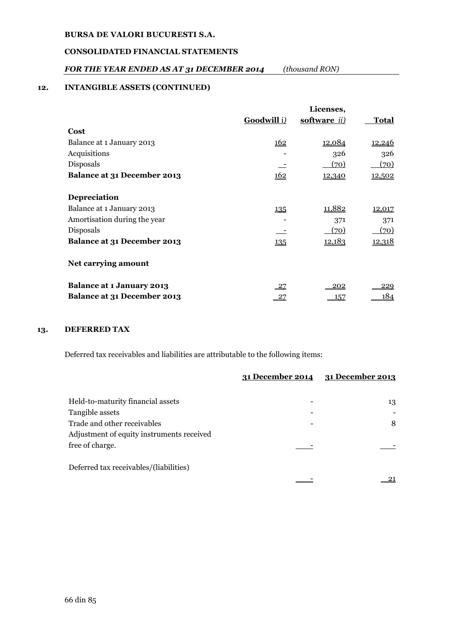## **CONSOLIDATED FINANCIAL STATEMENTS**

## *FOR THE YEAR ENDED AS AT 31 DECEMBER 2014 (thousand RON)*

## **12. INTANGIBLE ASSETS (CONTINUED)**

|                                  |                    | Licenses,            |               |
|----------------------------------|--------------------|----------------------|---------------|
|                                  | <b>Goodwill</b> i) | software <i>ii</i> ) | <b>Total</b>  |
| Cost                             |                    |                      |               |
| Balance at 1 January 2013        | <u> 162</u>        | <u>12,084</u>        | <u>12,246</u> |
| Acquisitions                     |                    | 326                  | 326           |
| Disposals                        |                    | (70)                 | (70)          |
| Balance at 31 December 2013      | 162                | <u>12,340</u>        | 12,502        |
| Depreciation                     |                    |                      |               |
| Balance at 1 January 2013        | 135                | 11,882               | <u>12,017</u> |
| Amortisation during the year     |                    | 371                  | 371           |
| Disposals                        |                    | (70)                 | (70)          |
| Balance at 31 December 2013      | 135                | <u>12,183</u>        | <u>12,318</u> |
| Net carrying amount              |                    |                      |               |
| <b>Balance at 1 January 2013</b> | $-27$              | <u> 202</u>          | 229           |
| Balance at 31 December 2013      | $-27$              | 157                  | 184           |

## **13. DEFERRED TAX**

Deferred tax receivables and liabilities are attributable to the following items:

|                                           | 31 December 2014 | 31 December 2013 |
|-------------------------------------------|------------------|------------------|
|                                           |                  |                  |
| Held-to-maturity financial assets         |                  | 13               |
| Tangible assets                           |                  |                  |
| Trade and other receivables               |                  | 8                |
| Adjustment of equity instruments received |                  |                  |
| free of charge.                           |                  |                  |
| Deferred tax receivables/(liabilities)    |                  |                  |
|                                           |                  |                  |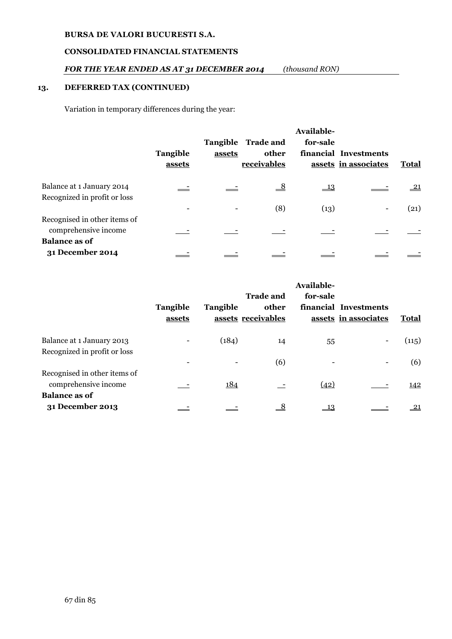## **CONSOLIDATED FINANCIAL STATEMENTS**

## *FOR THE YEAR ENDED AS AT 31 DECEMBER 2014 (thousand RON)*

## **13. DEFERRED TAX (CONTINUED)**

Variation in temporary differences during the year:

|                              | <b>Tangible</b><br>assets | assets | Tangible Trade and<br>other<br>receivables | Available-<br>for-sale | financial Investments<br>assets in associates | <b>Total</b>  |
|------------------------------|---------------------------|--------|--------------------------------------------|------------------------|-----------------------------------------------|---------------|
| Balance at 1 January 2014    |                           |        | $\frac{8}{1}$                              | $\frac{13}{2}$         |                                               | $\frac{21}{}$ |
| Recognized in profit or loss |                           |        |                                            |                        |                                               |               |
|                              |                           |        | (8)                                        | (13)                   |                                               | (21)          |
| Recognised in other items of |                           |        |                                            |                        |                                               |               |
| comprehensive income         |                           |        |                                            |                        |                                               |               |
| <b>Balance as of</b>         |                           |        |                                            |                        |                                               |               |
| 31 December 2014             |                           |        |                                            |                        |                                               |               |

|                              |          | Available-      |                    |          |                       |            |
|------------------------------|----------|-----------------|--------------------|----------|-----------------------|------------|
|                              |          |                 | <b>Trade and</b>   | for-sale |                       |            |
|                              | Tangible | <b>Tangible</b> | other              |          | financial Investments |            |
|                              | assets   |                 | assets receivables |          | assets in associates  | Total      |
| Balance at 1 January 2013    |          | (184)           | 14                 | 55       |                       | (115)      |
| Recognized in profit or loss |          |                 |                    |          |                       |            |
|                              |          |                 | (6)                |          |                       | (6)        |
| Recognised in other items of |          |                 |                    |          |                       |            |
| comprehensive income         |          | 184             |                    | (42)     |                       | 142        |
| <b>Balance as of</b>         |          |                 |                    |          |                       |            |
| 31 December 2013             |          |                 | $\frac{8}{1}$      | 13       |                       | <u> 21</u> |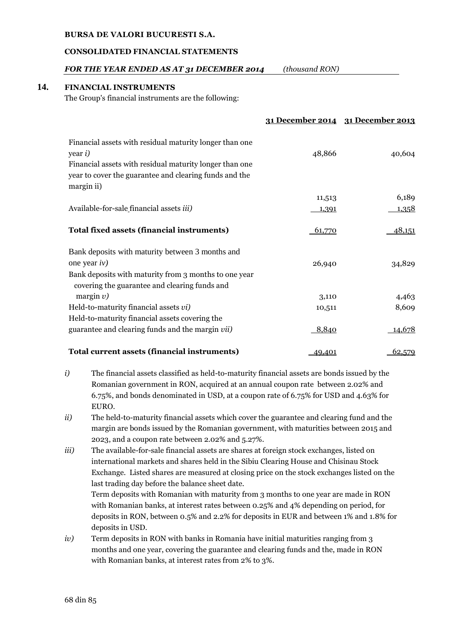#### **CONSOLIDATED FINANCIAL STATEMENTS**

## *FOR THE YEAR ENDED AS AT 31 DECEMBER 2014 (thousand RON)*

## **14. FINANCIAL INSTRUMENTS**

The Group's financial instruments are the following:

|                                                                                                                                                                                                               |               | 31 December 2014 31 December 2013 |
|---------------------------------------------------------------------------------------------------------------------------------------------------------------------------------------------------------------|---------------|-----------------------------------|
| Financial assets with residual maturity longer than one<br>year <i>i</i> )<br>Financial assets with residual maturity longer than one<br>year to cover the guarantee and clearing funds and the<br>margin ii) | 48,866        | 40,604                            |
|                                                                                                                                                                                                               | 11,513        | 6,189                             |
| Available-for-sale financial assets <i>iii</i> )                                                                                                                                                              | <u>1,391</u>  | 1,358                             |
| <b>Total fixed assets (financial instruments)</b>                                                                                                                                                             | 61,770        | 48,151                            |
| Bank deposits with maturity between 3 months and<br>one year $iv)$<br>Bank deposits with maturity from 3 months to one year<br>covering the guarantee and clearing funds and                                  | 26,940        | 34,829                            |
| margin $v$ )                                                                                                                                                                                                  | 3,110         | 4,463                             |
| Held-to-maturity financial assets vi)                                                                                                                                                                         | 10,511        | 8,609                             |
| Held-to-maturity financial assets covering the<br>guarantee and clearing funds and the margin vii)                                                                                                            | 8,840         | <u>14,678</u>                     |
| Total current assets (financial instruments)                                                                                                                                                                  | <u>49,401</u> | 62,579                            |

- *i*) The financial assets classified as held-to-maturity financial assets are bonds issued by the Romanian government in RON, acquired at an annual coupon rate between 2.02% and 6.75%, and bonds denominated in USD, at a coupon rate of 6.75% for USD and 4.63% for EURO.
- *ii)* The held-to-maturity financial assets which cover the guarantee and clearing fund and the margin are bonds issued by the Romanian government, with maturities between 2015 and 2023, and a coupon rate between 2.02% and 5.27%.
- *iii*) The available-for-sale financial assets are shares at foreign stock exchanges, listed on international markets and shares held in the Sibiu Clearing House and Chisinau Stock Exchange. Listed shares are measured at closing price on the stock exchanges listed on the last trading day before the balance sheet date. Term deposits with Romanian with maturity from 3 months to one year are made in RON with Romanian banks, at interest rates between 0.25% and 4% depending on period, for deposits in RON, between 0.5% and 2.2% for deposits in EUR and between 1% and 1.8% for deposits in USD.
- *iv*) Term deposits in RON with banks in Romania have initial maturities ranging from 3 months and one year, covering the guarantee and clearing funds and the, made in RON with Romanian banks, at interest rates from 2% to 3%.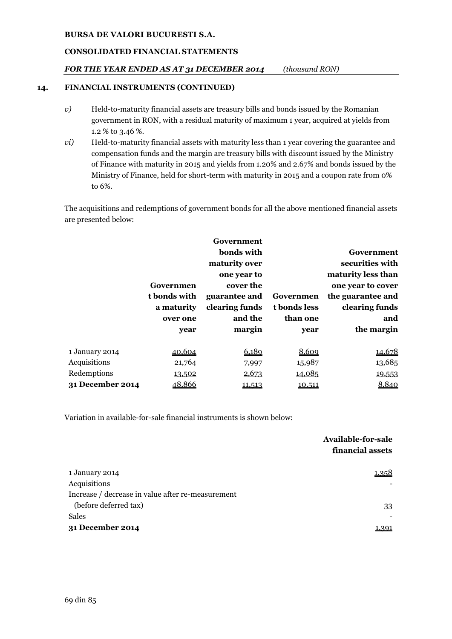# **CONSOLIDATED FINANCIAL STATEMENTS**

# *FOR THE YEAR ENDED AS AT 31 DECEMBER 2014 (thousand RON)*

## **14. FINANCIAL INSTRUMENTS (CONTINUED)**

- *v*) Held-to-maturity financial assets are treasury bills and bonds issued by the Romanian government in RON, with a residual maturity of maximum 1 year, acquired at yields from 1.2 % to 3.46 %.
- *vi*) Held-to-maturity financial assets with maturity less than 1 year covering the guarantee and compensation funds and the margin are treasury bills with discount issued by the Ministry of Finance with maturity in 2015 and yields from 1.20% and 2.67% and bonds issued by the Ministry of Finance, held for short-term with maturity in 2015 and a coupon rate from 0% to 6%.

The acquisitions and redemptions of government bonds for all the above mentioned financial assets are presented below:

|                  |              | Government     |              |                    |
|------------------|--------------|----------------|--------------|--------------------|
|                  |              | bonds with     |              | Government         |
|                  |              | maturity over  |              | securities with    |
|                  |              | one year to    |              | maturity less than |
|                  | Governmen    | cover the      |              | one year to cover  |
|                  | t bonds with | guarantee and  | Governmen    | the guarantee and  |
|                  | a maturity   | clearing funds | t bonds less | clearing funds     |
|                  | over one     | and the        | than one     | and                |
|                  | year         | margin         | year         | the margin         |
|                  |              |                |              |                    |
| 1 January 2014   | 40,604       | 6,189          | 8,609        | 14,678             |
| Acquisitions     | 21,764       | 7,997          | 15,987       | 13,685             |
| Redemptions      | 13,502       | 2,673          | 14,085       | 19,553             |
| 31 December 2014 | 48,866       | 11,513         | 10,511       | 8,840              |

Variation in available-for-sale financial instruments is shown below:

|                                                   | Available-for-sale<br>financial assets |
|---------------------------------------------------|----------------------------------------|
| 1 January 2014                                    | 1,358                                  |
| Acquisitions                                      |                                        |
| Increase / decrease in value after re-measurement |                                        |
| (before deferred tax)                             | 33                                     |
| <b>Sales</b>                                      |                                        |
| 31 December 2014                                  | 1,391                                  |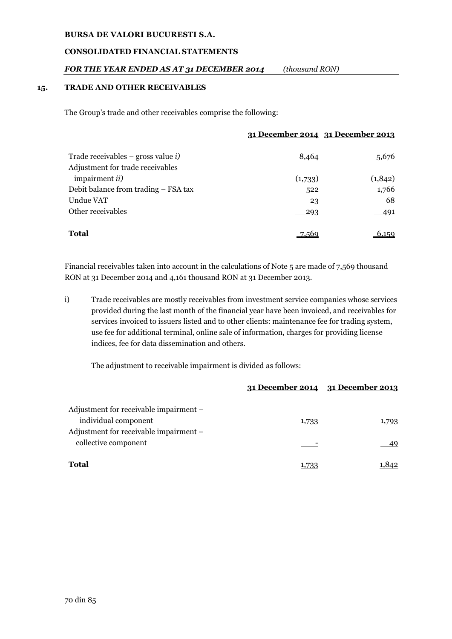#### **CONSOLIDATED FINANCIAL STATEMENTS**

## *FOR THE YEAR ENDED AS AT 31 DECEMBER 2014 (thousand RON)*

#### **15. TRADE AND OTHER RECEIVABLES**

The Group's trade and other receivables comprise the following:

|                                            | <u>31 December 2014 31 December 2013</u> |         |
|--------------------------------------------|------------------------------------------|---------|
| Trade receivables – gross value <i>i</i> ) | 8,464                                    | 5,676   |
| Adjustment for trade receivables           |                                          |         |
| impairment <i>ii</i> )                     | (1,733)                                  | (1,842) |
| Debit balance from trading – FSA tax       | 522                                      | 1,766   |
| Undue VAT                                  | 23                                       | 68      |
| Other receivables                          | 293                                      | 491     |
| Total                                      |                                          | 159     |

Financial receivables taken into account in the calculations of Note 5 are made of 7,569 thousand RON at 31 December 2014 and 4,161 thousand RON at 31 December 2013.

i) Trade receivables are mostly receivables from investment service companies whose services provided during the last month of the financial year have been invoiced, and receivables for services invoiced to issuers listed and to other clients: maintenance fee for trading system, use fee for additional terminal, online sale of information, charges for providing license indices, fee for data dissemination and others.

The adjustment to receivable impairment is divided as follows:

|                                        |       | 31 December 2014 31 December 2013 |
|----------------------------------------|-------|-----------------------------------|
| Adjustment for receivable impairment – |       |                                   |
| individual component                   | 1,733 | 1,793                             |
| Adjustment for receivable impairment - |       |                                   |
| collective component                   |       | 49                                |
| <b>Total</b>                           |       |                                   |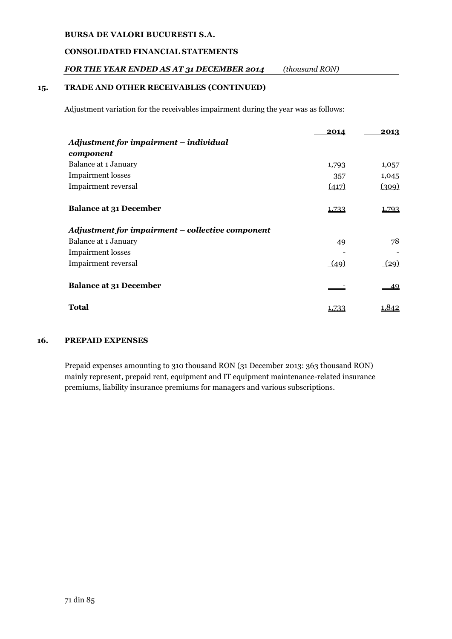# **CONSOLIDATED FINANCIAL STATEMENTS**

# *FOR THE YEAR ENDED AS AT 31 DECEMBER 2014 (thousand RON)*

## **15. TRADE AND OTHER RECEIVABLES (CONTINUED)**

Adjustment variation for the receivables impairment during the year was as follows:

|                                                  | 2014  | 2013  |
|--------------------------------------------------|-------|-------|
| Adjustment for impairment – individual           |       |       |
| component                                        |       |       |
| Balance at 1 January                             | 1,793 | 1,057 |
| <b>Impairment</b> losses                         | 357   | 1,045 |
| Impairment reversal                              | (417) | (309) |
| <b>Balance at 31 December</b>                    | 1,733 | 1,793 |
| Adjustment for impairment - collective component |       |       |
| Balance at 1 January                             | 49    | 78    |
| <b>Impairment</b> losses                         |       |       |
| <b>Impairment reversal</b>                       | (49)  | (29)  |
| <b>Balance at 31 December</b>                    |       | 49    |
| Total                                            | 1.733 | .842  |

## **16. PREPAID EXPENSES**

Prepaid expenses amounting to 310 thousand RON (31 December 2013: 363 thousand RON) mainly represent, prepaid rent, equipment and IT equipment maintenance-related insurance premiums, liability insurance premiums for managers and various subscriptions.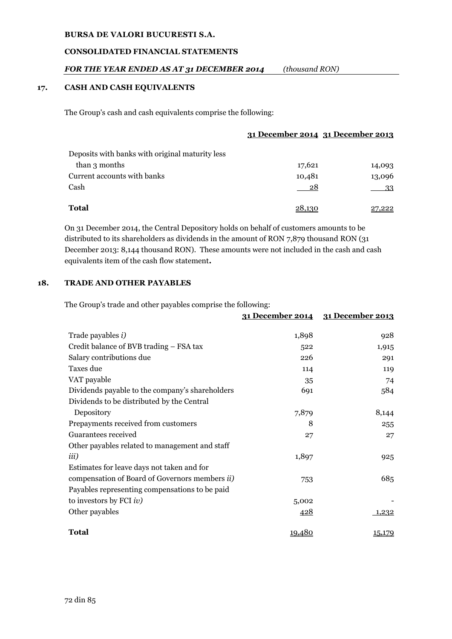### **CONSOLIDATED FINANCIAL STATEMENTS**

### *FOR THE YEAR ENDED AS AT 31 DECEMBER 2014 (thousand RON)*

### **17. CASH AND CASH EQUIVALENTS**

The Group's cash and cash equivalents comprise the following:

| Deposits with banks with original maturity less |        |        |
|-------------------------------------------------|--------|--------|
| than 3 months                                   | 17,621 | 14,093 |
| Current accounts with banks                     | 10,481 | 13,096 |
| Cash                                            | 28     | 33     |
| <b>Total</b>                                    | 28.130 | 27,222 |

On 31 December 2014, the Central Depository holds on behalf of customers amounts to be distributed to its shareholders as dividends in the amount of RON 7,879 thousand RON (31 December 2013: 8,144 thousand RON). These amounts were not included in the cash and cash equivalents item of the cash flow statement**.**

### **18. TRADE AND OTHER PAYABLES**

The Group's trade and other payables comprise the following:

|                                                        | <u>31 December 2014</u> | <u>31 December 2013</u> |
|--------------------------------------------------------|-------------------------|-------------------------|
| Trade payables <i>i</i> )                              | 1,898                   | 928                     |
| Credit balance of BVB trading - FSA tax                | 522                     | 1,915                   |
| Salary contributions due                               | 226                     | 291                     |
| Taxes due                                              | 114                     | 119                     |
| VAT payable                                            | 35                      | 74                      |
| Dividends payable to the company's shareholders        | 691                     | 584                     |
| Dividends to be distributed by the Central             |                         |                         |
| Depository                                             | 7,879                   | 8,144                   |
| Prepayments received from customers                    | 8                       | 255                     |
| Guarantees received                                    | 27                      | 27                      |
| Other payables related to management and staff         |                         |                         |
| <i>iii</i> )                                           | 1,897                   | 925                     |
| Estimates for leave days not taken and for             |                         |                         |
| compensation of Board of Governors members <i>ii</i> ) | 753                     | 685                     |
| Payables representing compensations to be paid         |                         |                         |
| to investors by FCI $iv$ )                             | 5,002                   |                         |
| Other payables                                         | <u>428</u>              | 1,232                   |
| <b>Total</b>                                           | 19,480                  | 15,179                  |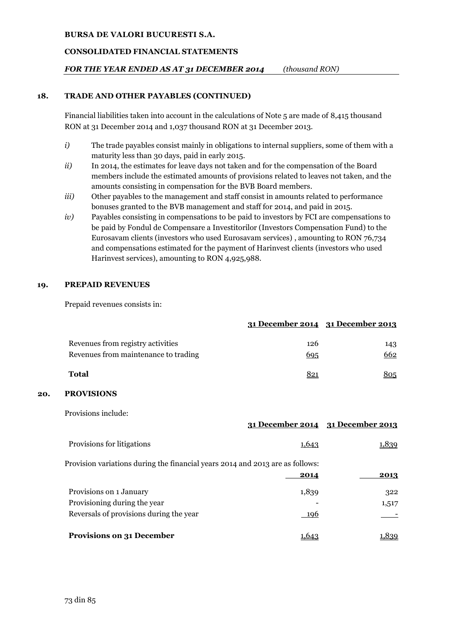### **CONSOLIDATED FINANCIAL STATEMENTS**

### *FOR THE YEAR ENDED AS AT 31 DECEMBER 2014 (thousand RON)*

### **18. TRADE AND OTHER PAYABLES (CONTINUED)**

Financial liabilities taken into account in the calculations of Note 5 are made of 8,415 thousand RON at 31 December 2014 and 1,037 thousand RON at 31 December 2013.

- *i*) The trade payables consist mainly in obligations to internal suppliers, some of them with a maturity less than 30 days, paid in early 2015.
- *ii*) In 2014, the estimates for leave days not taken and for the compensation of the Board members include the estimated amounts of provisions related to leaves not taken, and the amounts consisting in compensation for the BVB Board members.
- *iii*) Other payables to the management and staff consist in amounts related to performance bonuses granted to the BVB management and staff for 2014, and paid in 2015.
- *iv)* Payables consisting in compensations to be paid to investors by FCI are compensations to be paid by Fondul de Compensare a Investitorilor (Investors Compensation Fund) to the Eurosavam clients (investors who used Eurosavam services) , amounting to RON 76,734 and compensations estimated for the payment of Harinvest clients (investors who used Harinvest services), amounting to RON 4,925,988.

#### **19. PREPAID REVENUES**

Prepaid revenues consists in:

|                                                                           |            | 31 December 2014 31 December 2013 |
|---------------------------------------------------------------------------|------------|-----------------------------------|
| Revenues from registry activities<br>Revenues from maintenance to trading | 126<br>695 | 143<br>662                        |
| <b>Total</b>                                                              | 821        | 305                               |

#### **20. PROVISIONS**

Provisions include:

|                                                                                                    |               | 31 December 2014 31 December 2013 |
|----------------------------------------------------------------------------------------------------|---------------|-----------------------------------|
| Provisions for litigations                                                                         | 1,643         | <u>1,839</u>                      |
| Provision variations during the financial years 2014 and 2013 are as follows:                      | 2014          | 2013                              |
| Provisions on 1 January<br>Provisioning during the year<br>Reversals of provisions during the year | 1,839<br>-196 | 322<br>1,517                      |
| <b>Provisions on 31 December</b>                                                                   | 1.649         | .839                              |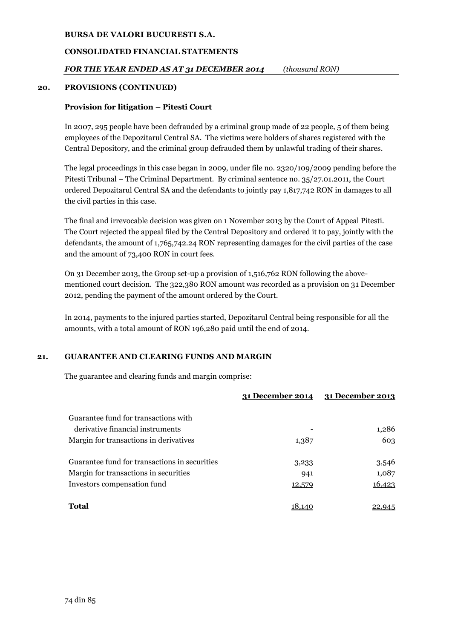### **CONSOLIDATED FINANCIAL STATEMENTS**

### *FOR THE YEAR ENDED AS AT 31 DECEMBER 2014 (thousand RON)*

### **20. PROVISIONS (CONTINUED)**

### **Provision for litigation – Pitesti Court**

In 2007, 295 people have been defrauded by a criminal group made of 22 people, 5 of them being employees of the Depozitarul Central SA. The victims were holders of shares registered with the Central Depository, and the criminal group defrauded them by unlawful trading of their shares.

The legal proceedings in this case began in 2009, under file no. 2320/109/2009 pending before the Pitesti Tribunal – The Criminal Department. By criminal sentence no. 35/27.01.2011, the Court ordered Depozitarul Central SA and the defendants to jointly pay 1,817,742 RON in damages to all the civil parties in this case.

The final and irrevocable decision was given on 1 November 2013 by the Court of Appeal Pitesti. The Court rejected the appeal filed by the Central Depository and ordered it to pay, jointly with the defendants, the amount of 1,765,742.24 RON representing damages for the civil parties of the case and the amount of 73,400 RON in court fees.

On 31 December 2013, the Group set-up a provision of 1,516,762 RON following the abovementioned court decision. The 322,380 RON amount was recorded as a provision on 31 December 2012, pending the payment of the amount ordered by the Court.

In 2014, payments to the injured parties started, Depozitarul Central being responsible for all the amounts, with a total amount of RON 196,280 paid until the end of 2014.

#### **21. GUARANTEE AND CLEARING FUNDS AND MARGIN**

The guarantee and clearing funds and margin comprise:

|                                               |        | 31 December 2014 31 December 2013 |
|-----------------------------------------------|--------|-----------------------------------|
| Guarantee fund for transactions with          |        |                                   |
| derivative financial instruments              |        | 1,286                             |
| Margin for transactions in derivatives        | 1,387  | 603                               |
| Guarantee fund for transactions in securities | 3,233  | 3,546                             |
| Margin for transactions in securities         | 941    | 1,087                             |
| Investors compensation fund                   | 12,579 | 16,423                            |
| <b>Total</b>                                  | 18.140 |                                   |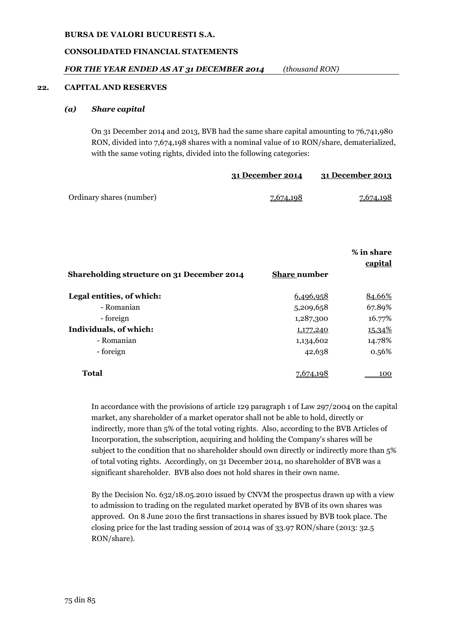### **CONSOLIDATED FINANCIAL STATEMENTS**

### *FOR THE YEAR ENDED AS AT 31 DECEMBER 2014 (thousand RON)*

#### **22. CAPITAL AND RESERVES**

#### *(a) Share capital*

On 31 December 2014 and 2013, BVB had the same share capital amounting to 76,741,980 RON, divided into 7,674,198 shares with a nominal value of 10 RON/share, dematerialized, with the same voting rights, divided into the following categories:

|                          | 31 December 2014 | 31 December 2013 |
|--------------------------|------------------|------------------|
| Ordinary shares (number) | <u>7,674,198</u> | <u>7,674,198</u> |

|                                            |                     | % in share<br>capital |
|--------------------------------------------|---------------------|-----------------------|
| Shareholding structure on 31 December 2014 | <b>Share number</b> |                       |
| Legal entities, of which:                  | 6,496,958           | 84.66%                |
| - Romanian                                 | 5,209,658           | 67.89%                |
| - foreign                                  | 1,287,300           | 16.77%                |
| Individuals, of which:                     | 1,177,240           | <u>15.34%</u>         |
| - Romanian                                 | 1,134,602           | 14.78%                |
| - foreign                                  | 42,638              | 0.56%                 |
| <b>Total</b>                               |                     | 100                   |

In accordance with the provisions of article 129 paragraph 1 of Law 297/2004 on the capital market, any shareholder of a market operator shall not be able to hold, directly or indirectly, more than 5% of the total voting rights. Also, according to the BVB Articles of Incorporation, the subscription, acquiring and holding the Company's shares will be subject to the condition that no shareholder should own directly or indirectly more than 5% of total voting rights. Accordingly, on 31 December 2014, no shareholder of BVB was a significant shareholder. BVB also does not hold shares in their own name.

By the Decision No. 632/18.05.2010 issued by CNVM the prospectus drawn up with a view to admission to trading on the regulated market operated by BVB of its own shares was approved. On 8 June 2010 the first transactions in shares issued by BVB took place. The closing price for the last trading session of 2014 was of 33.97 RON/share (2013: 32.5 RON/share).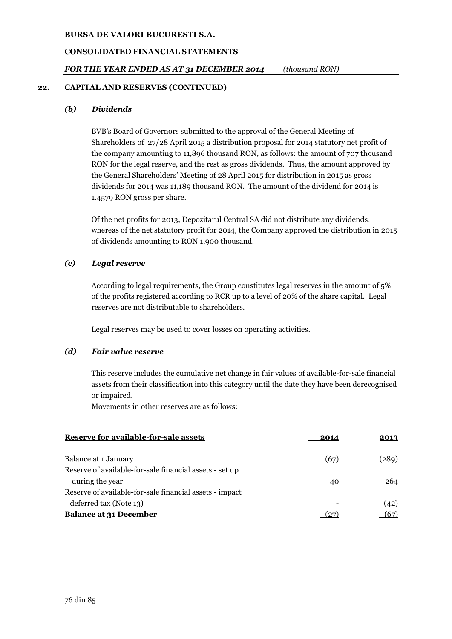### **CONSOLIDATED FINANCIAL STATEMENTS**

### *FOR THE YEAR ENDED AS AT 31 DECEMBER 2014 (thousand RON)*

### **22. CAPITAL AND RESERVES (CONTINUED)**

### *(b) Dividends*

BVB's Board of Governors submitted to the approval of the General Meeting of Shareholders of 27/28 April 2015 a distribution proposal for 2014 statutory net profit of the company amounting to 11,896 thousand RON, as follows: the amount of 707 thousand RON for the legal reserve, and the rest as gross dividends. Thus, the amount approved by the General Shareholders' Meeting of 28 April 2015 for distribution in 2015 as gross dividends for 2014 was 11,189 thousand RON. The amount of the dividend for 2014 is 1.4579 RON gross per share.

Of the net profits for 2013, Depozitarul Central SA did not distribute any dividends, whereas of the net statutory profit for 2014, the Company approved the distribution in 2015 of dividends amounting to RON 1,900 thousand.

### *(c) Legal reserve*

According to legal requirements, the Group constitutes legal reserves in the amount of 5% of the profits registered according to RCR up to a level of 20% of the share capital. Legal reserves are not distributable to shareholders.

Legal reserves may be used to cover losses on operating activities.

### *(d) Fair value reserve*

This reserve includes the cumulative net change in fair values of available-for-sale financial assets from their classification into this category until the date they have been derecognised or impaired.

Movements in other reserves are as follows:

| Reserve for available-for-sale assets                   | 2014 | 2013  |
|---------------------------------------------------------|------|-------|
| Balance at 1 January                                    | (67) | (289) |
| Reserve of available-for-sale financial assets - set up |      |       |
| during the year                                         | 40   | 264   |
| Reserve of available-for-sale financial assets - impact |      |       |
| deferred tax (Note 13)                                  |      | (42)  |
| <b>Balance at 31 December</b>                           | 27   |       |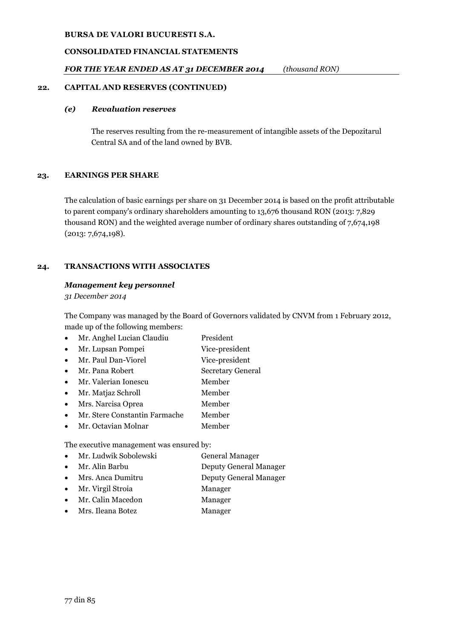# **CONSOLIDATED FINANCIAL STATEMENTS**

# *FOR THE YEAR ENDED AS AT 31 DECEMBER 2014 (thousand RON)*

## **22. CAPITAL AND RESERVES (CONTINUED)**

## *(e) Revaluation reserves*

The reserves resulting from the re-measurement of intangible assets of the Depozitarul Central SA and of the land owned by BVB.

## **23. EARNINGS PER SHARE**

The calculation of basic earnings per share on 31 December 2014 is based on the profit attributable to parent company's ordinary shareholders amounting to 13,676 thousand RON (2013: 7,829 thousand RON) and the weighted average number of ordinary shares outstanding of 7,674,198 (2013: 7,674,198).

# **24. TRANSACTIONS WITH ASSOCIATES**

## *Management key personnel*

*31 December 2014*

The Company was managed by the Board of Governors validated by CNVM from 1 February 2012, made up of the following members:

|  | Mr. Anghel Lucian Claudiu | President |
|--|---------------------------|-----------|
|--|---------------------------|-----------|

- Mr. Lupsan Pompei Vice-president
- Mr. Paul Dan-Viorel Vice-president
- Mr. Pana Robert Secretary General
- Mr. Valerian Ionescu Member
- Mr. Matjaz Schroll Member
- Mrs. Narcisa Oprea Member
- Mr. Stere Constantin Farmache Member
- Mr. Octavian Molnar Member

The executive management was ensured by:

- Mr. Ludwik Sobolewski General Manager
- Mr. Alin Barbu Deputy General Manager
- Mrs. Anca Dumitru Deputy General Manager
- Mr. Virgil Stroia Manager
- Mr. Calin Macedon Manager
- Mrs. Ileana Botez Manager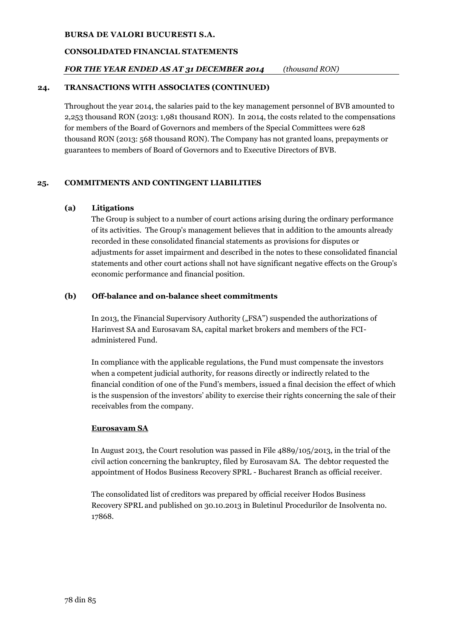### **CONSOLIDATED FINANCIAL STATEMENTS**

### *FOR THE YEAR ENDED AS AT 31 DECEMBER 2014 (thousand RON)*

### **24. TRANSACTIONS WITH ASSOCIATES (CONTINUED)**

Throughout the year 2014, the salaries paid to the key management personnel of BVB amounted to 2,253 thousand RON (2013: 1,981 thousand RON). In 2014, the costs related to the compensations for members of the Board of Governors and members of the Special Committees were 628 thousand RON (2013: 568 thousand RON). The Company has not granted loans, prepayments or guarantees to members of Board of Governors and to Executive Directors of BVB.

### **25. COMMITMENTS AND CONTINGENT LIABILITIES**

### **(a) Litigations**

The Group is subject to a number of court actions arising during the ordinary performance of its activities. The Group's management believes that in addition to the amounts already recorded in these consolidated financial statements as provisions for disputes or adjustments for asset impairment and described in the notes to these consolidated financial statements and other court actions shall not have significant negative effects on the Group's economic performance and financial position.

### **(b) Off-balance and on-balance sheet commitments**

In 2013, the Financial Supervisory Authority ("FSA") suspended the authorizations of Harinvest SA and Eurosavam SA, capital market brokers and members of the FCIadministered Fund.

In compliance with the applicable regulations, the Fund must compensate the investors when a competent judicial authority, for reasons directly or indirectly related to the financial condition of one of the Fund's members, issued a final decision the effect of which is the suspension of the investors' ability to exercise their rights concerning the sale of their receivables from the company.

### **Eurosavam SA**

In August 2013, the Court resolution was passed in File 4889/105/2013, in the trial of the civil action concerning the bankruptcy, filed by Eurosavam SA. The debtor requested the appointment of Hodos Business Recovery SPRL - Bucharest Branch as official receiver.

The consolidated list of creditors was prepared by official receiver Hodos Business Recovery SPRL and published on 30.10.2013 in Buletinul Procedurilor de Insolventa no. 17868.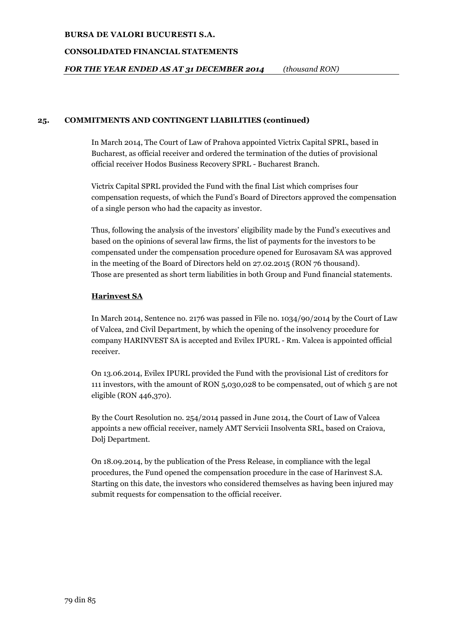### **CONSOLIDATED FINANCIAL STATEMENTS**

*FOR THE YEAR ENDED AS AT 31 DECEMBER 2014 (thousand RON)*

### **25. COMMITMENTS AND CONTINGENT LIABILITIES (continued)**

In March 2014, The Court of Law of Prahova appointed Victrix Capital SPRL, based in Bucharest, as official receiver and ordered the termination of the duties of provisional official receiver Hodos Business Recovery SPRL - Bucharest Branch.

Victrix Capital SPRL provided the Fund with the final List which comprises four compensation requests, of which the Fund's Board of Directors approved the compensation of a single person who had the capacity as investor.

Thus, following the analysis of the investors' eligibility made by the Fund's executives and based on the opinions of several law firms, the list of payments for the investors to be compensated under the compensation procedure opened for Eurosavam SA was approved in the meeting of the Board of Directors held on 27.02.2015 (RON 76 thousand). Those are presented as short term liabilities in both Group and Fund financial statements.

### **Harinvest SA**

In March 2014, Sentence no. 2176 was passed in File no. 1034/90/2014 by the Court of Law of Valcea, 2nd Civil Department, by which the opening of the insolvency procedure for company HARINVEST SA is accepted and Evilex IPURL - Rm. Valcea is appointed official receiver.

On 13.06.2014, Evilex IPURL provided the Fund with the provisional List of creditors for 111 investors, with the amount of RON 5,030,028 to be compensated, out of which 5 are not eligible (RON 446,370).

By the Court Resolution no. 254/2014 passed in June 2014, the Court of Law of Valcea appoints a new official receiver, namely AMT Servicii Insolventa SRL, based on Craiova, Dolj Department.

On 18.09.2014, by the publication of the Press Release, in compliance with the legal procedures, the Fund opened the compensation procedure in the case of Harinvest S.A. Starting on this date, the investors who considered themselves as having been injured may submit requests for compensation to the official receiver.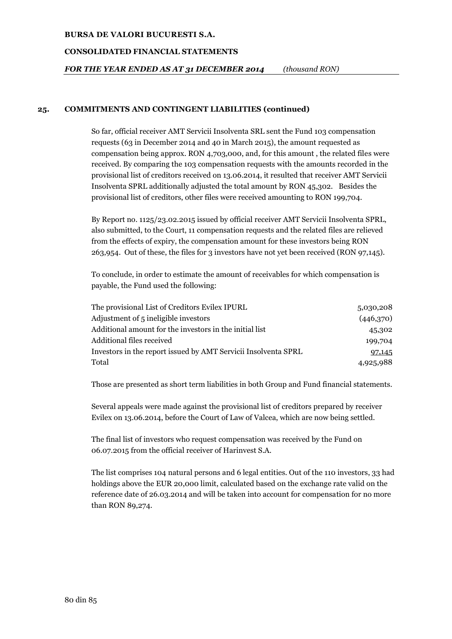### **CONSOLIDATED FINANCIAL STATEMENTS**

*FOR THE YEAR ENDED AS AT 31 DECEMBER 2014 (thousand RON)*

### **25. COMMITMENTS AND CONTINGENT LIABILITIES (continued)**

So far, official receiver AMT Servicii Insolventa SRL sent the Fund 103 compensation requests (63 in December 2014 and 40 in March 2015), the amount requested as compensation being approx. RON 4,703,000, and, for this amount , the related files were received. By comparing the 103 compensation requests with the amounts recorded in the provisional list of creditors received on 13.06.2014, it resulted that receiver AMT Servicii Insolventa SPRL additionally adjusted the total amount by RON 45,302. Besides the provisional list of creditors, other files were received amounting to RON 199,704.

By Report no. 1125/23.02.2015 issued by official receiver AMT Servicii Insolventa SPRL, also submitted, to the Court, 11 compensation requests and the related files are relieved from the effects of expiry, the compensation amount for these investors being RON 263,954. Out of these, the files for 3 investors have not yet been received (RON 97,145).

To conclude, in order to estimate the amount of receivables for which compensation is payable, the Fund used the following:

| The provisional List of Creditors Evilex IPURL                 | 5,030,208 |
|----------------------------------------------------------------|-----------|
| Adjustment of 5 ineligible investors                           | (446,370) |
| Additional amount for the investors in the initial list        | 45,302    |
| Additional files received                                      | 199,704   |
| Investors in the report issued by AMT Servicii Insolventa SPRL | 97,145    |
| Total                                                          | 4,925,988 |

Those are presented as short term liabilities in both Group and Fund financial statements.

Several appeals were made against the provisional list of creditors prepared by receiver Evilex on 13.06.2014, before the Court of Law of Valcea, which are now being settled.

The final list of investors who request compensation was received by the Fund on 06.07.2015 from the official receiver of Harinvest S.A.

The list comprises 104 natural persons and 6 legal entities. Out of the 110 investors, 33 had holdings above the EUR 20,000 limit, calculated based on the exchange rate valid on the reference date of 26.03.2014 and will be taken into account for compensation for no more than RON 89,274.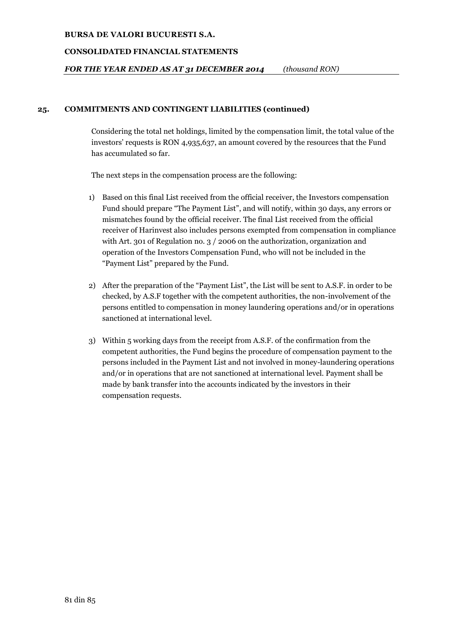### **CONSOLIDATED FINANCIAL STATEMENTS**

*FOR THE YEAR ENDED AS AT 31 DECEMBER 2014 (thousand RON)*

### **25. COMMITMENTS AND CONTINGENT LIABILITIES (continued)**

Considering the total net holdings, limited by the compensation limit, the total value of the investors' requests is RON 4,935,637, an amount covered by the resources that the Fund has accumulated so far.

The next steps in the compensation process are the following:

- 1) Based on this final List received from the official receiver, the Investors compensation Fund should prepare "The Payment List", and will notify, within 30 days, any errors or mismatches found by the official receiver. The final List received from the official receiver of Harinvest also includes persons exempted from compensation in compliance with Art. 301 of Regulation no. 3 / 2006 on the authorization, organization and operation of the Investors Compensation Fund, who will not be included in the "Payment List" prepared by the Fund.
- 2) After the preparation of the "Payment List", the List will be sent to A.S.F. in order to be checked, by A.S.F together with the competent authorities, the non-involvement of the persons entitled to compensation in money laundering operations and/or in operations sanctioned at international level.
- 3) Within 5 working days from the receipt from A.S.F. of the confirmation from the competent authorities, the Fund begins the procedure of compensation payment to the persons included in the Payment List and not involved in money-laundering operations and/or in operations that are not sanctioned at international level. Payment shall be made by bank transfer into the accounts indicated by the investors in their compensation requests.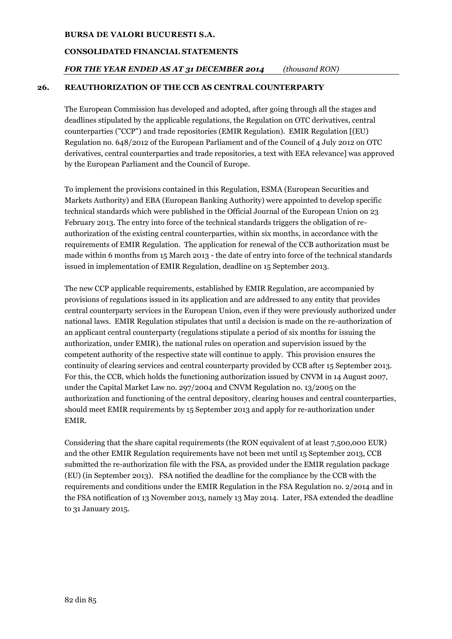### **CONSOLIDATED FINANCIAL STATEMENTS**

### *FOR THE YEAR ENDED AS AT 31 DECEMBER 2014 (thousand RON)*

### **26. REAUTHORIZATION OF THE CCB AS CENTRAL COUNTERPARTY**

The European Commission has developed and adopted, after going through all the stages and deadlines stipulated by the applicable regulations, the Regulation on OTC derivatives, central counterparties ("CCP") and trade repositories (EMIR Regulation). EMIR Regulation [(EU) Regulation no. 648/2012 of the European Parliament and of the Council of 4 July 2012 on OTC derivatives, central counterparties and trade repositories, a text with EEA relevance] was approved by the European Parliament and the Council of Europe.

To implement the provisions contained in this Regulation, ESMA (European Securities and Markets Authority) and EBA (European Banking Authority) were appointed to develop specific technical standards which were published in the Official Journal of the European Union on 23 February 2013. The entry into force of the technical standards triggers the obligation of reauthorization of the existing central counterparties, within six months, in accordance with the requirements of EMIR Regulation. The application for renewal of the CCB authorization must be made within 6 months from 15 March 2013 - the date of entry into force of the technical standards issued in implementation of EMIR Regulation, deadline on 15 September 2013.

The new CCP applicable requirements, established by EMIR Regulation, are accompanied by provisions of regulations issued in its application and are addressed to any entity that provides central counterparty services in the European Union, even if they were previously authorized under national laws. EMIR Regulation stipulates that until a decision is made on the re-authorization of an applicant central counterparty (regulations stipulate a period of six months for issuing the authorization, under EMIR), the national rules on operation and supervision issued by the competent authority of the respective state will continue to apply. This provision ensures the continuity of clearing services and central counterparty provided by CCB after 15 September 2013. For this, the CCB, which holds the functioning authorization issued by CNVM in 14 August 2007, under the Capital Market Law no. 297/2004 and CNVM Regulation no. 13/2005 on the authorization and functioning of the central depository, clearing houses and central counterparties, should meet EMIR requirements by 15 September 2013 and apply for re-authorization under EMIR.

Considering that the share capital requirements (the RON equivalent of at least 7,500,000 EUR) and the other EMIR Regulation requirements have not been met until 15 September 2013, CCB submitted the re-authorization file with the FSA, as provided under the EMIR regulation package (EU) (in September 2013). FSA notified the deadline for the compliance by the CCB with the requirements and conditions under the EMIR Regulation in the FSA Regulation no. 2/2014 and in the FSA notification of 13 November 2013, namely 13 May 2014. Later, FSA extended the deadline to 31 January 2015.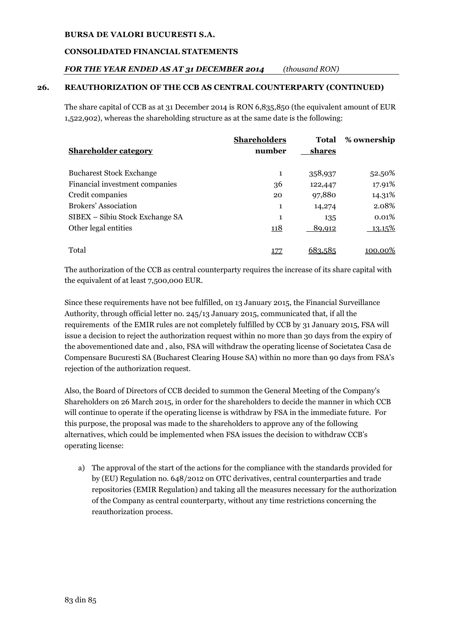# **CONSOLIDATED FINANCIAL STATEMENTS**

# *FOR THE YEAR ENDED AS AT 31 DECEMBER 2014 (thousand RON)*

# **26. REAUTHORIZATION OF THE CCB AS CENTRAL COUNTERPARTY (CONTINUED)**

The share capital of CCB as at 31 December 2014 is RON 6,835,850 (the equivalent amount of EUR 1,522,902), whereas the shareholding structure as at the same date is the following:

| <b>Shareholder category</b>     | <b>Shareholders</b><br>number | Total<br>shares | % ownership |
|---------------------------------|-------------------------------|-----------------|-------------|
| <b>Bucharest Stock Exchange</b> | 1                             | 358,937         | 52.50%      |
| Financial investment companies  | 36                            | 122,447         | 17.91%      |
| Credit companies                | 20                            | 97,880          | 14.31%      |
| Brokers' Association            | 1                             | 14,274          | 2.08%       |
| SIBEX – Sibiu Stock Exchange SA | 1                             | 135             | 0.01%       |
| Other legal entities            | <u> 118</u>                   | 89,912          | 13.15%      |
| Total                           |                               | וא ראה          | 100.00%     |

The authorization of the CCB as central counterparty requires the increase of its share capital with the equivalent of at least 7,500,000 EUR.

Since these requirements have not bee fulfilled, on 13 January 2015, the Financial Surveillance Authority, through official letter no. 245/13 January 2015, communicated that, if all the requirements of the EMIR rules are not completely fulfilled by CCB by 31 January 2015, FSA will issue a decision to reject the authorization request within no more than 30 days from the expiry of the abovementioned date and , also, FSA will withdraw the operating license of Societatea Casa de Compensare Bucuresti SA (Bucharest Clearing House SA) within no more than 90 days from FSA's rejection of the authorization request.

Also, the Board of Directors of CCB decided to summon the General Meeting of the Company's Shareholders on 26 March 2015, in order for the shareholders to decide the manner in which CCB will continue to operate if the operating license is withdraw by FSA in the immediate future. For this purpose, the proposal was made to the shareholders to approve any of the following alternatives, which could be implemented when FSA issues the decision to withdraw CCB's operating license:

a) The approval of the start of the actions for the compliance with the standards provided for by (EU) Regulation no. 648/2012 on OTC derivatives, central counterparties and trade repositories (EMIR Regulation) and taking all the measures necessary for the authorization of the Company as central counterparty, without any time restrictions concerning the reauthorization process.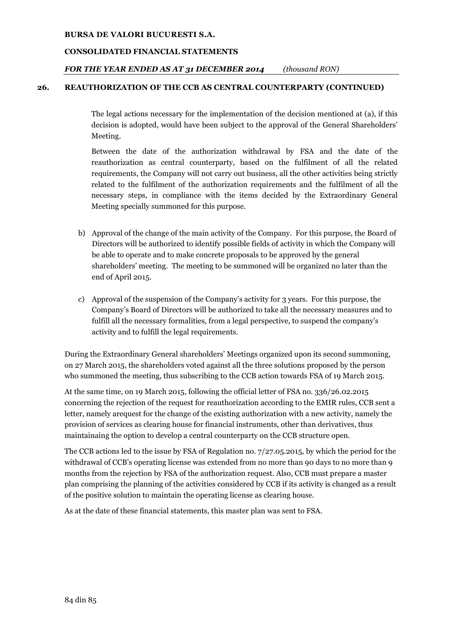### **CONSOLIDATED FINANCIAL STATEMENTS**

### *FOR THE YEAR ENDED AS AT 31 DECEMBER 2014 (thousand RON)*

### **26. REAUTHORIZATION OF THE CCB AS CENTRAL COUNTERPARTY (CONTINUED)**

The legal actions necessary for the implementation of the decision mentioned at (a), if this decision is adopted, would have been subject to the approval of the General Shareholders' Meeting.

Between the date of the authorization withdrawal by FSA and the date of the reauthorization as central counterparty, based on the fulfilment of all the related requirements, the Company will not carry out business, all the other activities being strictly related to the fulfilment of the authorization requirements and the fulfilment of all the necessary steps, in compliance with the items decided by the Extraordinary General Meeting specially summoned for this purpose.

- b) Approval of the change of the main activity of the Company. For this purpose, the Board of Directors will be authorized to identify possible fields of activity in which the Company will be able to operate and to make concrete proposals to be approved by the general shareholders' meeting. The meeting to be summoned will be organized no later than the end of April 2015.
- c) Approval of the suspension of the Company's activity for 3 years. For this purpose, the Company's Board of Directors will be authorized to take all the necessary measures and to fulfill all the necessary formalities, from a legal perspective, to suspend the company's activity and to fulfill the legal requirements.

During the Extraordinary General shareholders' Meetings organized upon its second summoning, on 27 March 2015, the shareholders voted against all the three solutions proposed by the person who summoned the meeting, thus subscribing to the CCB action towards FSA of 19 March 2015.

At the same time, on 19 March 2015, following the official letter of FSA no. 336/26.02.2015 concerning the rejection of the request for reauthorization according to the EMIR rules, CCB sent a letter, namely arequest for the change of the existing authorization with a new activity, namely the provision of services as clearing house for financial instruments, other than derivatives, thus maintainaing the option to develop a central counterparty on the CCB structure open.

The CCB actions led to the issue by FSA of Regulation no. 7/27.05.2015, by which the period for the withdrawal of CCB's operating license was extended from no more than 90 days to no more than 9 months from the rejection by FSA of the authorization request. Also, CCB must prepare a master plan comprising the planning of the activities considered by CCB if its activity is changed as a result of the positive solution to maintain the operating license as clearing house.

As at the date of these financial statements, this master plan was sent to FSA.